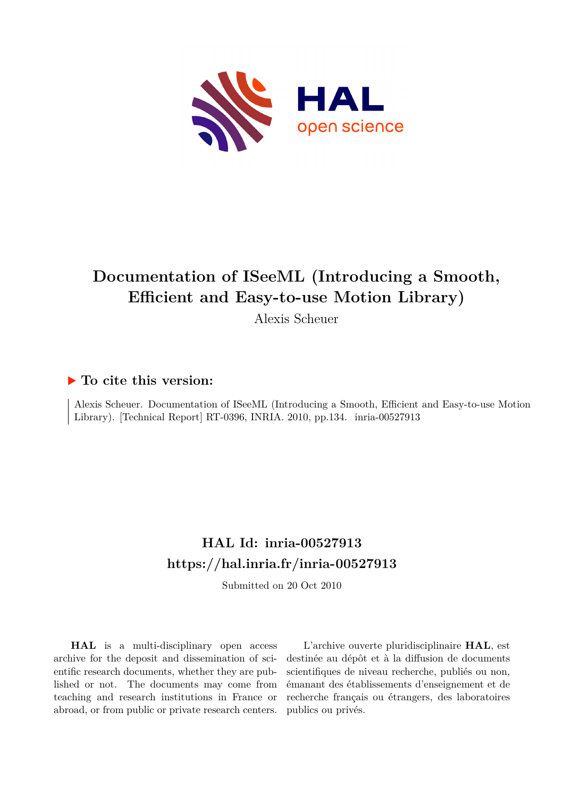

## **Documentation of ISeeML (Introducing a Smooth, Efficient and Easy-to-use Motion Library)**

Alexis Scheuer

## **To cite this version:**

Alexis Scheuer. Documentation of ISeeML (Introducing a Smooth, Efficient and Easy-to-use Motion Library). [Technical Report] RT-0396, INRIA. 2010, pp.134. inria-00527913

## **HAL Id: inria-00527913 <https://hal.inria.fr/inria-00527913>**

Submitted on 20 Oct 2010

**HAL** is a multi-disciplinary open access archive for the deposit and dissemination of scientific research documents, whether they are published or not. The documents may come from teaching and research institutions in France or abroad, or from public or private research centers.

L'archive ouverte pluridisciplinaire **HAL**, est destinée au dépôt et à la diffusion de documents scientifiques de niveau recherche, publiés ou non, émanant des établissements d'enseignement et de recherche français ou étrangers, des laboratoires publics ou privés.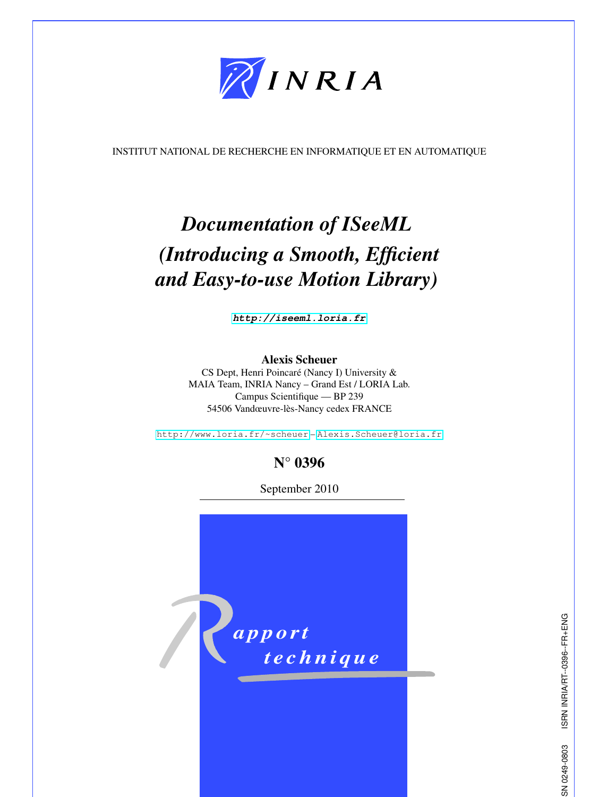

INSTITUT NATIONAL DE RECHERCHE EN INFORMATIQUE ET EN AUTOMATIQUE

# *Documentation of ISeeML (Introducing a Smooth, Efficient and Easy-to-use Motion Library)*

*<http://iseeml.loria.fr>*

## Alexis Scheuer

CS Dept, Henri Poincaré (Nancy I) University & MAIA Team, INRIA Nancy – Grand Est / LORIA Lab. Campus Scientifique — BP 239 54506 Vandœuvre-lès-Nancy cedex FRANCE

<http://www.loria.fr/~scheuer> – <Alexis.Scheuer@loria.fr>

## N° 0396

September 2010



ISRN INRIA/RT--0396--FR+ENG ISSN 0249-0803 ISRN INRIA/RT--0396--FR+ENG SN 0249-0803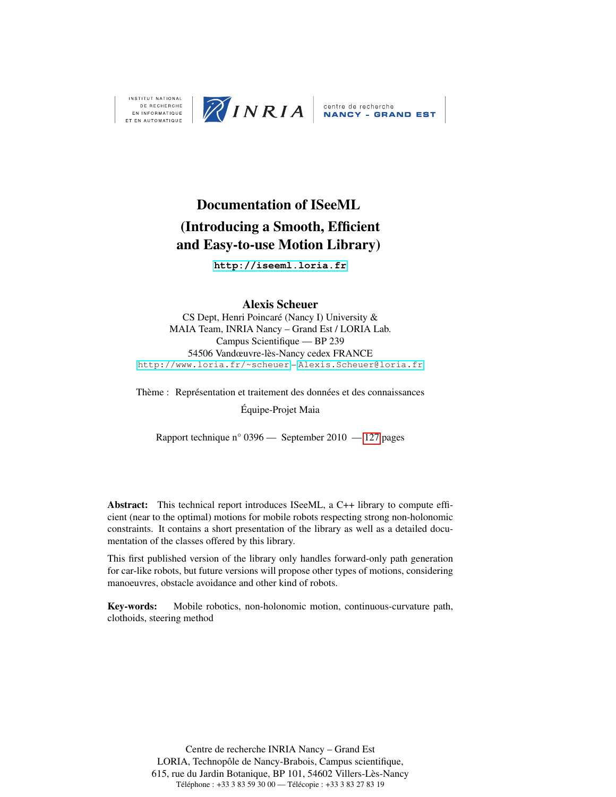

**INSTITUT NATIONAL ET EN AUTOMATIQUE** 

## Documentation of ISeeML (Introducing a Smooth, Efficient and Easy-to-use Motion Library)

**<http://iseeml.loria.fr>**

### Alexis Scheuer

CS Dept, Henri Poincaré (Nancy I) University & MAIA Team, INRIA Nancy – Grand Est / LORIA Lab. Campus Scientifique — BP 239 54506 Vandœuvre-lès-Nancy cedex FRANCE <http://www.loria.fr/~scheuer> – <Alexis.Scheuer@loria.fr>

Thème : Représentation et traitement des données et des connaissances

Équipe-Projet Maia

Rapport technique n° 0396 — September 2010 — [127](#page-133-0) pages

Abstract: This technical report introduces ISeeML, a C++ library to compute efficient (near to the optimal) motions for mobile robots respecting strong non-holonomic constraints. It contains a short presentation of the library as well as a detailed documentation of the classes offered by this library.

This first published version of the library only handles forward-only path generation for car-like robots, but future versions will propose other types of motions, considering manoeuvres, obstacle avoidance and other kind of robots.

Key-words: Mobile robotics, non-holonomic motion, continuous-curvature path, clothoids, steering method

> Centre de recherche INRIA Nancy – Grand Est LORIA, Technopôle de Nancy-Brabois, Campus scientifique, 615, rue du Jardin Botanique, BP 101, 54602 Villers-Lès-Nancy Téléphone : +33 3 83 59 30 00 — Télécopie : +33 3 83 27 83 19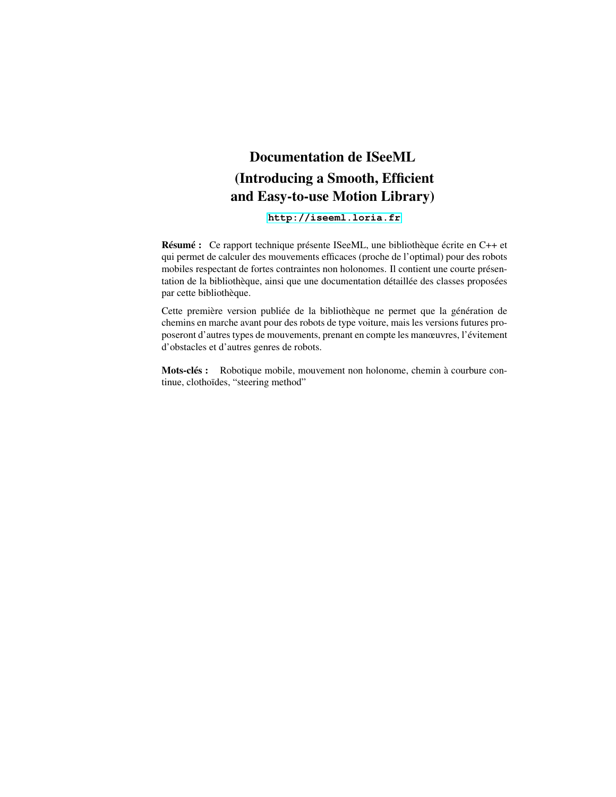## Documentation de ISeeML (Introducing a Smooth, Efficient and Easy-to-use Motion Library)

**<http://iseeml.loria.fr>**

Résumé : Ce rapport technique présente ISeeML, une bibliothèque écrite en C++ et qui permet de calculer des mouvements efficaces (proche de l'optimal) pour des robots mobiles respectant de fortes contraintes non holonomes. Il contient une courte présentation de la bibliothèque, ainsi que une documentation détaillée des classes proposées par cette bibliothèque.

Cette première version publiée de la bibliothèque ne permet que la génération de chemins en marche avant pour des robots de type voiture, mais les versions futures proposeront d'autres types de mouvements, prenant en compte les manœuvres, l'évitement d'obstacles et d'autres genres de robots.

Mots-clés : Robotique mobile, mouvement non holonome, chemin à courbure continue, clothoïdes, "steering method"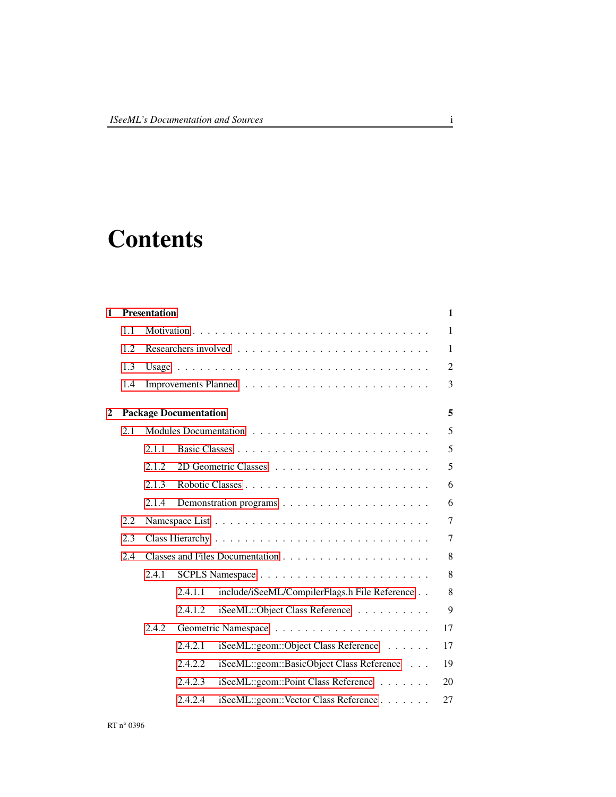# **Contents**

| <b>Presentation</b><br>1 |     |       |                              |                                               | $\mathbf{1}$   |  |
|--------------------------|-----|-------|------------------------------|-----------------------------------------------|----------------|--|
|                          | 1.1 |       |                              |                                               | $\mathbf{1}$   |  |
|                          | 1.2 |       |                              |                                               | $\mathbf{1}$   |  |
|                          | 1.3 |       |                              |                                               | 2              |  |
|                          | 1.4 |       |                              |                                               | 3              |  |
| 2                        |     |       | <b>Package Documentation</b> |                                               | 5              |  |
|                          | 2.1 |       |                              |                                               | 5              |  |
|                          |     | 2.1.1 |                              |                                               | 5              |  |
|                          |     | 2.1.2 |                              |                                               | 5              |  |
|                          |     | 2.1.3 |                              |                                               | 6              |  |
|                          |     | 2.1.4 |                              |                                               | 6              |  |
|                          | 2.2 |       |                              |                                               | $\overline{7}$ |  |
|                          | 2.3 |       |                              |                                               |                |  |
|                          | 2.4 |       |                              |                                               |                |  |
|                          |     | 2.4.1 |                              |                                               | 8              |  |
|                          |     |       | 2.4.1.1                      | include/iSeeML/CompilerFlags.h File Reference | $\,8\,$        |  |
|                          |     |       | 2.4.1.2                      | iSeeML::Object Class Reference                | 9              |  |
|                          |     | 2.4.2 |                              |                                               |                |  |
|                          |     |       | 2.4.2.1                      | iSeeML::geom::Object Class Reference          | 17             |  |
|                          |     |       | 2.4.2.2                      | iSeeML::geom::BasicObject Class Reference     | 19             |  |
|                          |     |       | 2.4.2.3                      | iSeeML::geom::Point Class Reference           | 20             |  |
|                          |     |       | 2.4.2.4                      | iSeeML::geom::Vector Class Reference          | 27             |  |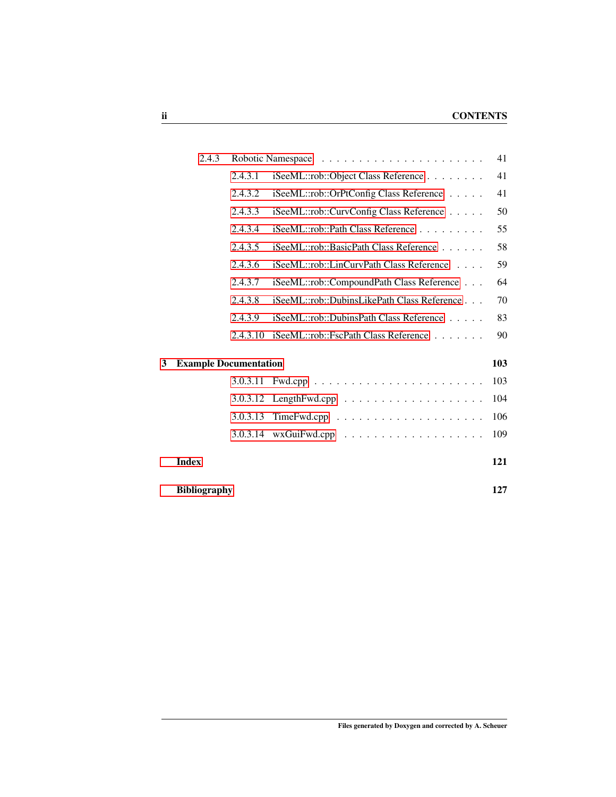|   | 2.4.3                        |          |                                                           |     |
|---|------------------------------|----------|-----------------------------------------------------------|-----|
|   |                              | 2.4.3.1  | iSeeML::rob::Object Class Reference                       | 41  |
|   |                              | 2.4.3.2  | iSeeML::rob::OrPtConfig Class Reference                   | 41  |
|   |                              | 2.4.3.3  | iSeeML::rob::CurvConfig Class Reference                   | 50  |
|   |                              | 2.4.3.4  | iSeeML::rob::Path Class Reference                         | 55  |
|   |                              | 2.4.3.5  | iSeeML::rob::BasicPath Class Reference                    | 58  |
|   |                              | 2.4.3.6  | iSeeML::rob::LinCurvPath Class Reference                  | 59  |
|   |                              | 2.4.3.7  | iSeeML::rob::CompoundPath Class Reference                 | 64  |
|   |                              | 2.4.3.8  | iSeeML::rob::DubinsLikePath Class Reference               | 70  |
|   |                              | 2.4.3.9  | iSeeML::rob::DubinsPath Class Reference                   | 83  |
|   |                              | 2.4.3.10 | iSeeML::rob::FscPath Class Reference                      | 90  |
| 3 | <b>Example Documentation</b> |          | 103                                                       |     |
|   |                              | 3.0.3.11 |                                                           | 103 |
|   |                              | 3.0.3.12 | $LengthFwd.cpp \dots \dots \dots \dots \dots \dots \dots$ | 104 |
|   |                              | 3.0.3.13 |                                                           | 106 |
|   |                              | 3.0.3.14 |                                                           | 109 |
|   | <b>Index</b>                 |          |                                                           | 121 |
|   | <b>Bibliography</b>          |          |                                                           | 127 |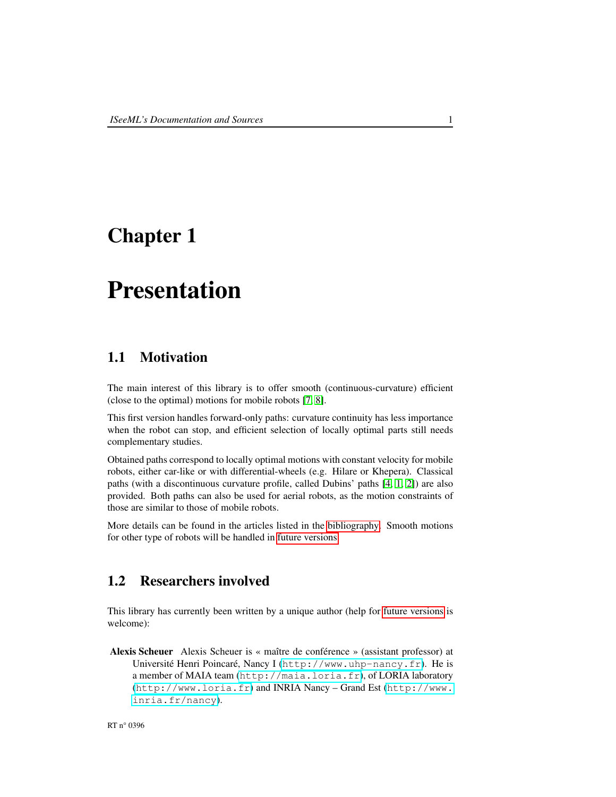## <span id="page-7-0"></span>Chapter 1

## Presentation

## <span id="page-7-1"></span>1.1 Motivation

The main interest of this library is to offer smooth (continuous-curvature) efficient (close to the optimal) motions for mobile robots [\[7,](#page-133-1) [8\]](#page-133-2).

This first version handles forward-only paths: curvature continuity has less importance when the robot can stop, and efficient selection of locally optimal parts still needs complementary studies.

Obtained paths correspond to locally optimal motions with constant velocity for mobile robots, either car-like or with differential-wheels (e.g. Hilare or Khepera). Classical paths (with a discontinuous curvature profile, called Dubins' paths [\[4,](#page-133-3) [1,](#page-133-4) [2\]](#page-133-5)) are also provided. Both paths can also be used for aerial robots, as the motion constraints of those are similar to those of mobile robots.

More details can be found in the articles listed in the [bibliography.](#page-133-6) Smooth motions for other type of robots will be handled in [future versions.](#page-9-1)

## <span id="page-7-2"></span>1.2 Researchers involved

This library has currently been written by a unique author (help for [future versions](#page-9-1) is welcome):

<span id="page-7-3"></span>Alexis Scheuer Alexis Scheuer is « maître de conférence » (assistant professor) at Université Henri Poincaré, Nancy I (<http://www.uhp-nancy.fr>). He is a member of MAIA team (<http://maia.loria.fr>), of LORIA laboratory (<http://www.loria.fr>) and INRIA Nancy – Grand Est ([http://www.](http://www.inria.fr/nancy) [inria.fr/nancy](http://www.inria.fr/nancy)).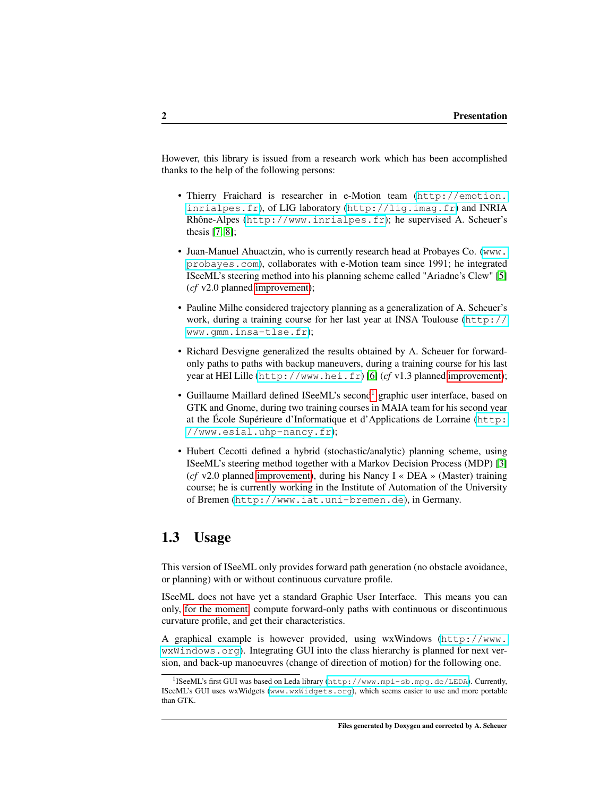However, this library is issued from a research work which has been accomplished thanks to the help of the following persons:

- Thierry Fraichard is researcher in e-Motion team ([http://emotion.](http://emotion.inrialpes.fr) [inrialpes.fr](http://emotion.inrialpes.fr)), of LIG laboratory (<http://lig.imag.fr>) and INRIA Rhône-Alpes (<http://www.inrialpes.fr>); he supervised A. Scheuer's thesis [\[7,](#page-133-1) [8\]](#page-133-2);
- Juan-Manuel Ahuactzin, who is currently research head at Probayes Co. ([www.](www.probayes.com) [probayes.com](www.probayes.com)), collaborates with e-Motion team since 1991; he integrated ISeeML's steering method into his planning scheme called "Ariadne's Clew" [\[5\]](#page-133-7) (*cf* v2.0 planned [improvement\)](#page-9-1);
- Pauline Milhe considered trajectory planning as a generalization of A. Scheuer's work, during a training course for her last year at INSA Toulouse ([http://](http://www.gmm.insa-tlse.fr) [www.gmm.insa-tlse.fr](http://www.gmm.insa-tlse.fr));
- Richard Desvigne generalized the results obtained by A. Scheuer for forwardonly paths to paths with backup maneuvers, during a training course for his last year at HEI Lille (<http://www.hei.fr>) [\[6\]](#page-133-8) (*cf* v1.3 planned [improvement\)](#page-9-1);
- Guillaume Maillard defined ISeeML's second<sup>[1](#page-8-1)</sup> graphic user interface, based on GTK and Gnome, during two training courses in MAIA team for his second year at the École Supérieure d'Informatique et d'Applications de Lorraine ([http:](http://www.esial.uhp-nancy.fr) [//www.esial.uhp-nancy.fr](http://www.esial.uhp-nancy.fr));
- Hubert Cecotti defined a hybrid (stochastic/analytic) planning scheme, using ISeeML's steering method together with a Markov Decision Process (MDP) [\[3\]](#page-133-9) (*cf* v2.0 planned [improvement\)](#page-9-1), during his Nancy I « DEA » (Master) training course; he is currently working in the Institute of Automation of the University of Bremen (<http://www.iat.uni-bremen.de>), in Germany.

## <span id="page-8-0"></span>1.3 Usage

This version of ISeeML only provides forward path generation (no obstacle avoidance, or planning) with or without continuous curvature profile.

ISeeML does not have yet a standard Graphic User Interface. This means you can only, [for the moment,](#page-9-1) compute forward-only paths with continuous or discontinuous curvature profile, and get their characteristics.

A graphical example is however provided, using wxWindows ([http://www.](http://www.wxWindows.org) [wxWindows.org](http://www.wxWindows.org)). Integrating GUI into the class hierarchy is planned for next version, and back-up manoeuvres (change of direction of motion) for the following one.

<span id="page-8-1"></span><sup>1</sup> ISeeML's first GUI was based on Leda library (<http://www.mpi-sb.mpg.de/LEDA>). Currently, ISeeML's GUI uses wxWidgets (<www.wxWidgets.org>), which seems easier to use and more portable than GTK.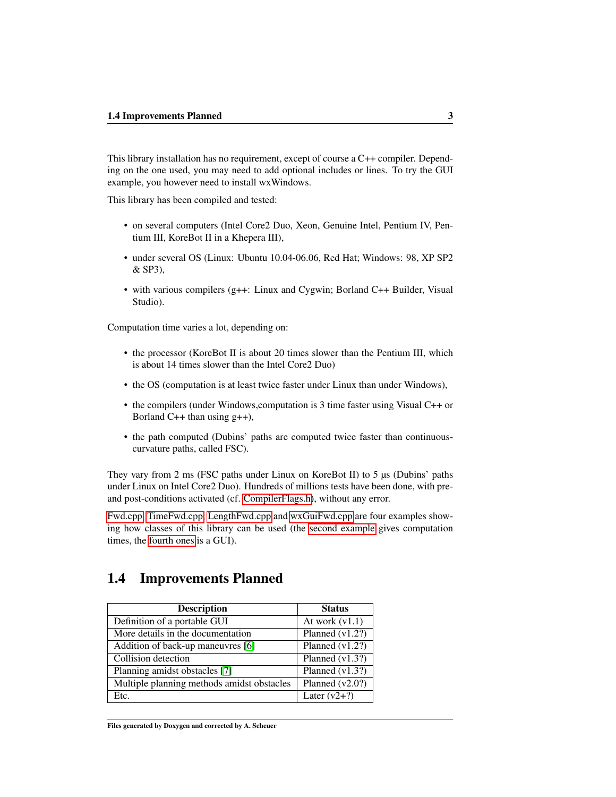This library installation has no requirement, except of course a C++ compiler. Depending on the one used, you may need to add optional includes or lines. To try the GUI example, you however need to install wxWindows.

This library has been compiled and tested:

- on several computers (Intel Core2 Duo, Xeon, Genuine Intel, Pentium IV, Pentium III, KoreBot II in a Khepera III),
- under several OS (Linux: Ubuntu 10.04-06.06, Red Hat; Windows: 98, XP SP2 & SP3),
- with various compilers (g++: Linux and Cygwin; Borland C++ Builder, Visual Studio).

Computation time varies a lot, depending on:

- the processor (KoreBot II is about 20 times slower than the Pentium III, which is about 14 times slower than the Intel Core2 Duo)
- the OS (computation is at least twice faster under Linux than under Windows),
- the compilers (under Windows,computation is 3 time faster using Visual C++ or Borland  $C_{++}$  than using  $g_{++}$ ),
- the path computed (Dubins' paths are computed twice faster than continuouscurvature paths, called FSC).

They vary from 2 ms (FSC paths under Linux on KoreBot II) to 5 µs (Dubins' paths under Linux on Intel Core2 Duo). Hundreds of millions tests have been done, with preand post-conditions activated (cf. [CompilerFlags.h\)](#page-14-2), without any error.

[Fwd.cpp,](#page-109-1) [TimeFwd.cpp,](#page-112-1) [LengthFwd.cpp](#page-110-1) and [wxGuiFwd.cpp](#page-115-1) are four examples showing how classes of this library can be used (the [second example](#page-112-1) gives computation times, the [fourth ones](#page-115-1) is a GUI).

## <span id="page-9-1"></span><span id="page-9-0"></span>1.4 Improvements Planned

| <b>Description</b>                         | <b>Status</b>     |
|--------------------------------------------|-------------------|
| Definition of a portable GUI               | At work $(v1.1)$  |
| More details in the documentation          | Planned $(v1.2?)$ |
| Addition of back-up maneuvres [6]          | Planned $(v1.2?)$ |
| Collision detection                        | Planned $(v1.3?)$ |
| Planning amidst obstacles [7]              | Planned $(v1.3?)$ |
| Multiple planning methods amidst obstacles | Planned $(v2.0?)$ |
| Etc.                                       | Later $(v2+?)$    |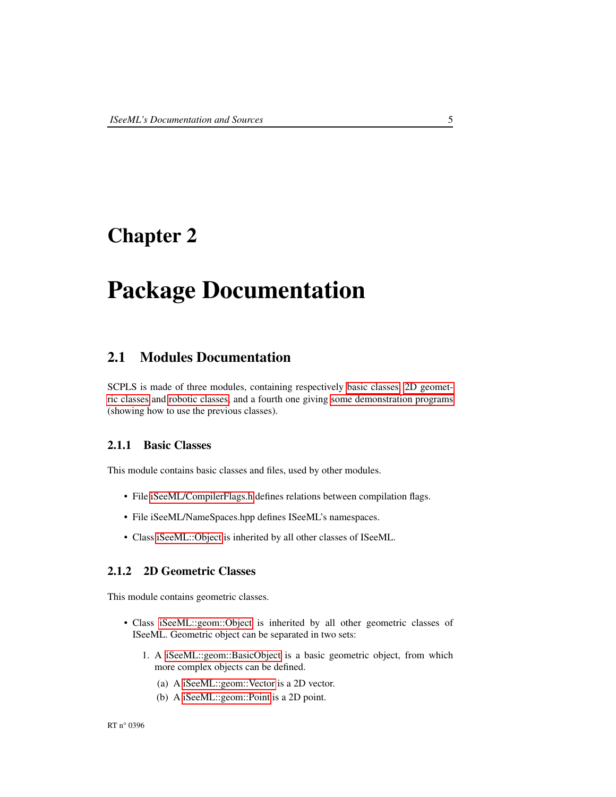## <span id="page-11-0"></span>Chapter 2

## Package Documentation

## <span id="page-11-1"></span>2.1 Modules Documentation

SCPLS is made of three modules, containing respectively [basic classes,](#page-11-4) [2D geomet](#page-11-5)[ric classes](#page-11-5) and [robotic classes,](#page-12-2) and a fourth one giving [some demonstration programs](#page-12-3) (showing how to use the previous classes).

### <span id="page-11-4"></span><span id="page-11-2"></span>2.1.1 Basic Classes

This module contains basic classes and files, used by other modules.

- File [iSeeML/CompilerFlags.h](#page-14-2) defines relations between compilation flags.
- File iSeeML/NameSpaces.hpp defines ISeeML's namespaces.
- Class [iSeeML::Object](#page-15-1) is inherited by all other classes of ISeeML.

### <span id="page-11-5"></span><span id="page-11-3"></span>2.1.2 2D Geometric Classes

This module contains geometric classes.

- Class [iSeeML::geom::Object](#page-23-1) is inherited by all other geometric classes of ISeeML. Geometric object can be separated in two sets:
	- 1. A [iSeeML::geom::BasicObject](#page-25-1) is a basic geometric object, from which more complex objects can be defined.
		- (a) A [iSeeML::geom::Vector](#page-32-0) is a 2D vector.
		- (b) A [iSeeML::geom::Point](#page-25-2) is a 2D point.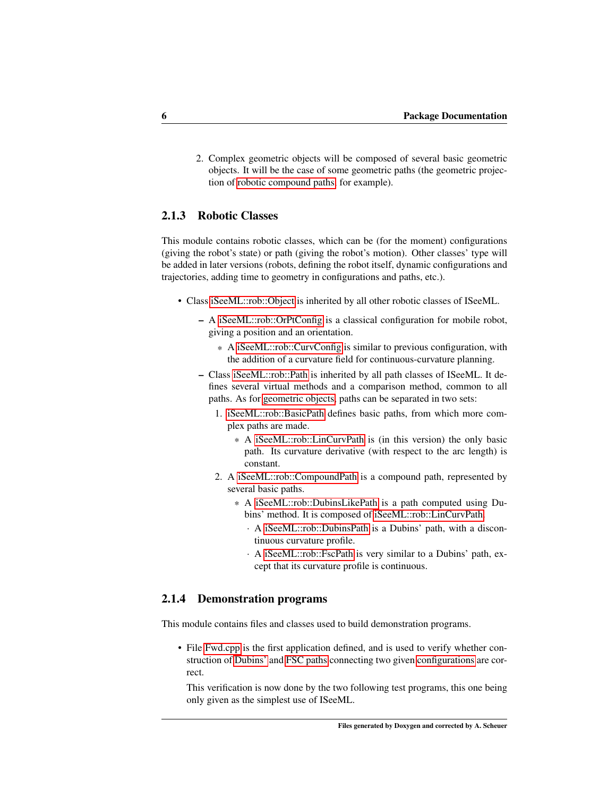2. Complex geometric objects will be composed of several basic geometric objects. It will be the case of some geometric paths (the geometric projection of [robotic compound paths,](#page-70-1) for example).

### <span id="page-12-2"></span><span id="page-12-0"></span>2.1.3 Robotic Classes

This module contains robotic classes, which can be (for the moment) configurations (giving the robot's state) or path (giving the robot's motion). Other classes' type will be added in later versions (robots, defining the robot itself, dynamic configurations and trajectories, adding time to geometry in configurations and paths, etc.).

- Class [iSeeML::rob::Object](#page-47-1) is inherited by all other robotic classes of ISeeML.
	- A [iSeeML::rob::OrPtConfig](#page-47-3) is a classical configuration for mobile robot, giving a position and an orientation.
		- \* A [iSeeML::rob::CurvConfig](#page-56-1) is similar to previous configuration, with the addition of a curvature field for continuous-curvature planning.
	- Class [iSeeML::rob::Path](#page-61-1) is inherited by all path classes of ISeeML. It defines several virtual methods and a comparison method, common to all paths. As for [geometric objects,](#page-11-5) paths can be separated in two sets:
		- 1. [iSeeML::rob::BasicPath](#page-64-1) defines basic paths, from which more complex paths are made.
			- \* A [iSeeML::rob::LinCurvPath](#page-65-1) is (in this version) the only basic path. Its curvature derivative (with respect to the arc length) is constant.
		- 2. A [iSeeML::rob::CompoundPath](#page-70-1) is a compound path, represented by several basic paths.
			- \* A [iSeeML::rob::DubinsLikePath](#page-76-1) is a path computed using Dubins' method. It is composed of [iSeeML::rob::LinCurvPath.](#page-65-1)
				- · A [iSeeML::rob::DubinsPath](#page-88-0) is a Dubins' path, with a discontinuous curvature profile.
				- · A [iSeeML::rob::FscPath](#page-96-1) is very similar to a Dubins' path, except that its curvature profile is continuous.

#### <span id="page-12-3"></span><span id="page-12-1"></span>2.1.4 Demonstration programs

This module contains files and classes used to build demonstration programs.

• File [Fwd.cpp](#page-109-1) is the first application defined, and is used to verify whether construction of [Dubins'](#page-88-0) and [FSC paths](#page-96-1) connecting two given [configurations](#page-47-3) are correct.

This verification is now done by the two following test programs, this one being only given as the simplest use of ISeeML.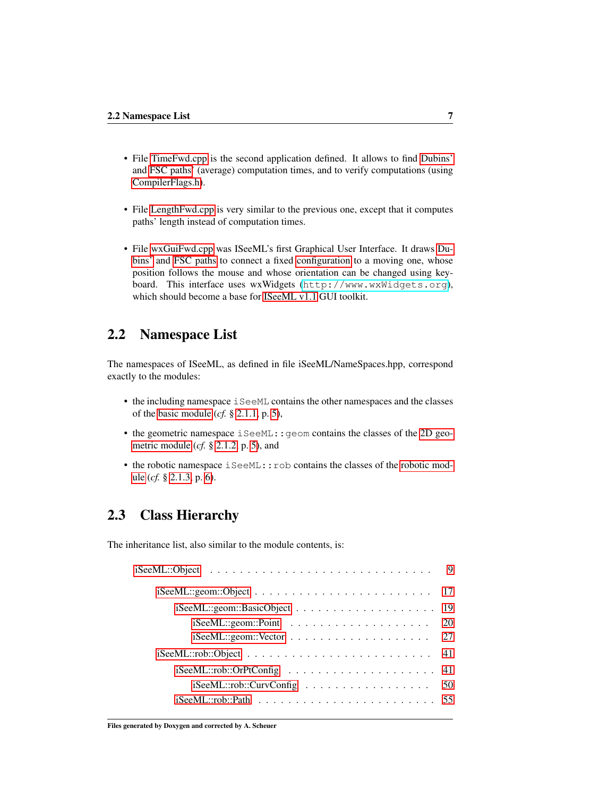- File [TimeFwd.cpp](#page-112-1) is the second application defined. It allows to find [Dubins'](#page-88-0) and [FSC paths'](#page-96-1) (average) computation times, and to verify computations (using [CompilerFlags.h\)](#page-14-2).
- File [LengthFwd.cpp](#page-110-1) is very similar to the previous one, except that it computes paths' length instead of computation times.
- File [wxGuiFwd.cpp](#page-115-1) was ISeeML's first Graphical User Interface. It draws [Du](#page-88-0)[bins'](#page-88-0) and [FSC paths](#page-96-1) to connect a fixed [configuration](#page-47-3) to a moving one, whose position follows the mouse and whose orientation can be changed using keyboard. This interface uses wxWidgets (<http://www.wxWidgets.org>), which should become a base for [ISeeML v1.1](#page-9-1) GUI toolkit.

## <span id="page-13-0"></span>2.2 Namespace List

The namespaces of ISeeML, as defined in file iSeeML/NameSpaces.hpp, correspond exactly to the modules:

- the including namespace iSeeML contains the other namespaces and the classes of the [basic module](#page-11-4) (*cf.* § [2.1.1,](#page-11-2) p. [5\)](#page-11-2),
- the geometric namespace  $i$  SeeML:  $:$  geom contains the classes of the [2D geo](#page-11-5)[metric module](#page-11-5) (*cf.* § [2.1.2,](#page-11-3) p. [5\)](#page-11-3), and
- the robotic namespace iSeeML:: rob contains the classes of the [robotic mod](#page-12-2)[ule](#page-12-2) (*cf.* § [2.1.3,](#page-12-0) p. [6\)](#page-12-0).

## <span id="page-13-1"></span>2.3 Class Hierarchy

The inheritance list, also similar to the module contents, is:

| $iSee ML:geom::BasicObject \ldots \ldots \ldots \ldots \ldots \ldots 19$ |      |
|--------------------------------------------------------------------------|------|
|                                                                          | 20   |
|                                                                          | - 27 |
|                                                                          |      |
|                                                                          |      |
| iSeeML::rob::CurvConfig                                                  | 50   |
|                                                                          |      |
|                                                                          |      |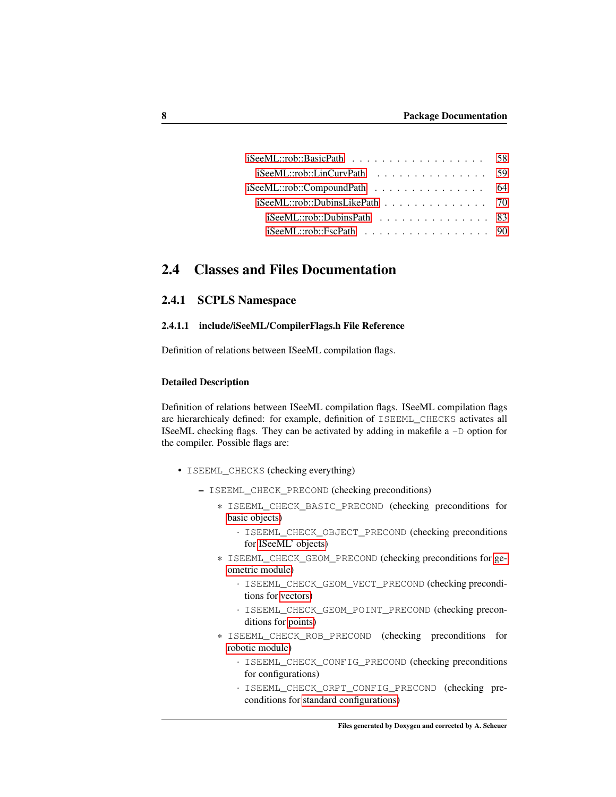| $iSee ML::rob::BasicPath$ 58      |  |
|-----------------------------------|--|
| $iSee ML::rob::LinCurvPath$ 59    |  |
|                                   |  |
| $i$ SeeML::rob::DubinsLikePath 70 |  |
| $iSee ML::rob::DubinsPath$ 83     |  |
| $iSee ML::rob::FscPath$ 90        |  |

## <span id="page-14-0"></span>2.4 Classes and Files Documentation

### <span id="page-14-1"></span>2.4.1 SCPLS Namespace

#### <span id="page-14-2"></span>2.4.1.1 include/iSeeML/CompilerFlags.h File Reference

Definition of relations between ISeeML compilation flags.

#### Detailed Description

Definition of relations between ISeeML compilation flags. ISeeML compilation flags are hierarchicaly defined: for example, definition of ISEEML\_CHECKS activates all ISeeML checking flags. They can be activated by adding in makefile  $a - D$  option for the compiler. Possible flags are:

- ISEEML\_CHECKS (checking everything)
	- ISEEML\_CHECK\_PRECOND (checking preconditions)
		- \* ISEEML\_CHECK\_BASIC\_PRECOND (checking preconditions for [basic objects\)](#page-11-4)
			- · ISEEML\_CHECK\_OBJECT\_PRECOND (checking preconditions for [ISeeML' objects\)](#page-15-1)
		- \* ISEEML\_CHECK\_GEOM\_PRECOND (checking preconditions for [ge](#page-11-5)[ometric module\)](#page-11-5)
			- · ISEEML\_CHECK\_GEOM\_VECT\_PRECOND (checking preconditions for [vectors\)](#page-32-0)
			- · ISEEML\_CHECK\_GEOM\_POINT\_PRECOND (checking preconditions for [points\)](#page-25-2)
		- \* ISEEML\_CHECK\_ROB\_PRECOND (checking preconditions for [robotic module\)](#page-12-2)
			- · ISEEML\_CHECK\_CONFIG\_PRECOND (checking preconditions for configurations)
			- · ISEEML\_CHECK\_ORPT\_CONFIG\_PRECOND (checking preconditions for [standard configurations\)](#page-47-3)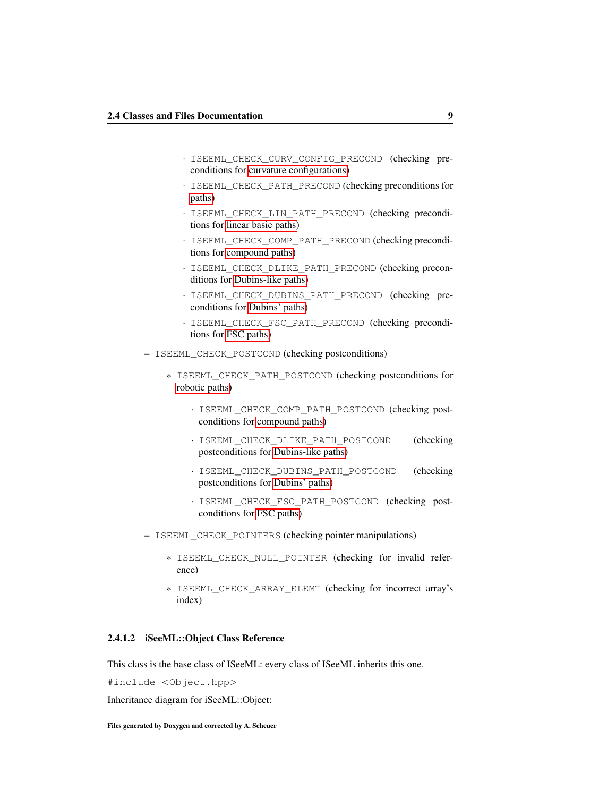- · ISEEML\_CHECK\_CURV\_CONFIG\_PRECOND (checking preconditions for [curvature configurations\)](#page-56-1)
- · ISEEML\_CHECK\_PATH\_PRECOND (checking preconditions for [paths\)](#page-61-1)
- · ISEEML\_CHECK\_LIN\_PATH\_PRECOND (checking preconditions for [linear basic paths\)](#page-65-1)
- · ISEEML\_CHECK\_COMP\_PATH\_PRECOND (checking preconditions for [compound paths\)](#page-70-1)
- · ISEEML\_CHECK\_DLIKE\_PATH\_PRECOND (checking preconditions for [Dubins-like paths\)](#page-76-1)
- · ISEEML\_CHECK\_DUBINS\_PATH\_PRECOND (checking preconditions for [Dubins' paths\)](#page-88-0)
- · ISEEML\_CHECK\_FSC\_PATH\_PRECOND (checking preconditions for [FSC paths\)](#page-96-1)
- ISEEML\_CHECK\_POSTCOND (checking postconditions)
	- \* ISEEML\_CHECK\_PATH\_POSTCOND (checking postconditions for [robotic paths\)](#page-61-1)
		- · ISEEML\_CHECK\_COMP\_PATH\_POSTCOND (checking postconditions for [compound paths\)](#page-70-1)
		- · ISEEML\_CHECK\_DLIKE\_PATH\_POSTCOND (checking postconditions for [Dubins-like paths\)](#page-76-1)
		- · ISEEML\_CHECK\_DUBINS\_PATH\_POSTCOND (checking postconditions for [Dubins' paths\)](#page-88-0)
		- · ISEEML\_CHECK\_FSC\_PATH\_POSTCOND (checking postconditions for [FSC paths\)](#page-96-1)
- ISEEML\_CHECK\_POINTERS (checking pointer manipulations)
	- \* ISEEML\_CHECK\_NULL\_POINTER (checking for invalid reference)
	- \* ISEEML\_CHECK\_ARRAY\_ELEMT (checking for incorrect array's index)

### <span id="page-15-1"></span><span id="page-15-0"></span>2.4.1.2 iSeeML::Object Class Reference

This class is the base class of ISeeML: every class of ISeeML inherits this one.

#include <Object.hpp>

Inheritance diagram for iSeeML::Object: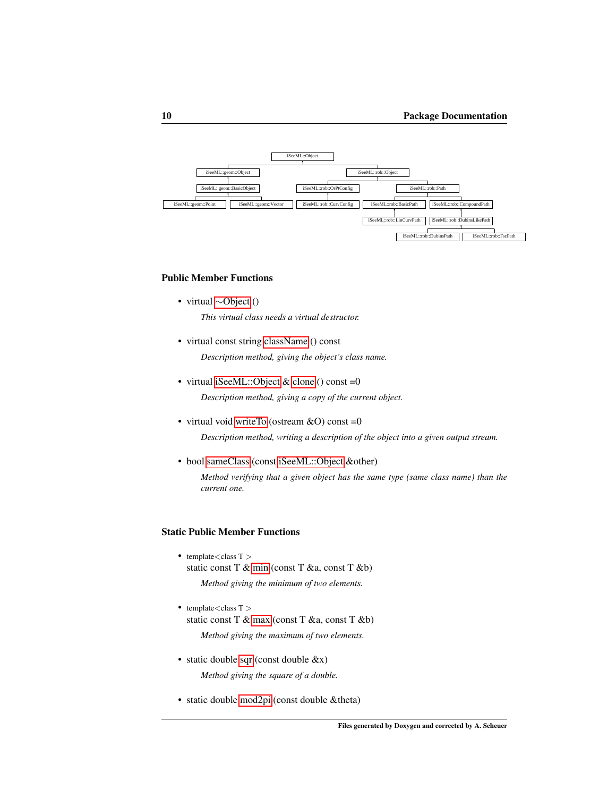

#### <span id="page-16-0"></span>Public Member Functions

- virtual ∼[Object](#page-16-0) () *This virtual class needs a virtual destructor.*
- virtual const string [className](#page-19-0) () const *Description method, giving the object's class name.*
- virtual [iSeeML::Object](#page-15-1) & [clone](#page-19-1) () const =0 *Description method, giving a copy of the current object.*
- virtual void [writeTo](#page-22-0) (ostream  $&O$ ) const =0 *Description method, writing a description of the object into a given output stream.*
- bool [sameClass](#page-21-0) (const [iSeeML::Object](#page-15-1) &other)

*Method verifying that a given object has the same type (same class name) than the current one.*

### Static Public Member Functions

- template<class  $T >$ static const T & [min](#page-21-1) (const T &a, const T &b) *Method giving the minimum of two elements.*
- template $<$ class T  $>$ static const T & [max](#page-20-0) (const T &a, const T &b) *Method giving the maximum of two elements.*
- static double [sqr](#page-22-1) (const double &x) *Method giving the square of a double.*
- static double [mod2pi](#page-21-2) (const double &theta)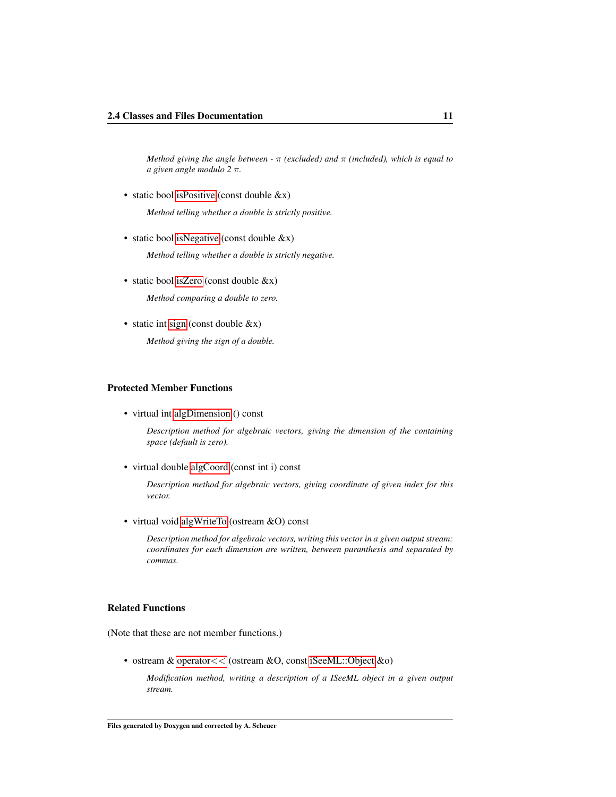*Method giving the angle between -* π *(excluded) and* π *(included), which is equal to a given angle modulo 2* π*.*

• static bool is Positive (const double  $&x$ )

*Method telling whether a double is strictly positive.*

- static bool [isNegative](#page-20-2) (const double &x) *Method telling whether a double is strictly negative.*
- static bool [isZero](#page-20-3) (const double &x)

*Method comparing a double to zero.*

• static int [sign](#page-22-2) (const double  $&x$ )

*Method giving the sign of a double.*

#### Protected Member Functions

• virtual int [algDimension](#page-18-0) () const

*Description method for algebraic vectors, giving the dimension of the containing space (default is zero).*

• virtual double [algCoord](#page-18-1) (const int i) const

*Description method for algebraic vectors, giving coordinate of given index for this vector.*

• virtual void [algWriteTo](#page-19-2) (ostream &O) const

*Description method for algebraic vectors, writing this vector in a given output stream: coordinates for each dimension are written, between paranthesis and separated by commas.*

#### Related Functions

(Note that these are not member functions.)

• ostream & [operator](#page-23-2)<< (ostream &O, const [iSeeML::Object](#page-15-1) &o)

*Modification method, writing a description of a ISeeML object in a given output stream.*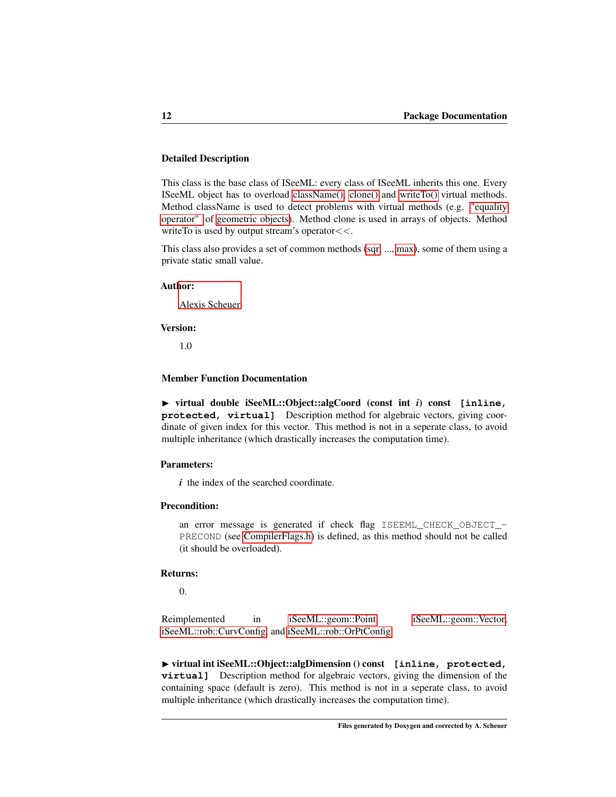#### Detailed Description

This class is the base class of ISeeML: every class of ISeeML inherits this one. Every ISeeML object has to overload [className\(\),](#page-19-0) [clone\(\)](#page-19-1) and [writeTo\(\)](#page-22-0) virtual methods. Method className is used to detect problems with virtual methods (e.g. ["equality](#page-24-0) [operator"](#page-24-0) of [geometric objects\)](#page-23-1). Method clone is used in arrays of objects. Method writeTo is used by output stream's operator <<.

This class also provides a set of common methods [\(sqr,](#page-22-1) ..., [max\)](#page-20-0), some of them using a private static small value.

#### Author:

[Alexis Scheuer.](#page-7-3)

#### Version:

1.0

#### Member Function Documentation

<span id="page-18-1"></span>◮ virtual double iSeeML::Object::algCoord (const int *i*) const **[inline, protected, virtual]** Description method for algebraic vectors, giving coordinate of given index for this vector. This method is not in a seperate class, to avoid multiple inheritance (which drastically increases the computation time).

#### Parameters:

*i* the index of the searched coordinate.

#### Precondition:

an error message is generated if check flag ISEEML\_CHECK\_OBJECT\_- PRECOND (see [CompilerFlags.h\)](#page-14-2) is defined, as this method should not be called (it should be overloaded).

#### Returns:

<span id="page-18-0"></span>0.

Reimplemented in [iSeeML::geom::Point,](#page-28-0) [iSeeML::geom::Vector,](#page-37-0) [iSeeML::rob::CurvConfig,](#page-59-0) and [iSeeML::rob::OrPtConfig.](#page-51-0)

◮ virtual int iSeeML::Object::algDimension () const **[inline, protected, virtual]** Description method for algebraic vectors, giving the dimension of the containing space (default is zero). This method is not in a seperate class, to avoid multiple inheritance (which drastically increases the computation time).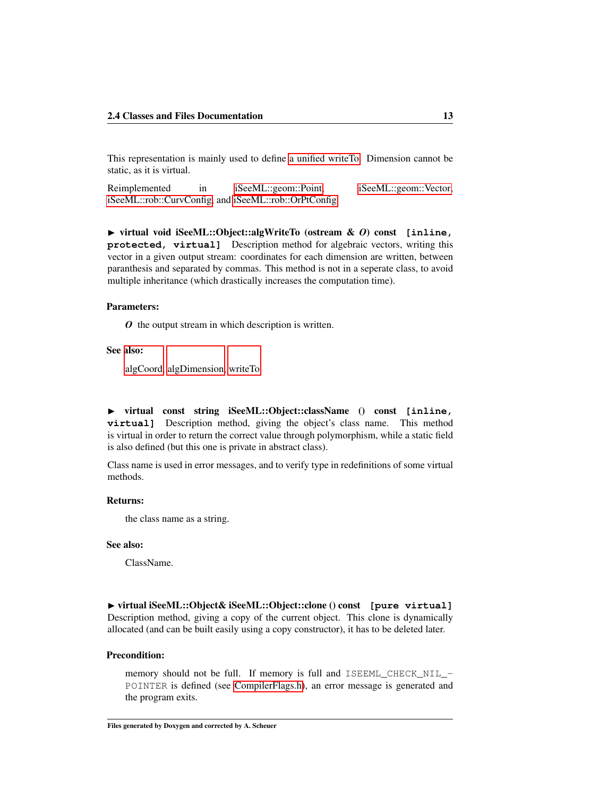This representation is mainly used to define [a unified writeTo.](#page-19-2) Dimension cannot be static, as it is virtual.

<span id="page-19-2"></span>Reimplemented in [iSeeML::geom::Point,](#page-29-0) [iSeeML::geom::Vector,](#page-38-0) [iSeeML::rob::CurvConfig,](#page-60-0) and [iSeeML::rob::OrPtConfig.](#page-52-0)

◮ virtual void iSeeML::Object::algWriteTo (ostream & *O*) const **[inline, protected, virtual]** Description method for algebraic vectors, writing this vector in a given output stream: coordinates for each dimension are written, between paranthesis and separated by commas. This method is not in a seperate class, to avoid multiple inheritance (which drastically increases the computation time).

#### Parameters:

*O* the output stream in which description is written.

#### See also:

[algCoord,](#page-18-1) [algDimension,](#page-18-0) [writeTo.](#page-22-0)

<span id="page-19-0"></span>◮ virtual const string iSeeML::Object::className () const **[inline, virtual]** Description method, giving the object's class name. This method is virtual in order to return the correct value through polymorphism, while a static field is also defined (but this one is private in abstract class).

Class name is used in error messages, and to verify type in redefinitions of some virtual methods.

#### Returns:

the class name as a string.

#### See also:

ClassName.

<span id="page-19-1"></span>◮ virtual iSeeML::Object& iSeeML::Object::clone () const **[pure virtual]** Description method, giving a copy of the current object. This clone is dynamically allocated (and can be built easily using a copy constructor), it has to be deleted later.

#### Precondition:

memory should not be full. If memory is full and ISEEML\_CHECK\_NIL\_- POINTER is defined (see [CompilerFlags.h\)](#page-14-2), an error message is generated and the program exits.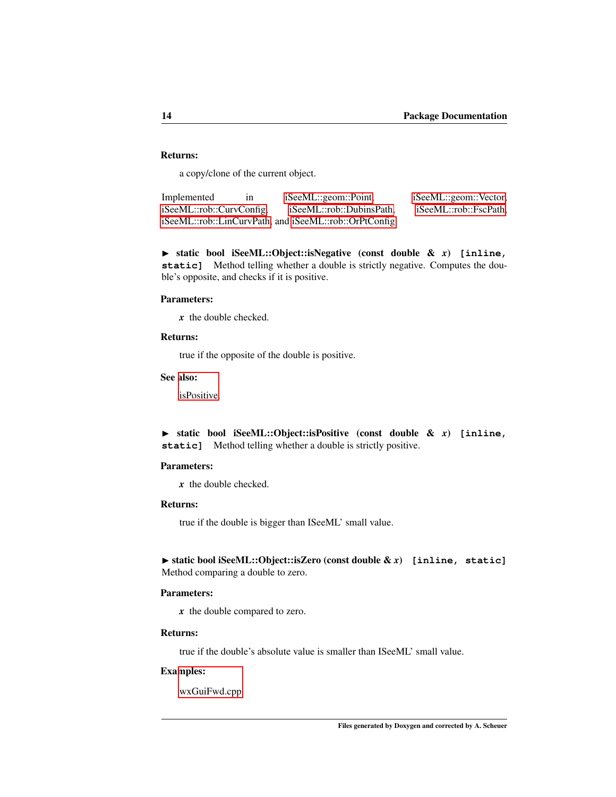#### Returns:

<span id="page-20-2"></span>a copy/clone of the current object.

Implemented in [iSeeML::geom::Point,](#page-29-1) [iSeeML::geom::Vector,](#page-38-1) [iSeeML::rob::CurvConfig,](#page-60-1) [iSeeML::rob::DubinsPath,](#page-93-0) [iSeeML::rob::FscPath,](#page-102-0) [iSeeML::rob::LinCurvPath,](#page-67-0) and [iSeeML::rob::OrPtConfig.](#page-52-1)

◮ static bool iSeeML::Object::isNegative (const double & *x*) **[inline,** static] Method telling whether a double is strictly negative. Computes the double's opposite, and checks if it is positive.

#### Parameters:

*x* the double checked.

#### Returns:

true if the opposite of the double is positive.

See also:

<span id="page-20-1"></span>[isPositive.](#page-20-1)

◮ static bool iSeeML::Object::isPositive (const double & *x*) **[inline, static]** Method telling whether a double is strictly positive.

#### Parameters:

*x* the double checked.

#### Returns:

true if the double is bigger than ISeeML' small value.

#### <span id="page-20-3"></span>◮ static bool iSeeML::Object::isZero (const double & *x*) **[inline, static]** Method comparing a double to zero.

#### Parameters:

*x* the double compared to zero.

#### Returns:

true if the double's absolute value is smaller than ISeeML' small value.

#### Examples:

<span id="page-20-0"></span>[wxGuiFwd.cpp.](#page-115-1)

Files generated by Doxygen and corrected by A. Scheuer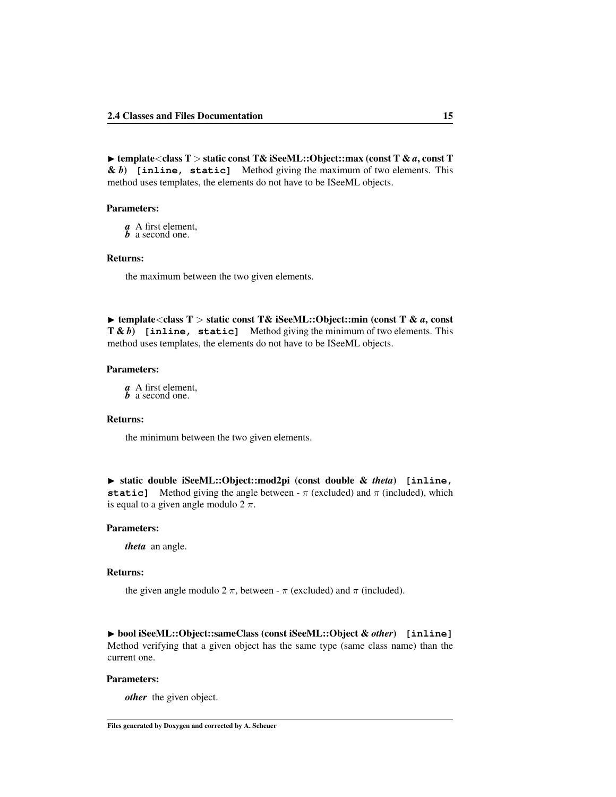◮ template<class T > static const T& iSeeML::Object::max (const T & *a*, const T & *b*) **[inline, static]** Method giving the maximum of two elements. This method uses templates, the elements do not have to be ISeeML objects.

#### Parameters:

*a* A first element,

*b* a second one.

#### Returns:

the maximum between the two given elements.

<span id="page-21-1"></span>◮ template<class T > static const T& iSeeML::Object::min (const T & *a*, const T & *b*) **[inline, static]** Method giving the minimum of two elements. This method uses templates, the elements do not have to be ISeeML objects.

#### Parameters:

*a* A first element, *b* a second one.

#### Returns:

the minimum between the two given elements.

<span id="page-21-2"></span>◮ static double iSeeML::Object::mod2pi (const double & *theta*) **[inline, static]** Method giving the angle between -  $\pi$  (excluded) and  $\pi$  (included), which is equal to a given angle modulo  $2 \pi$ .

#### Parameters:

*theta* an angle.

#### Returns:

the given angle modulo 2  $\pi$ , between -  $\pi$  (excluded) and  $\pi$  (included).

<span id="page-21-0"></span>◮ bool iSeeML::Object::sameClass (const iSeeML::Object & *other*) **[inline]** Method verifying that a given object has the same type (same class name) than the current one.

#### Parameters:

*other* the given object.

Files generated by Doxygen and corrected by A. Scheuer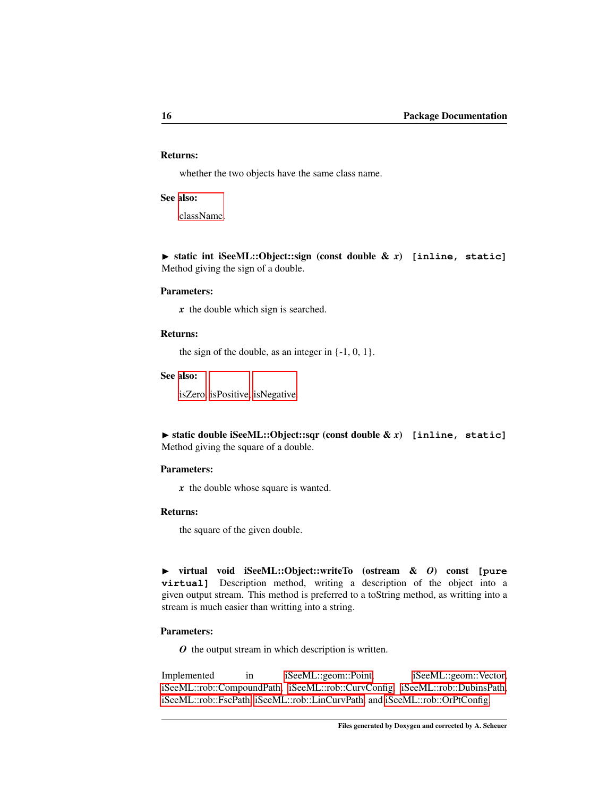#### Returns:

whether the two objects have the same class name.

#### See also:

<span id="page-22-2"></span>[className.](#page-19-0)

▶ static int iSeeML::Object::sign (const double & *x*) [inline, static] Method giving the sign of a double.

#### Parameters:

*x* the double which sign is searched.

#### Returns:

the sign of the double, as an integer in  $\{-1, 0, 1\}$ .

See also:

[isZero,](#page-20-3) [isPositive,](#page-20-1) [isNegative.](#page-20-2)

<span id="page-22-1"></span>◮ static double iSeeML::Object::sqr (const double & *x*) **[inline, static]** Method giving the square of a double.

#### Parameters:

*x* the double whose square is wanted.

#### Returns:

the square of the given double.

<span id="page-22-0"></span>◮ virtual void iSeeML::Object::writeTo (ostream & *O*) const **[pure virtual]** Description method, writing a description of the object into a given output stream. This method is preferred to a toString method, as writting into a stream is much easier than writting into a string.

#### Parameters:

*O* the output stream in which description is written.

Implemented in [iSeeML::geom::Point,](#page-31-0) [iSeeML::geom::Vector,](#page-45-0) [iSeeML::rob::CompoundPath,](#page-76-2) [iSeeML::rob::CurvConfig,](#page-60-2) [iSeeML::rob::DubinsPath,](#page-95-0) [iSeeML::rob::FscPath,](#page-106-0) [iSeeML::rob::LinCurvPath,](#page-69-0) and [iSeeML::rob::OrPtConfig.](#page-55-0)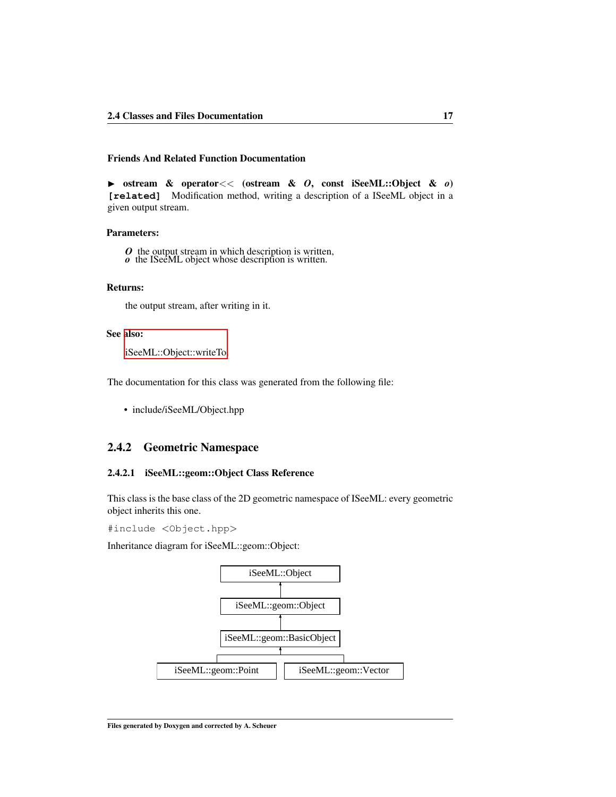#### Friends And Related Function Documentation

<span id="page-23-2"></span>◮ ostream & operator<< (ostream & *O*, const iSeeML::Object & *o*) **[related]** Modification method, writing a description of a ISeeML object in a given output stream.

#### Parameters:

*O* the output stream in which description is written, *o* the ISeeML object whose description is written.

#### Returns:

the output stream, after writing in it.

#### See also:

[iSeeML::Object::writeTo.](#page-22-0)

The documentation for this class was generated from the following file:

• include/iSeeML/Object.hpp

### <span id="page-23-0"></span>2.4.2 Geometric Namespace

#### <span id="page-23-1"></span>2.4.2.1 iSeeML::geom::Object Class Reference

This class is the base class of the 2D geometric namespace of ISeeML: every geometric object inherits this one.

#include <Object.hpp>

Inheritance diagram for iSeeML::geom::Object:

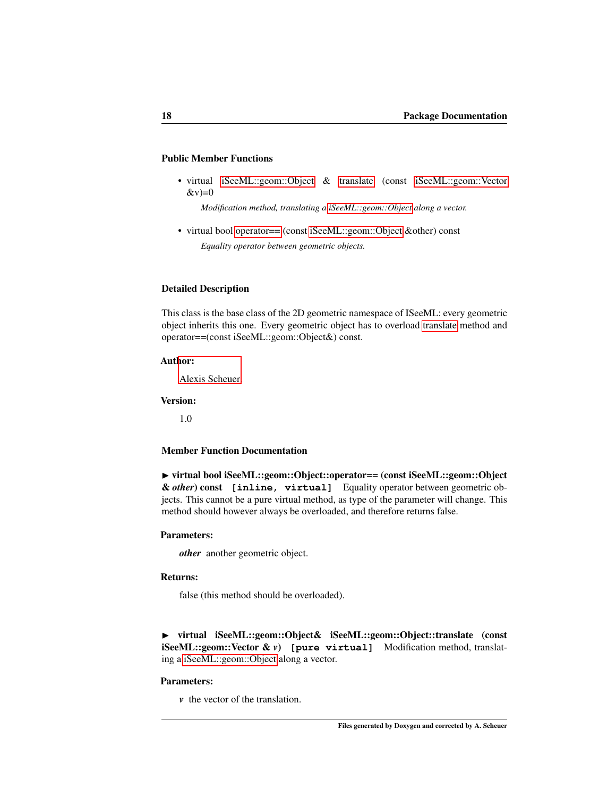#### Public Member Functions

• virtual [iSeeML::geom::Object](#page-23-1) & [translate](#page-24-1) (const [iSeeML::geom::Vector](#page-32-0)  $&$ v $)=0$ 

*Modification method, translating a [iSeeML::geom::Object](#page-23-1) along a vector.*

• virtual bool [operator==](#page-24-0) (const [iSeeML::geom::Object](#page-23-1) &other) const *Equality operator between geometric objects.*

#### Detailed Description

This class is the base class of the 2D geometric namespace of ISeeML: every geometric object inherits this one. Every geometric object has to overload [translate](#page-24-1) method and operator==(const iSeeML::geom::Object&) const.

#### Author:

[Alexis Scheuer.](#page-7-3)

#### Version:

1.0

#### Member Function Documentation

<span id="page-24-0"></span>◮ virtual bool iSeeML::geom::Object::operator== (const iSeeML::geom::Object & *other*) const **[inline, virtual]** Equality operator between geometric objects. This cannot be a pure virtual method, as type of the parameter will change. This method should however always be overloaded, and therefore returns false.

#### Parameters:

*other* another geometric object.

#### Returns:

<span id="page-24-1"></span>false (this method should be overloaded).

◮ virtual iSeeML::geom::Object& iSeeML::geom::Object::translate (const iSeeML::geom::Vector & *v*) **[pure virtual]** Modification method, translating a [iSeeML::geom::Object](#page-23-1) along a vector.

#### Parameters:

*v* the vector of the translation.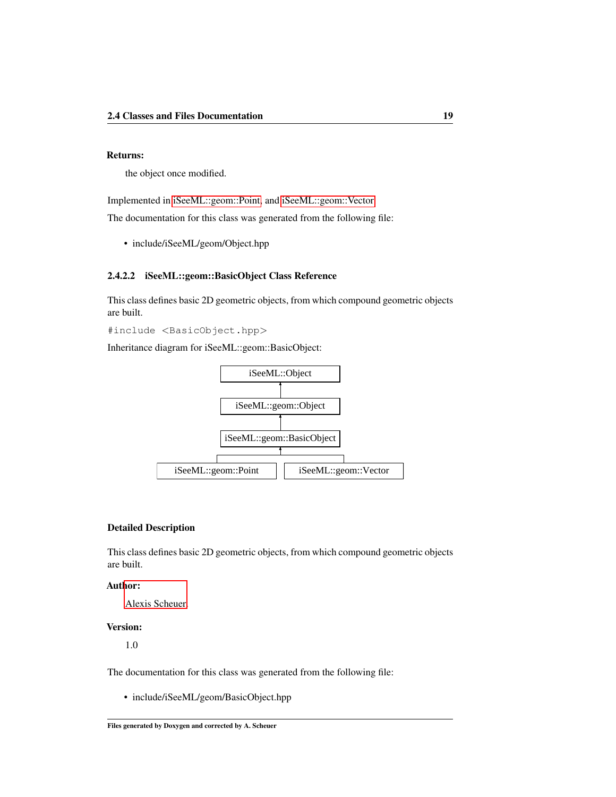#### Returns:

the object once modified.

Implemented in [iSeeML::geom::Point,](#page-31-1) and [iSeeML::geom::Vector.](#page-44-0)

The documentation for this class was generated from the following file:

• include/iSeeML/geom/Object.hpp

#### <span id="page-25-1"></span><span id="page-25-0"></span>2.4.2.2 iSeeML::geom::BasicObject Class Reference

This class defines basic 2D geometric objects, from which compound geometric objects are built.

#include <BasicObject.hpp>

Inheritance diagram for iSeeML::geom::BasicObject:



#### Detailed Description

This class defines basic 2D geometric objects, from which compound geometric objects are built.

#### Author:

[Alexis Scheuer.](#page-7-3)

#### Version:

1.0

The documentation for this class was generated from the following file:

<span id="page-25-2"></span>• include/iSeeML/geom/BasicObject.hpp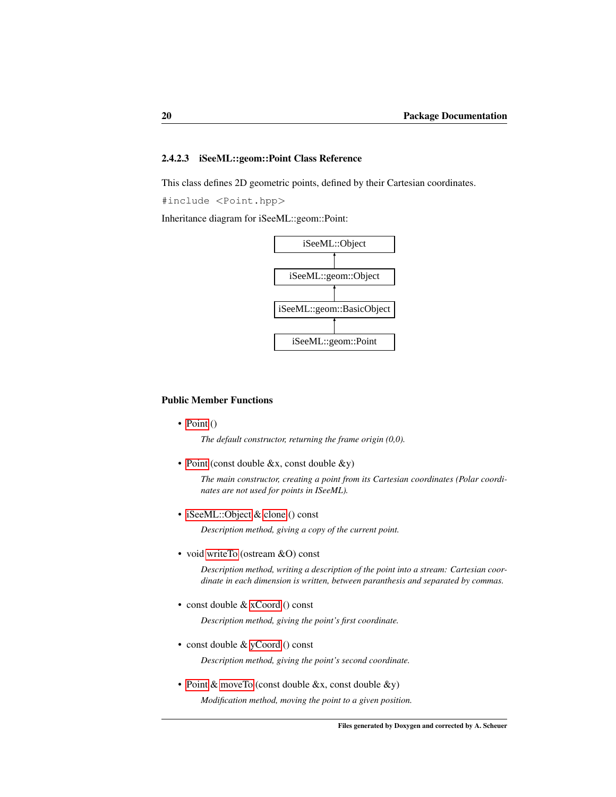#### <span id="page-26-0"></span>2.4.2.3 iSeeML::geom::Point Class Reference

This class defines 2D geometric points, defined by their Cartesian coordinates.

#include <Point.hpp>

Inheritance diagram for iSeeML::geom::Point:



#### <span id="page-26-1"></span>Public Member Functions

• [Point](#page-26-1)  $()$ 

*The default constructor, returning the frame origin (0,0).*

• [Point](#page-28-1) (const double &x, const double &y)

*The main constructor, creating a point from its Cartesian coordinates (Polar coordinates are not used for points in ISeeML).*

• [iSeeML::Object](#page-15-1) & [clone](#page-29-1) () const

*Description method, giving a copy of the current point.*

• void [writeTo](#page-31-0) (ostream &O) const

*Description method, writing a description of the point into a stream: Cartesian coordinate in each dimension is written, between paranthesis and separated by commas.*

• const double & [xCoord](#page-32-1) () const

*Description method, giving the point's first coordinate.*

• const double & [yCoord](#page-32-2) () const

*Description method, giving the point's second coordinate.*

• [Point](#page-25-2) & [moveTo](#page-29-2) (const double &x, const double &y) *Modification method, moving the point to a given position.*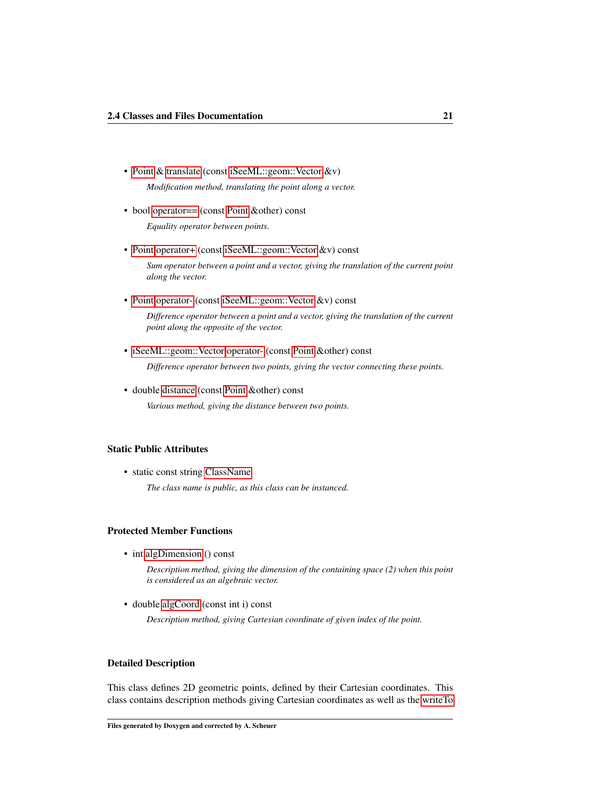- • [Point](#page-25-2) & [translate](#page-31-1) (const [iSeeML::geom::Vector](#page-32-0) &v) *Modification method, translating the point along a vector.*
- bool operator = (const [Point](#page-25-2) & other) const

*Equality operator between points.*

• [Point](#page-25-2) [operator+](#page-30-0) (const [iSeeML::geom::Vector](#page-32-0) &v) const

*Sum operator between a point and a vector, giving the translation of the current point along the vector.*

• [Point](#page-25-2) [operator-](#page-30-1) (const [iSeeML::geom::Vector](#page-32-0) &v) const

*Difference operator between a point and a vector, giving the translation of the current point along the opposite of the vector.*

- • [iSeeML::geom::Vector](#page-32-0) [operator-](#page-30-2) (const [Point](#page-25-2) &other) const *Difference operator between two points, giving the vector connecting these points.*
- double [distance](#page-29-3) (const [Point](#page-25-2) &other) const *Various method, giving the distance between two points.*

#### Static Public Attributes

• static const string [ClassName](#page-32-3)

*The class name is public, as this class can be instanced.*

#### Protected Member Functions

• int [algDimension](#page-29-0) () const

*Description method, giving the dimension of the containing space (2) when this point is considered as an algebraic vector.*

• double [algCoord](#page-28-0) (const int i) const

*Description method, giving Cartesian coordinate of given index of the point.*

#### Detailed Description

This class defines 2D geometric points, defined by their Cartesian coordinates. This class contains description methods giving Cartesian coordinates as well as the [writeTo](#page-31-0)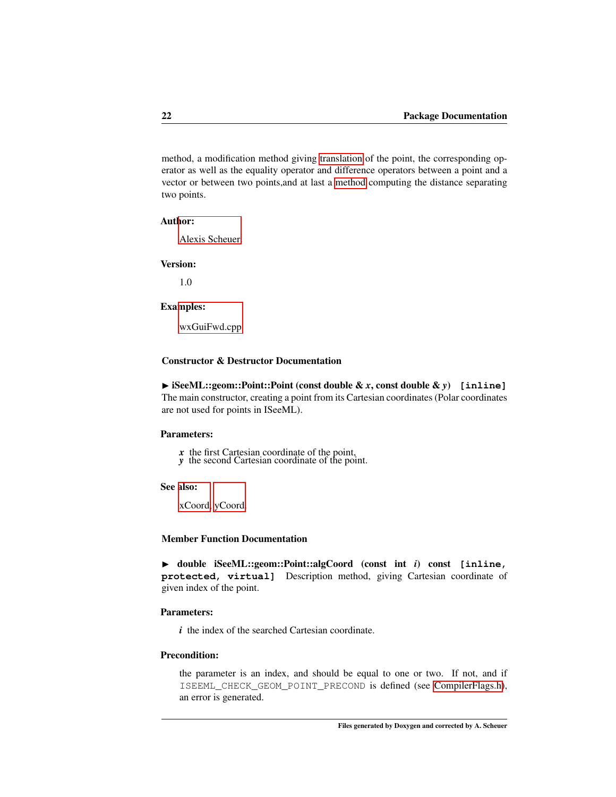method, a modification method giving [translation](#page-31-1) of the point, the corresponding operator as well as the equality operator and difference operators between a point and a vector or between two points,and at last a [method](#page-29-3) computing the distance separating two points.

#### Author:

[Alexis Scheuer.](#page-7-3)

#### Version:

1.0

#### Examples:

[wxGuiFwd.cpp.](#page-115-1)

#### Constructor & Destructor Documentation

<span id="page-28-1"></span>◮ iSeeML::geom::Point::Point (const double & *x*, const double & *y*) **[inline]** The main constructor, creating a point from its Cartesian coordinates (Polar coordinates are not used for points in ISeeML).

#### Parameters:

- *x* the first Cartesian coordinate of the point, *y* the second Cartesian coordinate of the point.
- 

#### See also:

[xCoord,](#page-32-1) [yCoord.](#page-32-2)

#### Member Function Documentation

<span id="page-28-0"></span>◮ double iSeeML::geom::Point::algCoord (const int *i*) const **[inline, protected, virtual]** Description method, giving Cartesian coordinate of given index of the point.

#### Parameters:

*i* the index of the searched Cartesian coordinate.

#### Precondition:

the parameter is an index, and should be equal to one or two. If not, and if ISEEML\_CHECK\_GEOM\_POINT\_PRECOND is defined (see [CompilerFlags.h\)](#page-14-2), an error is generated.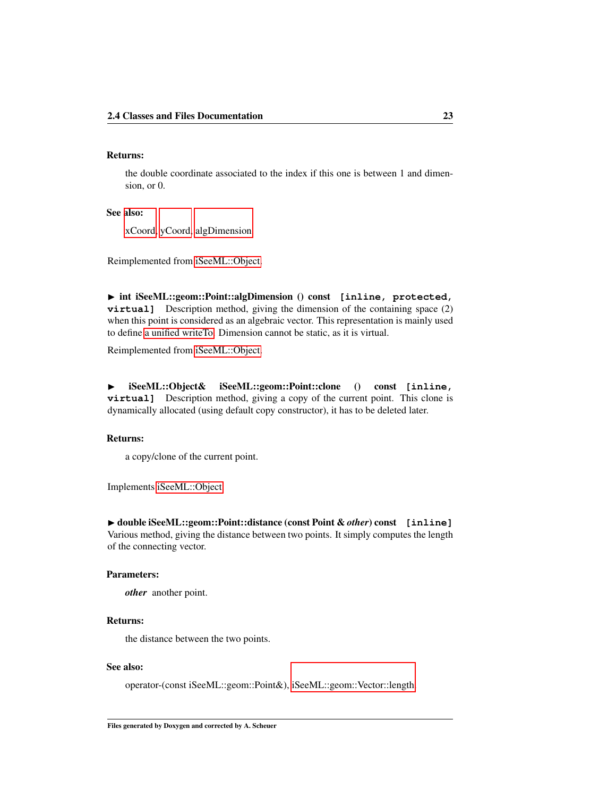#### Returns:

the double coordinate associated to the index if this one is between 1 and dimension, or 0.

#### See also:

<span id="page-29-0"></span>[xCoord,](#page-32-1) [yCoord,](#page-32-2) [algDimension.](#page-29-0)

Reimplemented from [iSeeML::Object.](#page-18-1)

◮ int iSeeML::geom::Point::algDimension () const **[inline, protected, virtual**] Description method, giving the dimension of the containing space (2) when this point is considered as an algebraic vector. This representation is mainly used to define [a unified writeTo.](#page-19-2) Dimension cannot be static, as it is virtual.

<span id="page-29-1"></span>Reimplemented from [iSeeML::Object.](#page-18-0)

◮ iSeeML::Object& iSeeML::geom::Point::clone () const **[inline, virtual]** Description method, giving a copy of the current point. This clone is dynamically allocated (using default copy constructor), it has to be deleted later.

#### Returns:

<span id="page-29-3"></span>a copy/clone of the current point.

Implements [iSeeML::Object.](#page-19-1)

◮ double iSeeML::geom::Point::distance (const Point & *other*) const **[inline]** Various method, giving the distance between two points. It simply computes the length of the connecting vector.

#### Parameters:

*other* another point.

#### Returns:

the distance between the two points.

#### See also:

operator-(const iSeeML::geom::Point&), [iSeeML::geom::Vector::length.](#page-40-0)

<span id="page-29-2"></span>Files generated by Doxygen and corrected by A. Scheuer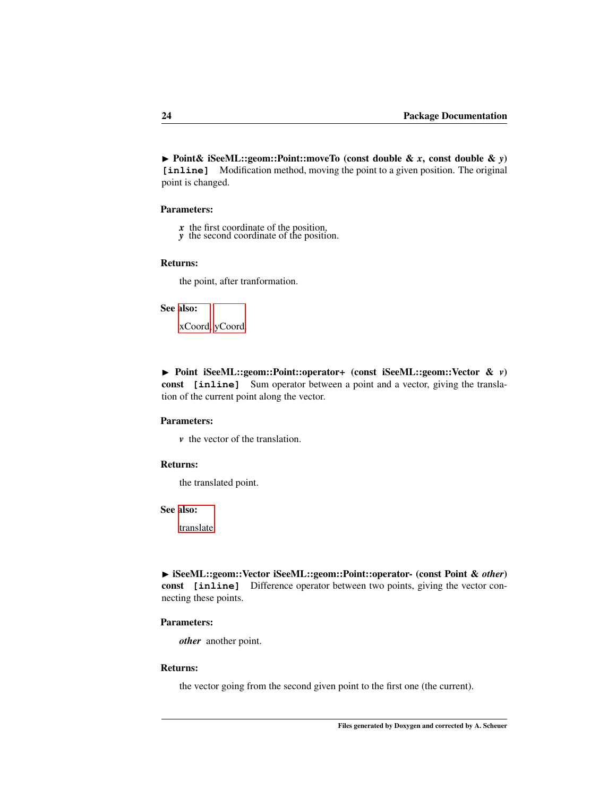◮ Point& iSeeML::geom::Point::moveTo (const double & *x*, const double & *y*) **[inline]** Modification method, moving the point to a given position. The original point is changed.

#### Parameters:

- *x* the first coordinate of the position,
- *y* the second coordinate of the position.

#### Returns:

the point, after tranformation.

#### See also:

[xCoord,](#page-32-1) [yCoord.](#page-32-2)

<span id="page-30-0"></span>◮ Point iSeeML::geom::Point::operator+ (const iSeeML::geom::Vector & *v*) const **[inline]** Sum operator between a point and a vector, giving the translation of the current point along the vector.

#### Parameters:

*v* the vector of the translation.

#### Returns:

the translated point.

#### See also:

<span id="page-30-2"></span>[translate.](#page-31-1)

◮ iSeeML::geom::Vector iSeeML::geom::Point::operator- (const Point & *other*) const **[inline]** Difference operator between two points, giving the vector connecting these points.

#### Parameters:

*other* another point.

#### Returns:

<span id="page-30-1"></span>the vector going from the second given point to the first one (the current).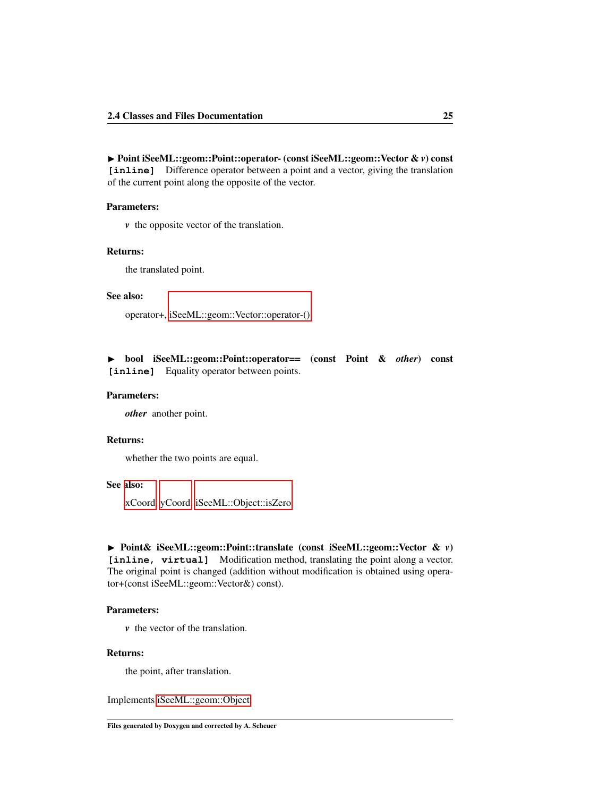◮ Point iSeeML::geom::Point::operator- (const iSeeML::geom::Vector & *v*) const **[inline]** Difference operator between a point and a vector, giving the translation of the current point along the opposite of the vector.

#### Parameters:

*v* the opposite vector of the translation.

#### Returns:

the translated point.

#### See also:

operator+, [iSeeML::geom::Vector::operator-\(\).](#page-42-0)

<span id="page-31-2"></span>◮ bool iSeeML::geom::Point::operator== (const Point & *other*) const **[inline]** Equality operator between points.

#### Parameters:

*other* another point.

#### Returns:

whether the two points are equal.

#### See also:

[xCoord,](#page-32-1) [yCoord,](#page-32-2) [iSeeML::Object::isZero.](#page-20-3)

### <span id="page-31-1"></span>◮ Point& iSeeML::geom::Point::translate (const iSeeML::geom::Vector & *v*)

**[inline, virtual]** Modification method, translating the point along a vector. The original point is changed (addition without modification is obtained using operator+(const iSeeML::geom::Vector&) const).

#### Parameters:

*v* the vector of the translation.

#### Returns:

<span id="page-31-0"></span>the point, after translation.

Implements [iSeeML::geom::Object.](#page-24-1)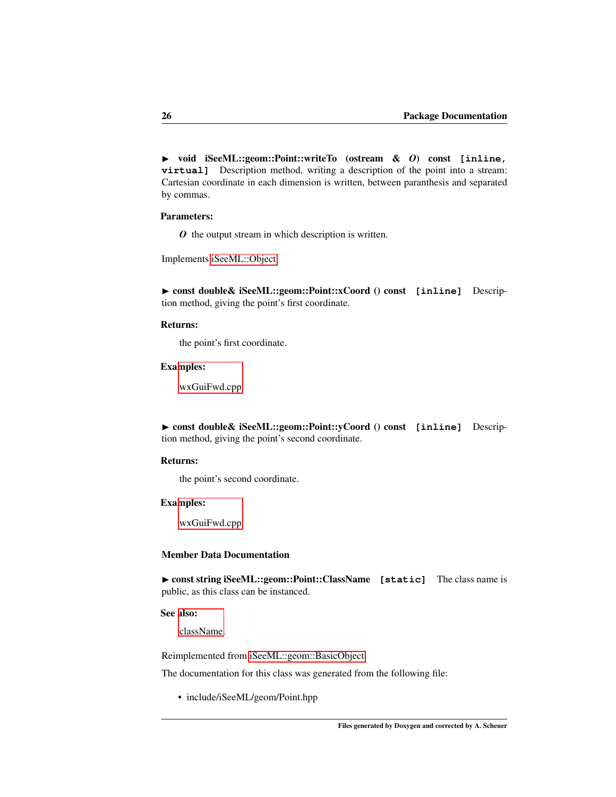◮ void iSeeML::geom::Point::writeTo (ostream & *O*) const **[inline, virtual]** Description method, writing a description of the point into a stream: Cartesian coordinate in each dimension is written, between paranthesis and separated by commas.

#### Parameters:

<span id="page-32-1"></span>*O* the output stream in which description is written.

Implements [iSeeML::Object.](#page-22-0)

◮ const double& iSeeML::geom::Point::xCoord () const **[inline]** Description method, giving the point's first coordinate.

#### Returns:

the point's first coordinate.

#### Examples:

[wxGuiFwd.cpp.](#page-115-1)

<span id="page-32-2"></span>◮ const double& iSeeML::geom::Point::yCoord () const **[inline]** Description method, giving the point's second coordinate.

#### Returns:

the point's second coordinate.

#### Examples:

[wxGuiFwd.cpp.](#page-115-1)

#### Member Data Documentation

<span id="page-32-3"></span>▶ const string iSeeML::geom::Point::ClassName [static] The class name is public, as this class can be instanced.

#### See also:

[className.](#page-19-0)

Reimplemented from [iSeeML::geom::BasicObject.](#page-25-1)

The documentation for this class was generated from the following file:

<span id="page-32-0"></span>• include/iSeeML/geom/Point.hpp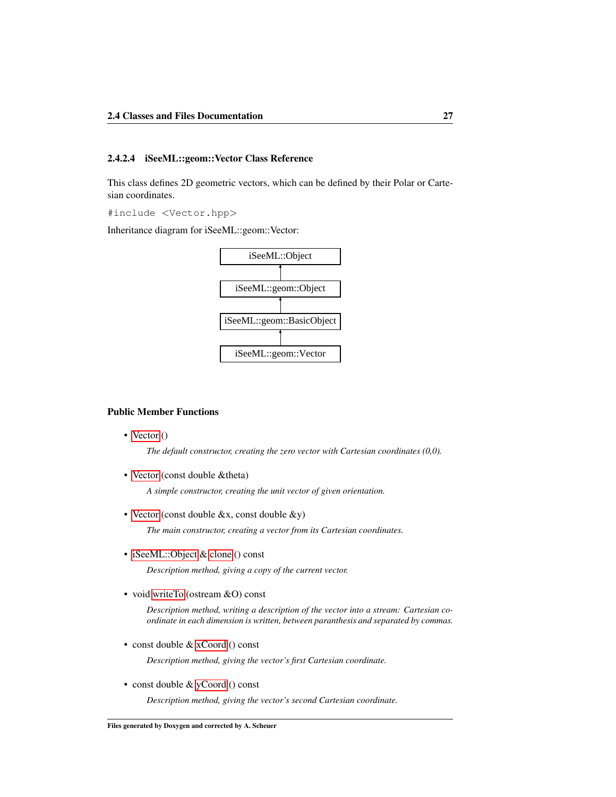#### <span id="page-33-0"></span>2.4.2.4 iSeeML::geom::Vector Class Reference

This class defines 2D geometric vectors, which can be defined by their Polar or Cartesian coordinates.

#include <Vector.hpp>

Inheritance diagram for iSeeML::geom::Vector:



#### <span id="page-33-1"></span>Public Member Functions

• [Vector](#page-33-1) ()

*The default constructor, creating the zero vector with Cartesian coordinates (0,0).*

• [Vector](#page-36-0) (const double &theta)

*A simple constructor, creating the unit vector of given orientation.*

• [Vector](#page-37-1) (const double &x, const double &y)

*The main constructor, creating a vector from its Cartesian coordinates.*

• [iSeeML::Object](#page-15-1) & [clone](#page-38-1) () const

*Description method, giving a copy of the current vector.*

• void [writeTo](#page-45-0) (ostream &O) const

*Description method, writing a description of the vector into a stream: Cartesian coordinate in each dimension is written, between paranthesis and separated by commas.*

• const double & [xCoord](#page-45-1) () const

*Description method, giving the vector's first Cartesian coordinate.*

• const double & [yCoord](#page-45-2) () const

*Description method, giving the vector's second Cartesian coordinate.*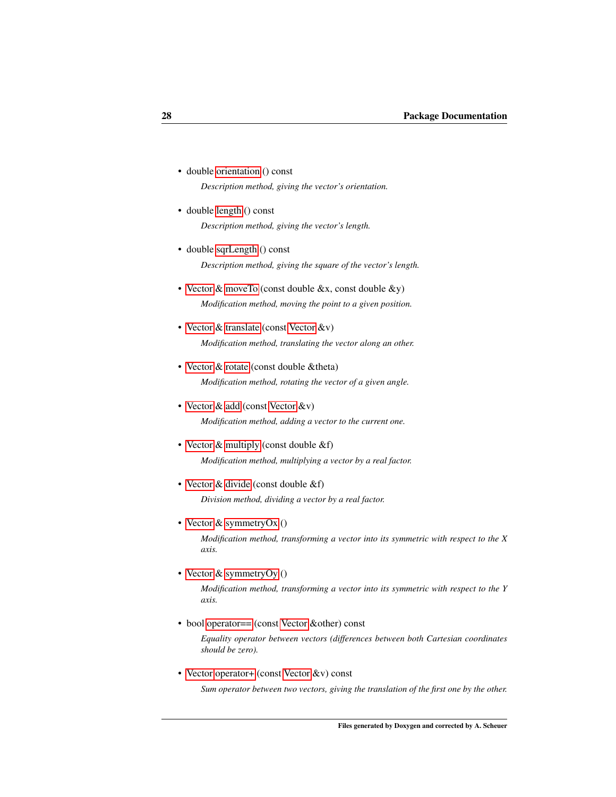- double [orientation](#page-43-0) () const *Description method, giving the vector's orientation.*
- double [length](#page-40-0) () const *Description method, giving the vector's length.*
- double [sqrLength](#page-44-1) () const *Description method, giving the square of the vector's length.*
- • [Vector](#page-32-0)  $\&$  [moveTo](#page-40-1) (const double  $&x$ , const double  $&y$ ) *Modification method, moving the point to a given position.*
- • [Vector](#page-32-0) & [translate](#page-44-0) (const [Vector](#page-32-0) &v) *Modification method, translating the vector along an other.*
- • [Vector](#page-32-0) & [rotate](#page-44-2) (const double & theta) *Modification method, rotating the vector of a given angle.*
- • [Vector](#page-32-0) & [add](#page-37-2) (const Vector &v) *Modification method, adding a vector to the current one.*
- • [Vector](#page-32-0) & [multiply](#page-40-2) (const double &f) *Modification method, multiplying a vector by a real factor.*
- • [Vector](#page-32-0) & [divide](#page-38-2) (const double &f) *Division method, dividing a vector by a real factor.*
- • [Vector](#page-32-0) & [symmetryOx](#page-44-3) ()

*Modification method, transforming a vector into its symmetric with respect to the X axis.*

• [Vector](#page-32-0) & [symmetryOy](#page-44-4) ()

*Modification method, transforming a vector into its symmetric with respect to the Y axis.*

• bool [operator==](#page-43-1) (const [Vector](#page-32-0) &other) const

*Equality operator between vectors (differences between both Cartesian coordinates should be zero).*

• [Vector](#page-32-0) [operator+](#page-41-0) (const Vector &v) const

*Sum operator between two vectors, giving the translation of the first one by the other.*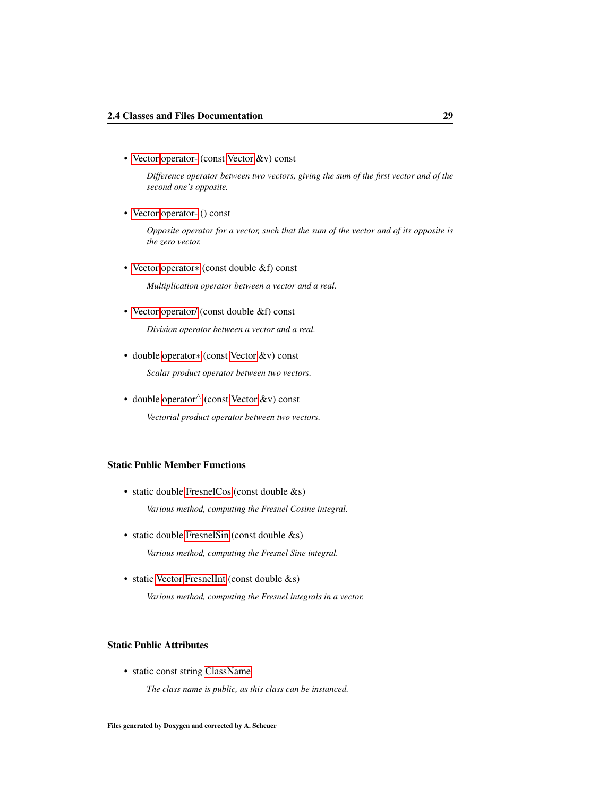• [Vector](#page-32-0) [operator-](#page-42-0) (const [Vector](#page-32-0) &v) const

*Difference operator between two vectors, giving the sum of the first vector and of the second one's opposite.*

• [Vector](#page-32-0) [operator-](#page-42-1) () const

*Opposite operator for a vector, such that the sum of the vector and of its opposite is the zero vector.*

• [Vector](#page-32-0) [operator](#page-41-1)∗ (const double &f) const

*Multiplication operator between a vector and a real.*

• [Vector](#page-32-0) [operator/](#page-42-2) (const double &f) const

*Division operator between a vector and a real.*

• double [operator](#page-41-2)∗ (const [Vector](#page-32-0) &v) const

*Scalar product operator between two vectors.*

• double [operator](#page-43-2)<sup>∧</sup> (const [Vector](#page-32-0) &v) const *Vectorial product operator between two vectors.*

#### Static Public Member Functions

• static double [FresnelCos](#page-38-3) (const double &s)

*Various method, computing the Fresnel Cosine integral.*

- static double [FresnelSin](#page-39-0) (const double &s) *Various method, computing the Fresnel Sine integral.*
- static [Vector](#page-32-0) [FresnelInt](#page-39-1) (const double &s)

*Various method, computing the Fresnel integrals in a vector.*

#### Static Public Attributes

• static const string [ClassName](#page-46-0)

*The class name is public, as this class can be instanced.*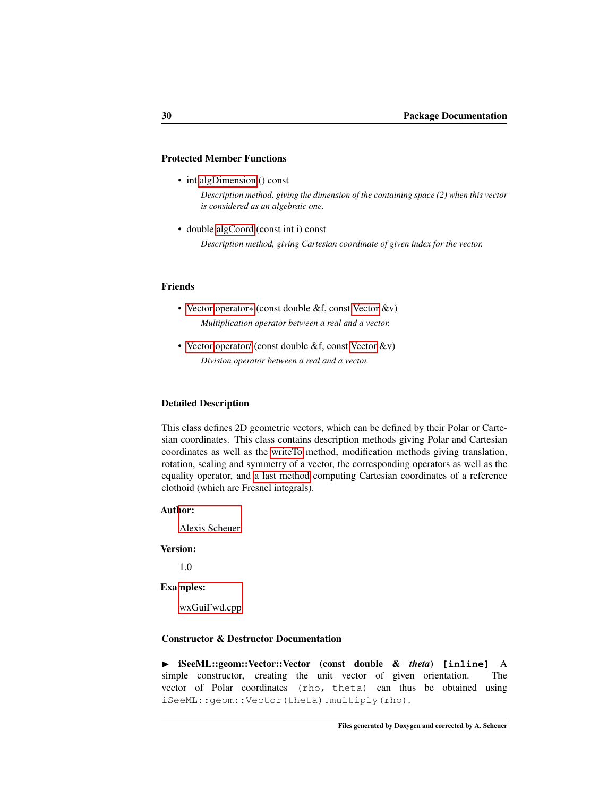# Protected Member Functions

• int [algDimension](#page-38-0) () const

*Description method, giving the dimension of the containing space (2) when this vector is considered as an algebraic one.*

• double [algCoord](#page-37-0) (const int i) const *Description method, giving Cartesian coordinate of given index for the vector.*

#### Friends

- • [Vector](#page-32-0) [operator](#page-46-0)∗ (const double &f, const [Vector](#page-32-0) &v) *Multiplication operator between a real and a vector.*
- • [Vector](#page-32-0) [operator/](#page-46-1) (const double &f, const [Vector](#page-32-0) &v) *Division operator between a real and a vector.*

## Detailed Description

This class defines 2D geometric vectors, which can be defined by their Polar or Cartesian coordinates. This class contains description methods giving Polar and Cartesian coordinates as well as the [writeTo](#page-45-0) method, modification methods giving translation, rotation, scaling and symmetry of a vector, the corresponding operators as well as the equality operator, and [a last method](#page-39-0) computing Cartesian coordinates of a reference clothoid (which are Fresnel integrals).

#### Author:

[Alexis Scheuer.](#page-7-0)

# Version:

1.0

#### Examples:

[wxGuiFwd.cpp.](#page-115-0)

# Constructor & Destructor Documentation

◮ iSeeML::geom::Vector::Vector (const double & *theta*) **[inline]** A simple constructor, creating the unit vector of given orientation. The vector of Polar coordinates (rho, theta) can thus be obtained using iSeeML::geom::Vector(theta).multiply(rho).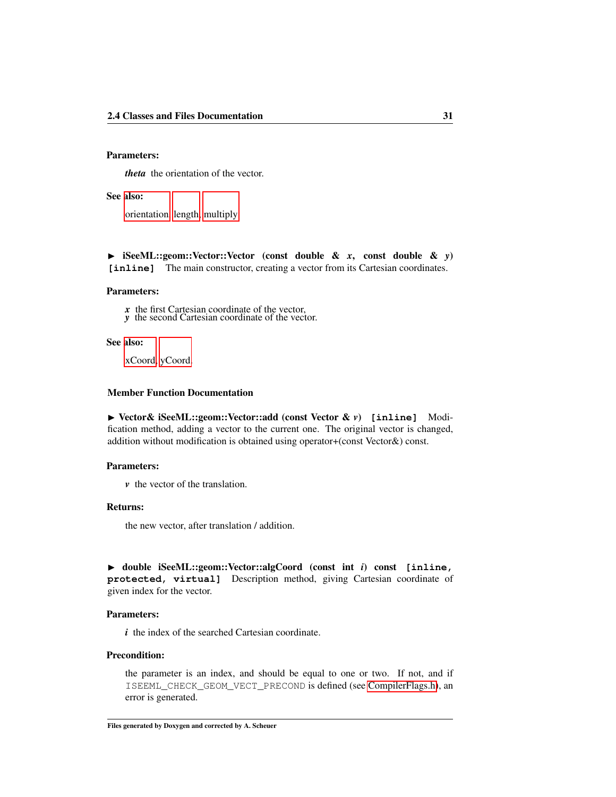# Parameters:

*theta* the orientation of the vector.

## See also:

[orientation,](#page-43-0) [length,](#page-40-0) [multiply.](#page-40-1)

◮ iSeeML::geom::Vector::Vector (const double & *x*, const double & *y*) **[inline]** The main constructor, creating a vector from its Cartesian coordinates.

#### Parameters:

*x* the first Cartesian coordinate of the vector,

*y* the second Cartesian coordinate of the vector.

## See also:

[xCoord,](#page-45-1) [yCoord.](#page-45-2)

#### Member Function Documentation

<span id="page-37-1"></span>◮ Vector& iSeeML::geom::Vector::add (const Vector & *v*) **[inline]** Modification method, adding a vector to the current one. The original vector is changed, addition without modification is obtained using operator+(const Vector&) const.

## Parameters:

*v* the vector of the translation.

### Returns:

the new vector, after translation / addition.

<span id="page-37-0"></span>◮ double iSeeML::geom::Vector::algCoord (const int *i*) const **[inline, protected, virtual]** Description method, giving Cartesian coordinate of given index for the vector.

# Parameters:

*i* the index of the searched Cartesian coordinate.

#### Precondition:

the parameter is an index, and should be equal to one or two. If not, and if ISEEML\_CHECK\_GEOM\_VECT\_PRECOND is defined (see [CompilerFlags.h\)](#page-14-0), an error is generated.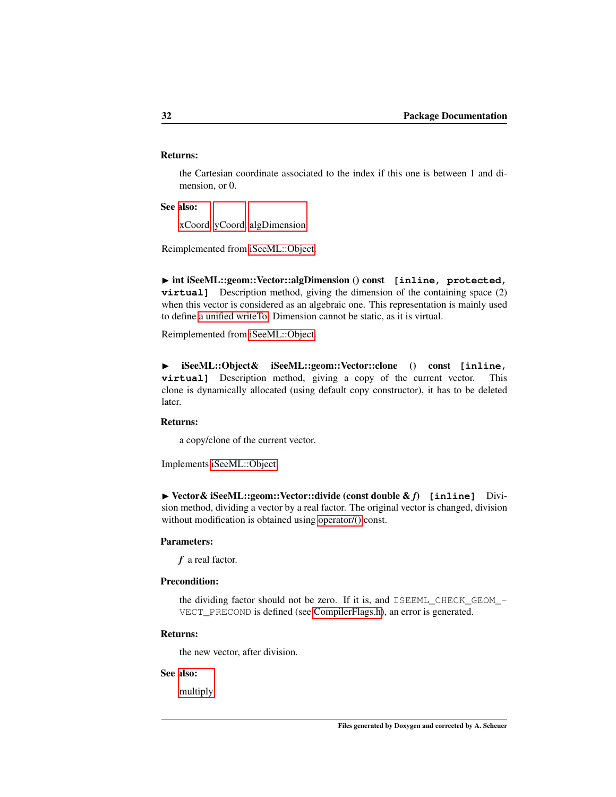# Returns:

the Cartesian coordinate associated to the index if this one is between 1 and dimension, or 0.

See also:

<span id="page-38-0"></span>[xCoord,](#page-45-1) [yCoord,](#page-45-2) [algDimension.](#page-38-0)

Reimplemented from [iSeeML::Object.](#page-18-0)

◮ int iSeeML::geom::Vector::algDimension () const **[inline, protected, virtual**] Description method, giving the dimension of the containing space (2) when this vector is considered as an algebraic one. This representation is mainly used to define [a unified writeTo.](#page-19-0) Dimension cannot be static, as it is virtual.

Reimplemented from [iSeeML::Object.](#page-18-1)

◮ iSeeML::Object& iSeeML::geom::Vector::clone () const **[inline, virtual**] Description method, giving a copy of the current vector. This clone is dynamically allocated (using default copy constructor), it has to be deleted later.

# Returns:

<span id="page-38-1"></span>a copy/clone of the current vector.

Implements [iSeeML::Object.](#page-19-1)

◮ Vector& iSeeML::geom::Vector::divide (const double & *f*) **[inline]** Division method, dividing a vector by a real factor. The original vector is changed, division without modification is obtained using [operator/\(\)](#page-42-0) const.

#### Parameters:

*f* a real factor.

# Precondition:

the dividing factor should not be zero. If it is, and ISEEML\_CHECK\_GEOM\_- VECT\_PRECOND is defined (see [CompilerFlags.h\)](#page-14-0), an error is generated.

#### Returns:

the new vector, after division.

#### See also:

[multiply.](#page-40-1)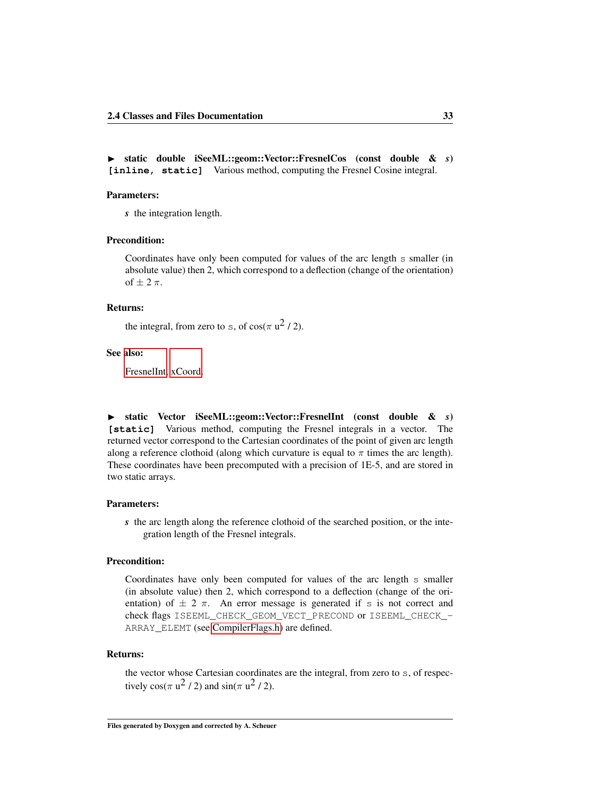◮ static double iSeeML::geom::Vector::FresnelCos (const double & *s*) **[inline, static]** Various method, computing the Fresnel Cosine integral.

#### Parameters:

*s* the integration length.

# Precondition:

Coordinates have only been computed for values of the arc length s smaller (in absolute value) then 2, which correspond to a deflection (change of the orientation) of  $\pm$  2  $\pi$ .

#### Returns:

the integral, from zero to s, of  $cos(\pi u^2 / 2)$ .

#### See also:

[FresnelInt,](#page-39-0) [xCoord.](#page-45-1)

<span id="page-39-0"></span>◮ static Vector iSeeML::geom::Vector::FresnelInt (const double & *s*) **[static]** Various method, computing the Fresnel integrals in a vector. The returned vector correspond to the Cartesian coordinates of the point of given arc length along a reference clothoid (along which curvature is equal to  $\pi$  times the arc length). These coordinates have been precomputed with a precision of 1E-5, and are stored in two static arrays.

## Parameters:

*s* the arc length along the reference clothoid of the searched position, or the integration length of the Fresnel integrals.

# Precondition:

Coordinates have only been computed for values of the arc length s smaller (in absolute value) then 2, which correspond to a deflection (change of the orientation) of  $\pm$  2  $\pi$ . An error message is generated if s is not correct and check flags ISEEML CHECK GEOM VECT PRECOND or ISEEML CHECK -ARRAY\_ELEMT (see [CompilerFlags.h\)](#page-14-0) are defined.

#### Returns:

the vector whose Cartesian coordinates are the integral, from zero to s, of respectively  $cos(\pi u^2 / 2)$  and  $sin(\pi u^2 / 2)$ .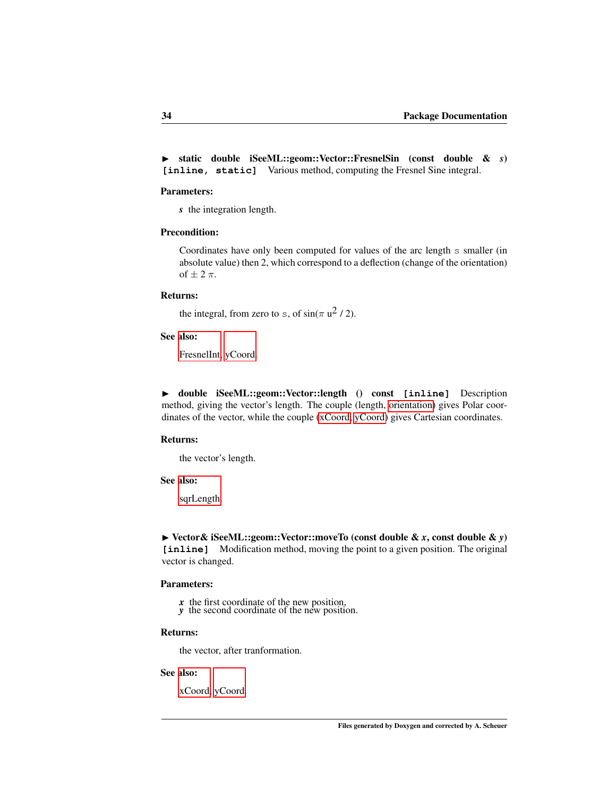◮ static double iSeeML::geom::Vector::FresnelSin (const double & *s*) **[inline, static]** Various method, computing the Fresnel Sine integral.

#### Parameters:

*s* the integration length.

# Precondition:

Coordinates have only been computed for values of the arc length s smaller (in absolute value) then 2, which correspond to a deflection (change of the orientation) of  $\pm$  2  $\pi$ .

#### Returns:

the integral, from zero to s, of  $sin(\pi u^2 / 2)$ .

## See also:

[FresnelInt,](#page-39-0) [yCoord.](#page-45-2)

<span id="page-40-0"></span>◮ double iSeeML::geom::Vector::length () const **[inline]** Description method, giving the vector's length. The couple (length, [orientation\)](#page-43-0) gives Polar coordinates of the vector, while the couple [\(xCoord,](#page-45-1) [yCoord\)](#page-45-2) gives Cartesian coordinates.

#### Returns:

the vector's length.

#### See also:

[sqrLength.](#page-44-0)

◮ Vector& iSeeML::geom::Vector::moveTo (const double & *x*, const double & *y*) **[inline]** Modification method, moving the point to a given position. The original vector is changed.

## Parameters:

- *x* the first coordinate of the new position,
- *y* the second coordinate of the new position.

# Returns:

the vector, after tranformation.

## See also:

<span id="page-40-1"></span>[xCoord,](#page-45-1) [yCoord.](#page-45-2)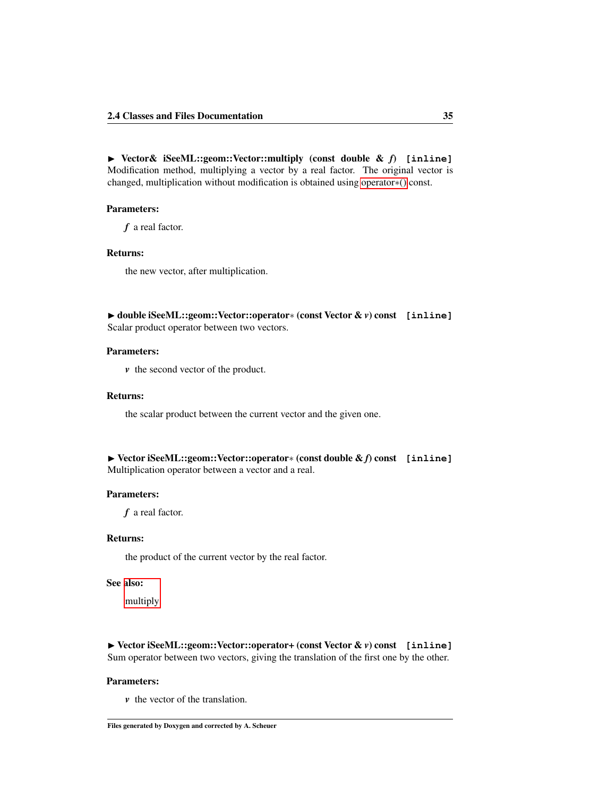◮ Vector& iSeeML::geom::Vector::multiply (const double & *f*) **[inline]** Modification method, multiplying a vector by a real factor. The original vector is changed, multiplication without modification is obtained using [operator](#page-41-0)∗() const.

### Parameters:

*f* a real factor.

## Returns:

the new vector, after multiplication.

◮ double iSeeML::geom::Vector::operator∗ (const Vector & *v*) const **[inline]** Scalar product operator between two vectors.

# Parameters:

*v* the second vector of the product.

### Returns:

the scalar product between the current vector and the given one.

```
◮ Vector iSeeML::geom::Vector::operator∗ (const double & f) const [inline]
Multiplication operator between a vector and a real.
```
#### Parameters:

*f* a real factor.

# Returns:

the product of the current vector by the real factor.

# See also:

[multiply.](#page-40-1)

◮ Vector iSeeML::geom::Vector::operator+ (const Vector & *v*) const **[inline]** Sum operator between two vectors, giving the translation of the first one by the other.

# Parameters:

*v* the vector of the translation.

Files generated by Doxygen and corrected by A. Scheuer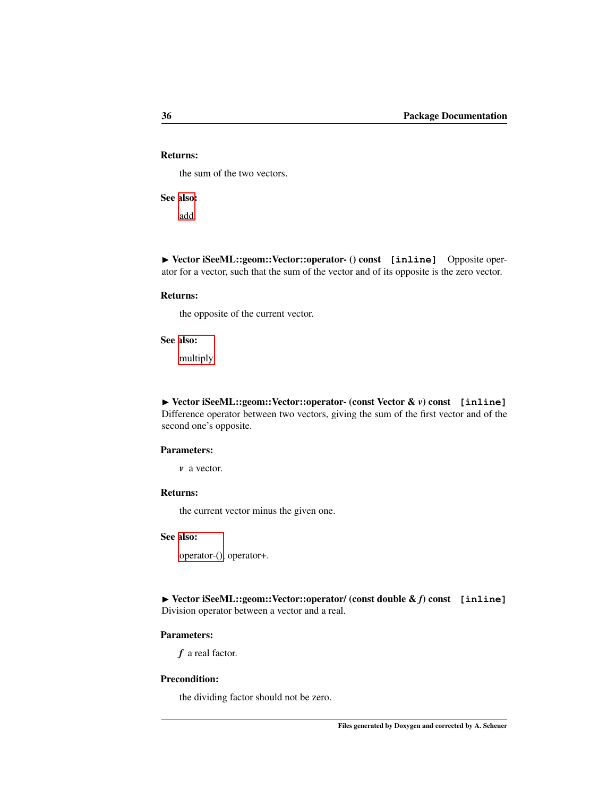# Returns:

the sum of the two vectors.

# See [also:](#page-37-1)

add.

▶ Vector iSeeML::geom::Vector::operator- () const [inline] Opposite operator for a vector, such that the sum of the vector and of its opposite is the zero vector.

#### Returns:

the opposite of the current vector.

#### See also:

[multiply.](#page-40-1)

<span id="page-42-1"></span>◮ Vector iSeeML::geom::Vector::operator- (const Vector & *v*) const **[inline]** Difference operator between two vectors, giving the sum of the first vector and of the second one's opposite.

# Parameters:

*v* a vector.

# Returns:

the current vector minus the given one.

# See also:

[operator-\(\),](#page-42-1) operator+.

<span id="page-42-0"></span>◮ Vector iSeeML::geom::Vector::operator/ (const double & *f*) const **[inline]** Division operator between a vector and a real.

## Parameters:

*f* a real factor.

# Precondition:

the dividing factor should not be zero.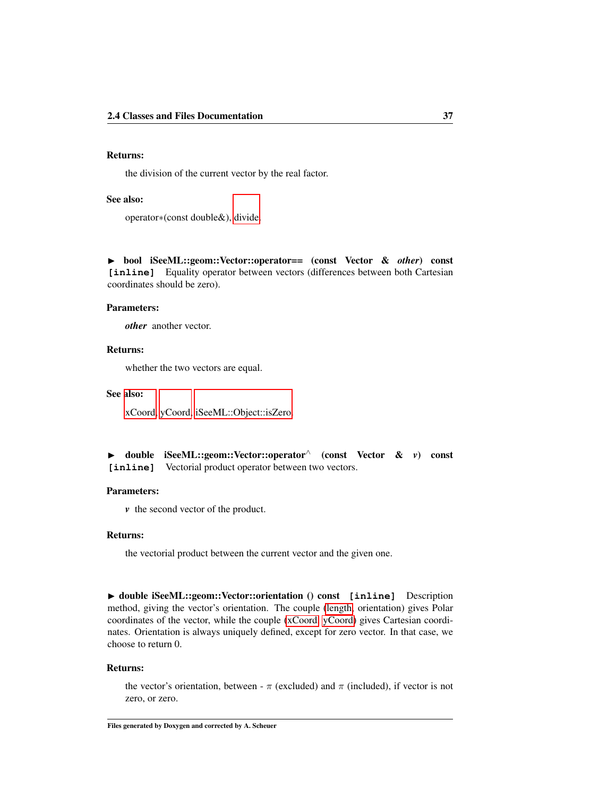# Returns:

the division of the current vector by the real factor.

# See also:

operator∗(const double&), [divide.](#page-38-1)

◮ bool iSeeML::geom::Vector::operator== (const Vector & *other*) const **[inline]** Equality operator between vectors (differences between both Cartesian coordinates should be zero).

#### Parameters:

*other* another vector.

# Returns:

whether the two vectors are equal.

## See also:

[xCoord,](#page-45-1) [yCoord,](#page-45-2) [iSeeML::Object::isZero.](#page-20-0)

|  |  | • double iSeeML::geom::Vector::operator <sup><math>\wedge</math></sup> (const Vector & v) const |  |  |  |  |
|--|--|-------------------------------------------------------------------------------------------------|--|--|--|--|
|  |  | [inline] Vectorial product operator between two vectors.                                        |  |  |  |  |

#### Parameters:

*v* the second vector of the product.

# Returns:

the vectorial product between the current vector and the given one.

<span id="page-43-0"></span>▶ double iSeeML::geom::Vector::orientation () const [inline] Description method, giving the vector's orientation. The couple [\(length,](#page-40-0) orientation) gives Polar coordinates of the vector, while the couple [\(xCoord,](#page-45-1) [yCoord\)](#page-45-2) gives Cartesian coordinates. Orientation is always uniquely defined, except for zero vector. In that case, we choose to return 0.

#### Returns:

the vector's orientation, between -  $\pi$  (excluded) and  $\pi$  (included), if vector is not zero, or zero.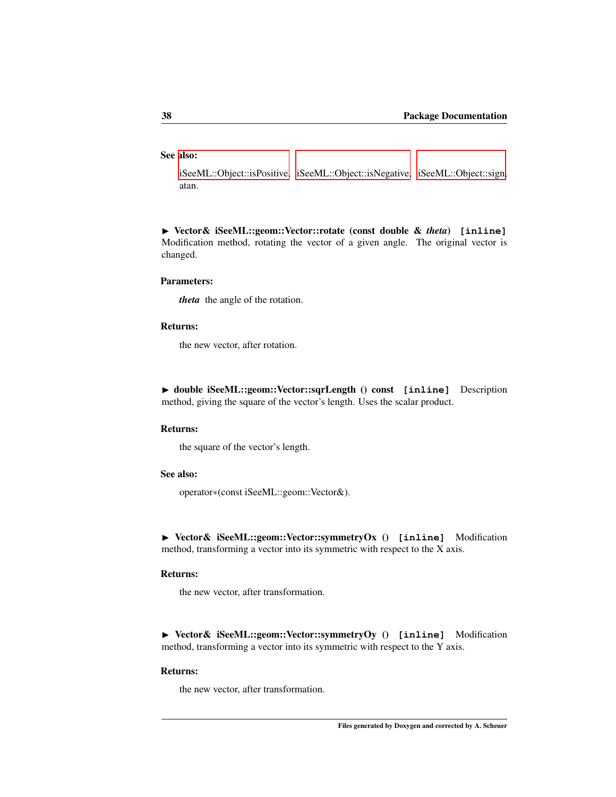# See also:

[iSeeML::Object::isPositive,](#page-20-1) [iSeeML::Object::isNegative,](#page-20-2) [iSeeML::Object::sign,](#page-22-0) atan.

◮ Vector& iSeeML::geom::Vector::rotate (const double & *theta*) **[inline]** Modification method, rotating the vector of a given angle. The original vector is changed.

#### Parameters:

*theta* the angle of the rotation.

#### Returns:

<span id="page-44-0"></span>the new vector, after rotation.

◮ double iSeeML::geom::Vector::sqrLength () const **[inline]** Description method, giving the square of the vector's length. Uses the scalar product.

#### Returns:

the square of the vector's length.

# See also:

operator∗(const iSeeML::geom::Vector&).

◮ Vector& iSeeML::geom::Vector::symmetryOx () **[inline]** Modification method, transforming a vector into its symmetric with respect to the X axis.

## Returns:

the new vector, after transformation.

◮ Vector& iSeeML::geom::Vector::symmetryOy () **[inline]** Modification method, transforming a vector into its symmetric with respect to the Y axis.

#### Returns:

the new vector, after transformation.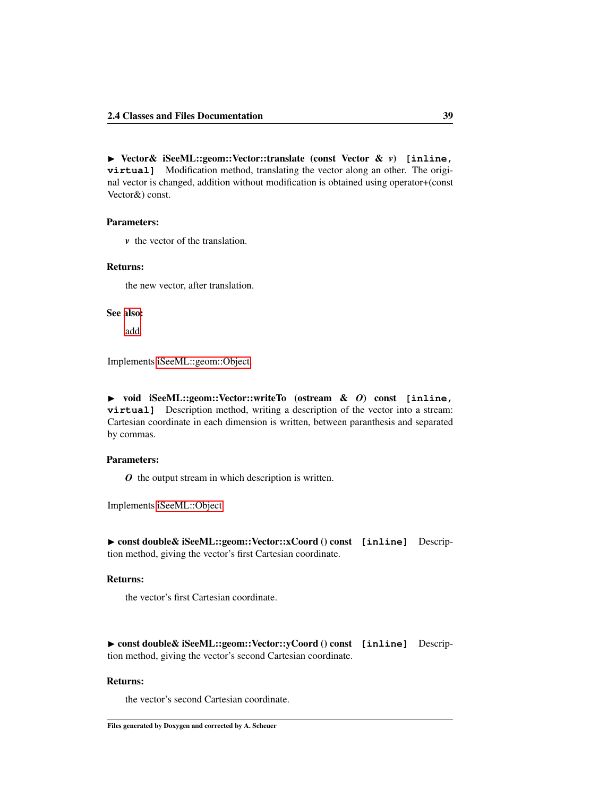◮ Vector& iSeeML::geom::Vector::translate (const Vector & *v*) **[inline, virtual]** Modification method, translating the vector along an other. The original vector is changed, addition without modification is obtained using operator+(const Vector&) const.

#### Parameters:

*v* the vector of the translation.

# Returns:

the new vector, after translation.

#### See [also:](#page-37-1)

<span id="page-45-0"></span>add.

Implements [iSeeML::geom::Object.](#page-24-0)

◮ void iSeeML::geom::Vector::writeTo (ostream & *O*) const **[inline, virtual]** Description method, writing a description of the vector into a stream: Cartesian coordinate in each dimension is written, between paranthesis and separated by commas.

# Parameters:

<span id="page-45-1"></span>*O* the output stream in which description is written.

Implements [iSeeML::Object.](#page-22-1)

◮ const double& iSeeML::geom::Vector::xCoord () const **[inline]** Description method, giving the vector's first Cartesian coordinate.

## Returns:

<span id="page-45-2"></span>the vector's first Cartesian coordinate.

◮ const double& iSeeML::geom::Vector::yCoord () const **[inline]** Description method, giving the vector's second Cartesian coordinate.

# Returns:

the vector's second Cartesian coordinate.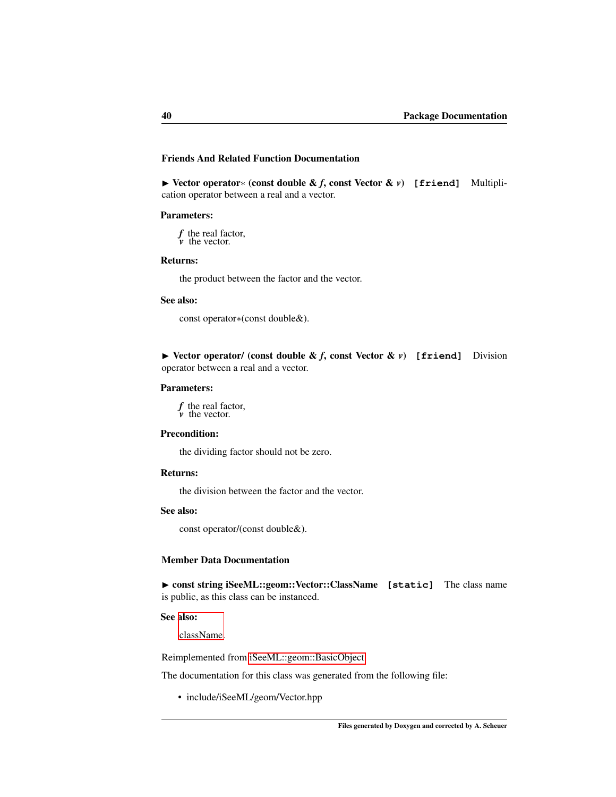# Friends And Related Function Documentation

<span id="page-46-0"></span>◮ Vector operator∗ (const double & *f*, const Vector & *v*) **[friend]** Multiplication operator between a real and a vector.

#### Parameters:

*f* the real factor, *v* the vector.

## Returns:

the product between the factor and the vector.

#### See also:

<span id="page-46-1"></span>const operator∗(const double&).

▶ Vector operator/ (const double & *f*, const Vector & *v*) [friend] Division operator between a real and a vector.

## Parameters:

*f* the real factor, *v* the vector.

# Precondition:

the dividing factor should not be zero.

## Returns:

the division between the factor and the vector.

# See also:

const operator/(const double&).

## Member Data Documentation

▶ const string iSeeML::geom::Vector::ClassName [static] The class name is public, as this class can be instanced.

#### See also:

[className.](#page-19-2)

Reimplemented from [iSeeML::geom::BasicObject.](#page-25-0)

The documentation for this class was generated from the following file:

• include/iSeeML/geom/Vector.hpp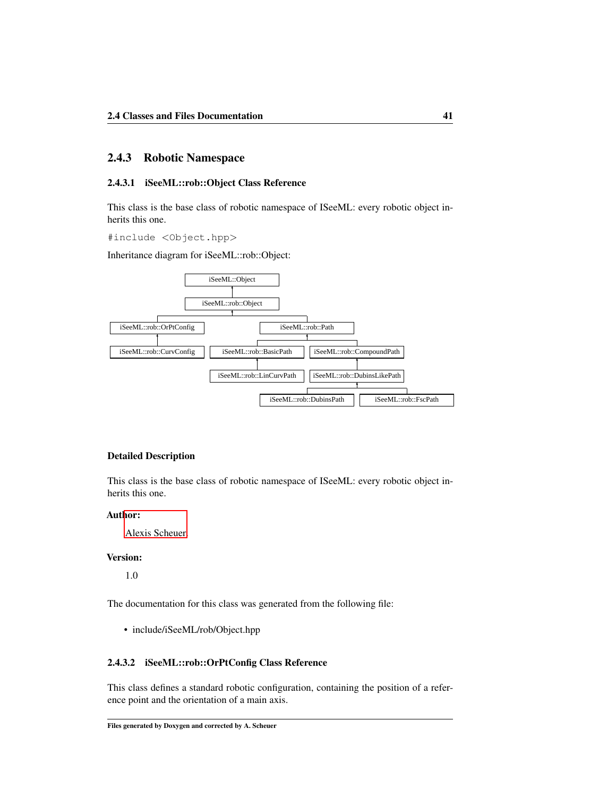# 2.4.3 Robotic Namespace

# <span id="page-47-1"></span>2.4.3.1 iSeeML::rob::Object Class Reference

This class is the base class of robotic namespace of ISeeML: every robotic object inherits this one.

#include <Object.hpp>

Inheritance diagram for iSeeML::rob::Object:



#### Detailed Description

This class is the base class of robotic namespace of ISeeML: every robotic object inherits this one.

## Author:

[Alexis Scheuer.](#page-7-0)

# Version:

1.0

The documentation for this class was generated from the following file:

• include/iSeeML/rob/Object.hpp

# <span id="page-47-0"></span>2.4.3.2 iSeeML::rob::OrPtConfig Class Reference

This class defines a standard robotic configuration, containing the position of a reference point and the orientation of a main axis.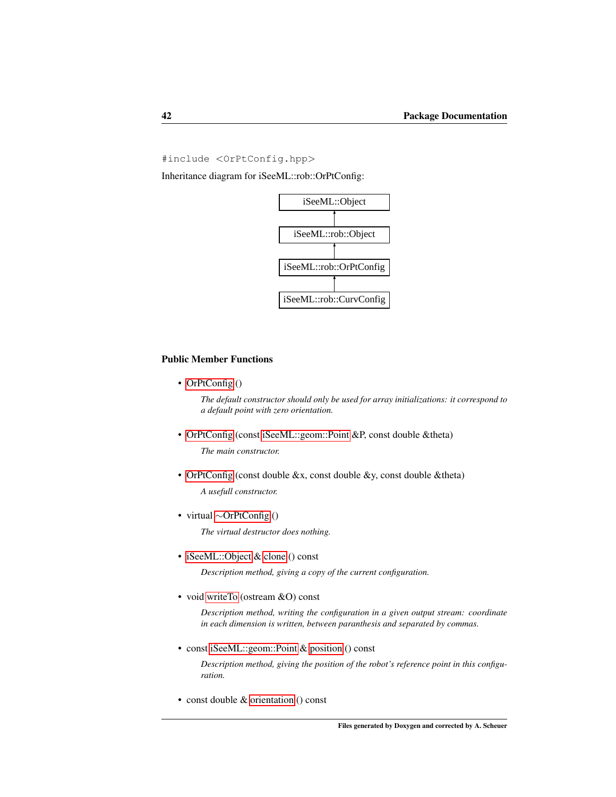#include <OrPtConfig.hpp>

Inheritance diagram for iSeeML::rob::OrPtConfig:



# Public Member Functions

• [OrPtConfig](#page-50-0) ()

*The default constructor should only be used for array initializations: it correspond to a default point with zero orientation.*

• [OrPtConfig](#page-50-1) (const [iSeeML::geom::Point](#page-25-1) &P, const double &theta)

*The main constructor.*

• [OrPtConfig](#page-51-0) (const double &x, const double &y, const double &theta)

*A usefull constructor.*

<span id="page-48-0"></span>• virtual ∼[OrPtConfig](#page-48-0) ()

*The virtual destructor does nothing.*

• [iSeeML::Object](#page-15-0) & [clone](#page-52-0) () const

*Description method, giving a copy of the current configuration.*

• void [writeTo](#page-55-0) (ostream &O) const

*Description method, writing the configuration in a given output stream: coordinate in each dimension is written, between paranthesis and separated by commas.*

• const [iSeeML::geom::Point](#page-25-1) & [position](#page-55-1) () const

*Description method, giving the position of the robot's reference point in this configuration.*

• const double & [orientation](#page-55-2) () const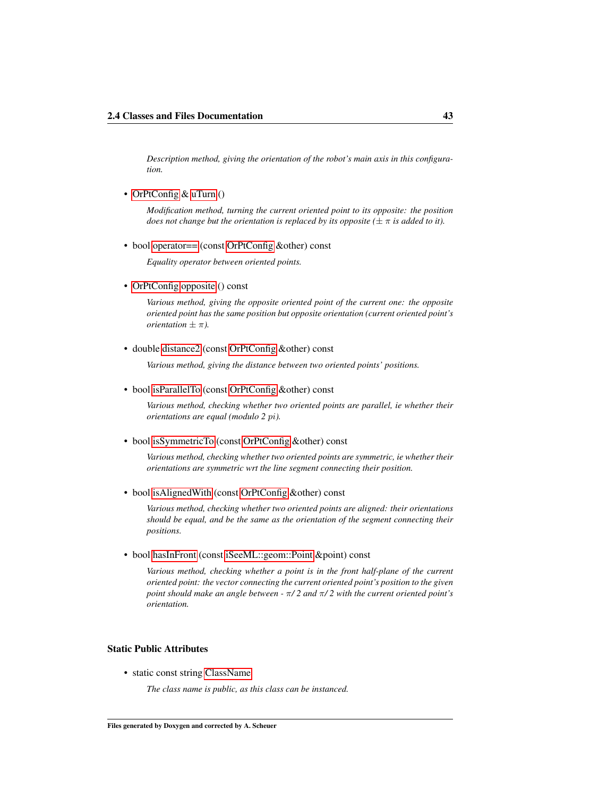*Description method, giving the orientation of the robot's main axis in this configuration.*

• [OrPtConfig](#page-47-0) & [uTurn](#page-55-3) ()

*Modification method, turning the current oriented point to its opposite: the position does not change but the orientation is replaced by its opposite* ( $\pm \pi$  *is added to it).* 

• bool [operator==](#page-54-0) (const [OrPtConfig](#page-47-0) &other) const

*Equality operator between oriented points.*

• [OrPtConfig](#page-47-0) [opposite](#page-54-1) () const

*Various method, giving the opposite oriented point of the current one: the opposite oriented point has the same position but opposite orientation (current oriented point's orientation*  $\pm \pi$ *).* 

• double [distance2](#page-52-1) (const [OrPtConfig](#page-47-0) &other) const

*Various method, giving the distance between two oriented points' positions.*

• bool [isParallelTo](#page-53-0) (const [OrPtConfig](#page-47-0) &other) const

*Various method, checking whether two oriented points are parallel, ie whether their orientations are equal (modulo 2* pi*).*

• bool [isSymmetricTo](#page-54-2) (const [OrPtConfig](#page-47-0) &other) const

*Various method, checking whether two oriented points are symmetric, ie whether their orientations are symmetric wrt the line segment connecting their position.*

• bool [isAlignedWith](#page-53-1) (const [OrPtConfig](#page-47-0) &other) const

*Various method, checking whether two oriented points are aligned: their orientations should be equal, and be the same as the orientation of the segment connecting their positions.*

• bool [hasInFront](#page-52-2) (const [iSeeML::geom::Point](#page-25-1) &point) const

*Various method, checking whether a point is in the front half-plane of the current oriented point: the vector connecting the current oriented point's position to the given point should make an angle between -* π*/ 2 and* π*/ 2 with the current oriented point's orientation.*

# Static Public Attributes

• static const string [ClassName](#page-56-0)

*The class name is public, as this class can be instanced.*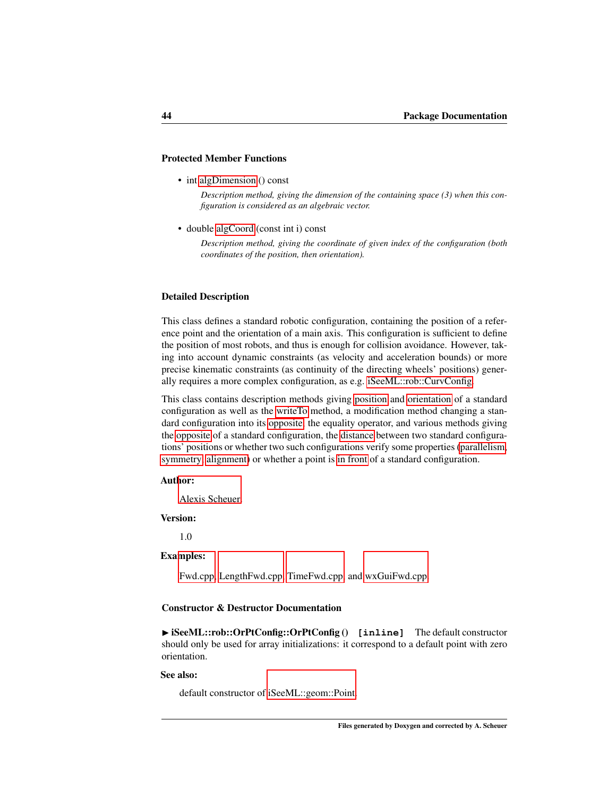## Protected Member Functions

• int [algDimension](#page-52-3) () const

*Description method, giving the dimension of the containing space (3) when this configuration is considered as an algebraic vector.*

• double [algCoord](#page-51-1) (const int i) const

*Description method, giving the coordinate of given index of the configuration (both coordinates of the position, then orientation).*

#### Detailed Description

This class defines a standard robotic configuration, containing the position of a reference point and the orientation of a main axis. This configuration is sufficient to define the position of most robots, and thus is enough for collision avoidance. However, taking into account dynamic constraints (as velocity and acceleration bounds) or more precise kinematic constraints (as continuity of the directing wheels' positions) generally requires a more complex configuration, as e.g. [iSeeML::rob::CurvConfig.](#page-56-1)

This class contains description methods giving [position](#page-55-1) and [orientation](#page-55-2) of a standard configuration as well as the [writeTo](#page-55-0) method, a modification method changing a standard configuration into its [opposite,](#page-55-3) the equality operator, and various methods giving the [opposite](#page-54-1) of a standard configuration, the [distance](#page-52-1) between two standard configurations' positions or whether two such configurations verify some properties [\(parallelism,](#page-53-0) [symmetry,](#page-54-2) [alignment\)](#page-53-1) or whether a point is [in front](#page-52-2) of a standard configuration.

#### Author:

[Alexis Scheuer.](#page-7-0)

#### Version:

1.0

#### Examples:

[Fwd.cpp,](#page-109-0) [LengthFwd.cpp,](#page-110-0) [TimeFwd.cpp,](#page-112-0) and [wxGuiFwd.cpp.](#page-115-0)

# Constructor & Destructor Documentation

<span id="page-50-0"></span>▶ iSeeML::rob::OrPtConfig::OrPtConfig () [inline] The default constructor should only be used for array initializations: it correspond to a default point with zero orientation.

#### See also:

<span id="page-50-1"></span>default constructor of [iSeeML::geom::Point.](#page-25-1)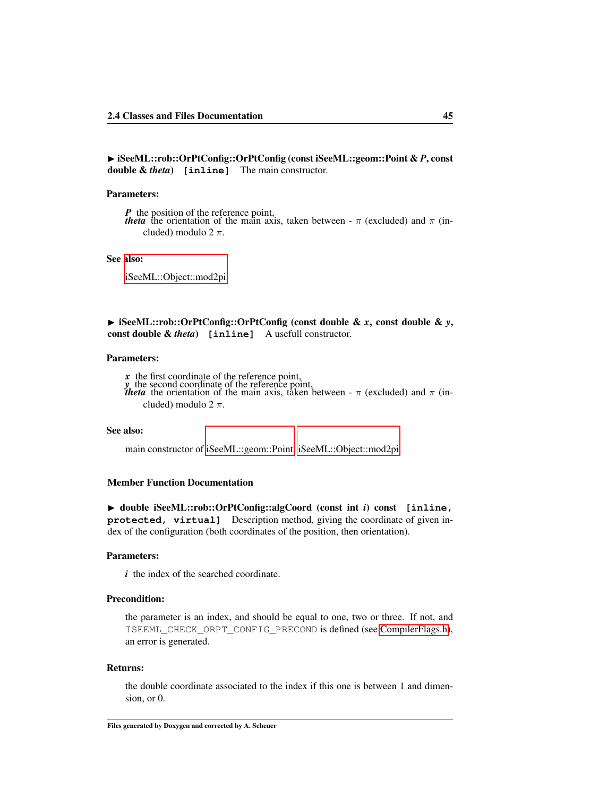◮ iSeeML::rob::OrPtConfig::OrPtConfig (const iSeeML::geom::Point & *P*, const double & *theta*) **[inline]** The main constructor.

# Parameters:

*P* the position of the reference point, *theta* the orientation of the main axis, taken between -  $\pi$  (excluded) and  $\pi$  (included) modulo  $2 \pi$ .

#### See also:

[iSeeML::Object::mod2pi.](#page-21-0)

<span id="page-51-0"></span>◮ iSeeML::rob::OrPtConfig::OrPtConfig (const double & *x*, const double & *y*, const double & *theta*) **[inline]** A usefull constructor.

### Parameters:

*x* the first coordinate of the reference point, *y* the second coordinate of the reference point,<br>*theta* the orientation of the main axis, taken between -  $\pi$  (excluded) and  $\pi$  (included) modulo  $2 \pi$ .

# See also:

main constructor of [iSeeML::geom::Point,](#page-25-1) [iSeeML::Object::mod2pi.](#page-21-0)

### Member Function Documentation

<span id="page-51-1"></span>◮ double iSeeML::rob::OrPtConfig::algCoord (const int *i*) const **[inline, protected, virtual]** Description method, giving the coordinate of given index of the configuration (both coordinates of the position, then orientation).

#### Parameters:

*i* the index of the searched coordinate.

# Precondition:

the parameter is an index, and should be equal to one, two or three. If not, and ISEEML\_CHECK\_ORPT\_CONFIG\_PRECOND is defined (see [CompilerFlags.h\)](#page-14-0), an error is generated.

#### Returns:

the double coordinate associated to the index if this one is between 1 and dimension, or 0.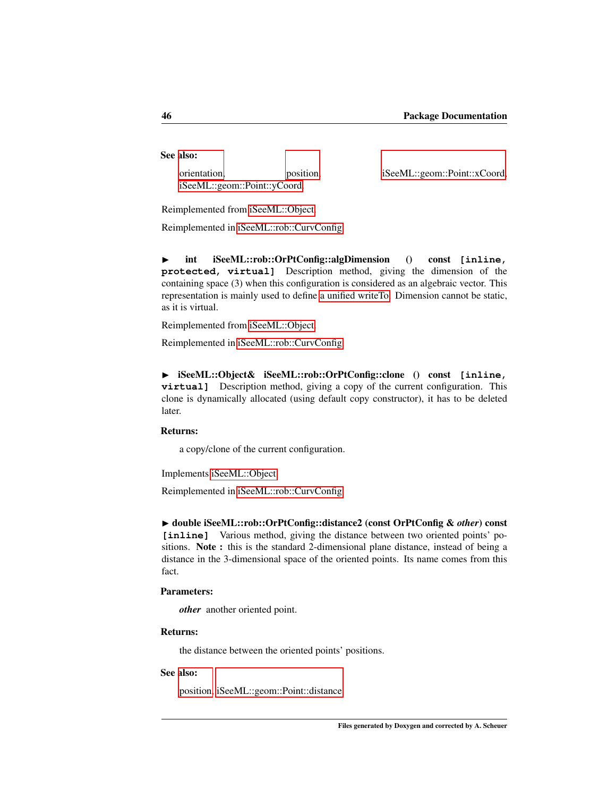# See also:

[orientation,](#page-55-2) [position,](#page-55-1) [iSeeML::geom::Point::xCoord,](#page-32-1) [iSeeML::geom::Point::yCoord.](#page-32-2)

<span id="page-52-3"></span><span id="page-52-0"></span>

Reimplemented from [iSeeML::Object.](#page-18-0)

Reimplemented in [iSeeML::rob::CurvConfig.](#page-59-0)

◮ int iSeeML::rob::OrPtConfig::algDimension () const **[inline, protected, virtual]** Description method, giving the dimension of the containing space (3) when this configuration is considered as an algebraic vector. This representation is mainly used to define [a unified writeTo.](#page-19-0) Dimension cannot be static, as it is virtual.

Reimplemented from [iSeeML::Object.](#page-18-1)

Reimplemented in [iSeeML::rob::CurvConfig.](#page-60-0)

◮ iSeeML::Object& iSeeML::rob::OrPtConfig::clone () const **[inline, virtual]** Description method, giving a copy of the current configuration. This clone is dynamically allocated (using default copy constructor), it has to be deleted later.

# Returns:

<span id="page-52-1"></span>a copy/clone of the current configuration.

Implements [iSeeML::Object.](#page-19-1)

Reimplemented in [iSeeML::rob::CurvConfig.](#page-60-1)

◮ double iSeeML::rob::OrPtConfig::distance2 (const OrPtConfig & *other*) const [inline] Various method, giving the distance between two oriented points' positions. Note : this is the standard 2-dimensional plane distance, instead of being a distance in the 3-dimensional space of the oriented points. Its name comes from this fact.

#### Parameters:

*other* another oriented point.

# Returns:

the distance between the oriented points' positions.

#### See also:

<span id="page-52-2"></span>[position,](#page-55-1) [iSeeML::geom::Point::distance.](#page-29-0)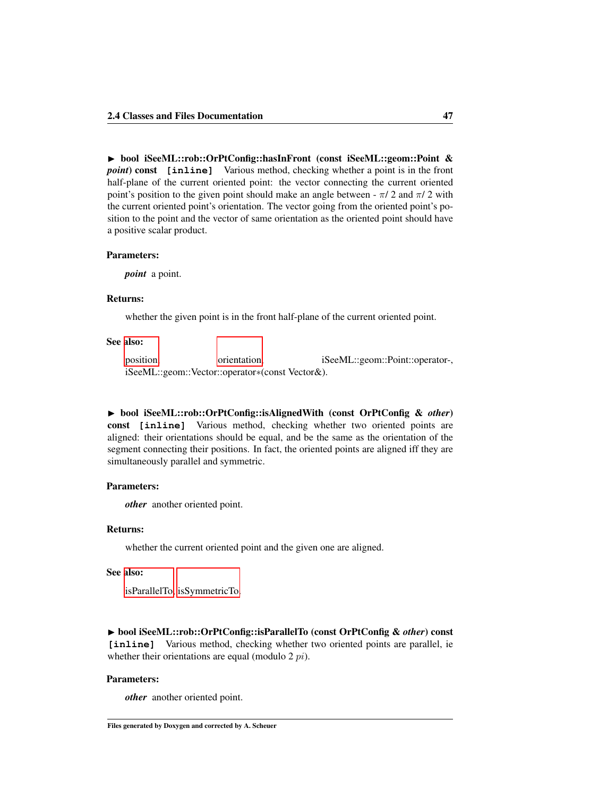▶ bool iSeeML::rob::OrPtConfig::hasInFront (const iSeeML::geom::Point & *point*) const **[inline]** Various method, checking whether a point is in the front half-plane of the current oriented point: the vector connecting the current oriented point's position to the given point should make an angle between -  $\pi/2$  and  $\pi/2$  with the current oriented point's orientation. The vector going from the oriented point's position to the point and the vector of same orientation as the oriented point should have a positive scalar product.

## Parameters:

*point* a point.

# Returns:

whether the given point is in the front half-plane of the current oriented point.

## See also:

[position,](#page-55-1) [orientation,](#page-55-2) iSeeML::geom::Point::operator-, iSeeML::geom::Vector::operator∗(const Vector&).

<span id="page-53-1"></span>◮ bool iSeeML::rob::OrPtConfig::isAlignedWith (const OrPtConfig & *other*) const **[inline]** Various method, checking whether two oriented points are aligned: their orientations should be equal, and be the same as the orientation of the segment connecting their positions. In fact, the oriented points are aligned iff they are simultaneously parallel and symmetric.

# Parameters:

*other* another oriented point.

## Returns:

whether the current oriented point and the given one are aligned.

#### See also:

[isParallelTo,](#page-53-0) [isSymmetricTo.](#page-54-2)

<span id="page-53-0"></span>◮ bool iSeeML::rob::OrPtConfig::isParallelTo (const OrPtConfig & *other*) const [inline] Various method, checking whether two oriented points are parallel, ie whether their orientations are equal (modulo 2 *pi*).

#### Parameters:

*other* another oriented point.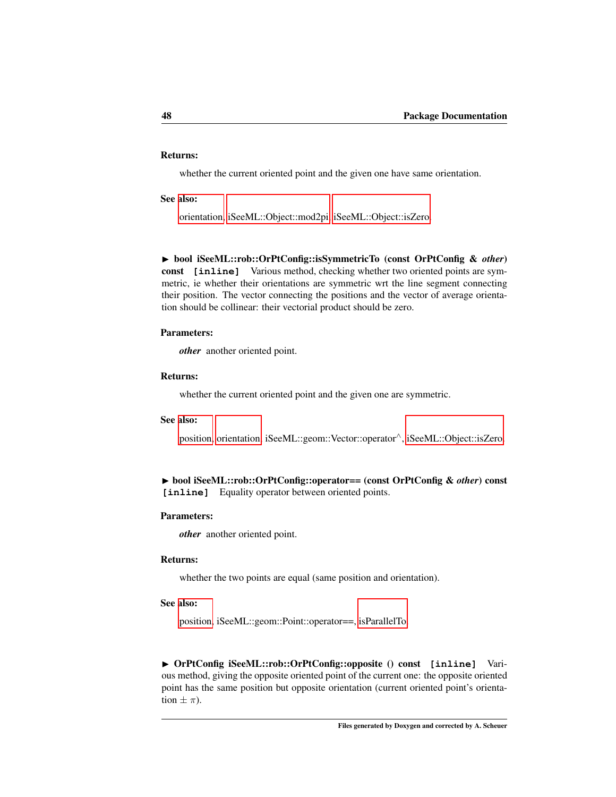# Returns:

whether the current oriented point and the given one have same orientation.

## See also:

[orientation,](#page-55-2) [iSeeML::Object::mod2pi,](#page-21-0) [iSeeML::Object::isZero.](#page-20-0)

<span id="page-54-2"></span>◮ bool iSeeML::rob::OrPtConfig::isSymmetricTo (const OrPtConfig & *other*) const **[inline]** Various method, checking whether two oriented points are symmetric, ie whether their orientations are symmetric wrt the line segment connecting their position. The vector connecting the positions and the vector of average orientation should be collinear: their vectorial product should be zero.

# Parameters:

*other* another oriented point.

#### Returns:

whether the current oriented point and the given one are symmetric.

#### See also:

[position,](#page-55-1) [orientation,](#page-55-2) iSeeML::geom::Vector::operator∧, [iSeeML::Object::isZero.](#page-20-0)

# <span id="page-54-0"></span>◮ bool iSeeML::rob::OrPtConfig::operator== (const OrPtConfig & *other*) const **[inline]** Equality operator between oriented points.

# Parameters:

*other* another oriented point.

# Returns:

whether the two points are equal (same position and orientation).

# See also:

[position,](#page-55-1) iSeeML::geom::Point::operator==, [isParallelTo.](#page-53-0)

<span id="page-54-1"></span>◮ OrPtConfig iSeeML::rob::OrPtConfig::opposite () const **[inline]** Various method, giving the opposite oriented point of the current one: the opposite oriented point has the same position but opposite orientation (current oriented point's orientation  $\pm \pi$ ).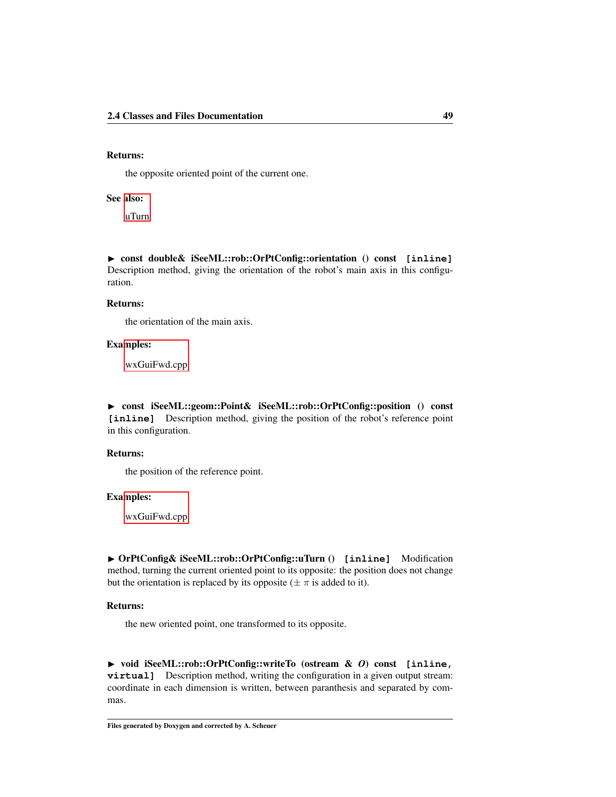# Returns:

the opposite oriented point of the current one.

# See also:

[uTurn.](#page-55-3)

<span id="page-55-2"></span>◮ const double& iSeeML::rob::OrPtConfig::orientation () const **[inline]** Description method, giving the orientation of the robot's main axis in this configuration.

## Returns:

the orientation of the main axis.

# Examples:

[wxGuiFwd.cpp.](#page-115-0)

<span id="page-55-1"></span>◮ const iSeeML::geom::Point& iSeeML::rob::OrPtConfig::position () const **[inline]** Description method, giving the position of the robot's reference point in this configuration.

## Returns:

the position of the reference point.

# Examples:

[wxGuiFwd.cpp.](#page-115-0)

<span id="page-55-3"></span>◮ OrPtConfig& iSeeML::rob::OrPtConfig::uTurn () **[inline]** Modification method, turning the current oriented point to its opposite: the position does not change but the orientation is replaced by its opposite ( $\pm \pi$  is added to it).

#### Returns:

the new oriented point, one transformed to its opposite.

<span id="page-55-0"></span>◮ void iSeeML::rob::OrPtConfig::writeTo (ostream & *O*) const **[inline, virtual]** Description method, writing the configuration in a given output stream: coordinate in each dimension is written, between paranthesis and separated by commas.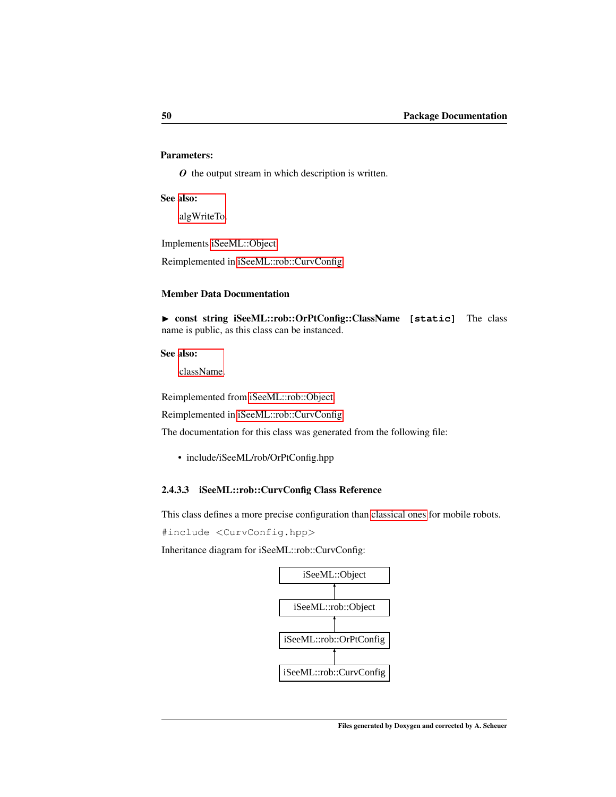# Parameters:

*O* the output stream in which description is written.

# See also:

[algWriteTo.](#page-19-0)

Implements [iSeeML::Object.](#page-22-1)

Reimplemented in [iSeeML::rob::CurvConfig.](#page-60-2)

# Member Data Documentation

<span id="page-56-0"></span>▶ const string iSeeML::rob::OrPtConfig::ClassName [static] The class name is public, as this class can be instanced.

# See also:

[className.](#page-19-2)

Reimplemented from [iSeeML::rob::Object.](#page-47-1)

Reimplemented in [iSeeML::rob::CurvConfig.](#page-61-0)

The documentation for this class was generated from the following file:

• include/iSeeML/rob/OrPtConfig.hpp

# <span id="page-56-1"></span>2.4.3.3 iSeeML::rob::CurvConfig Class Reference

This class defines a more precise configuration than [classical ones](#page-47-0) for mobile robots.

#include <CurvConfig.hpp>

Inheritance diagram for iSeeML::rob::CurvConfig:

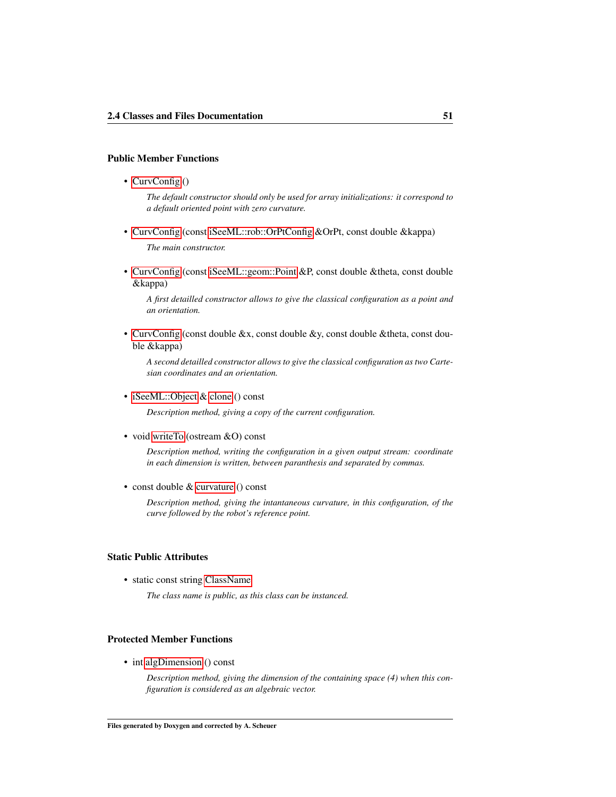# Public Member Functions

• [CurvConfig](#page-58-0) ()

*The default constructor should only be used for array initializations: it correspond to a default oriented point with zero curvature.*

- • [CurvConfig](#page-58-1) (const [iSeeML::rob::OrPtConfig](#page-47-0) &OrPt, const double &kappa) *The main constructor.*
- • [CurvConfig](#page-58-2) (const [iSeeML::geom::Point](#page-25-1) &P, const double &theta, const double &kappa)

*A first detailled constructor allows to give the classical configuration as a point and an orientation.*

• [CurvConfig](#page-59-1) (const double &x, const double &y, const double &theta, const double &kappa)

*A second detailled constructor allows to give the classical configuration as two Cartesian coordinates and an orientation.*

• [iSeeML::Object](#page-15-0) & [clone](#page-60-1) () const

*Description method, giving a copy of the current configuration.*

• void [writeTo](#page-60-2) (ostream &O) const

*Description method, writing the configuration in a given output stream: coordinate in each dimension is written, between paranthesis and separated by commas.*

• const double & [curvature](#page-60-3) () const

*Description method, giving the intantaneous curvature, in this configuration, of the curve followed by the robot's reference point.*

# Static Public Attributes

• static const string [ClassName](#page-61-0)

*The class name is public, as this class can be instanced.*

# Protected Member Functions

• int [algDimension](#page-60-0) () const

*Description method, giving the dimension of the containing space (4) when this configuration is considered as an algebraic vector.*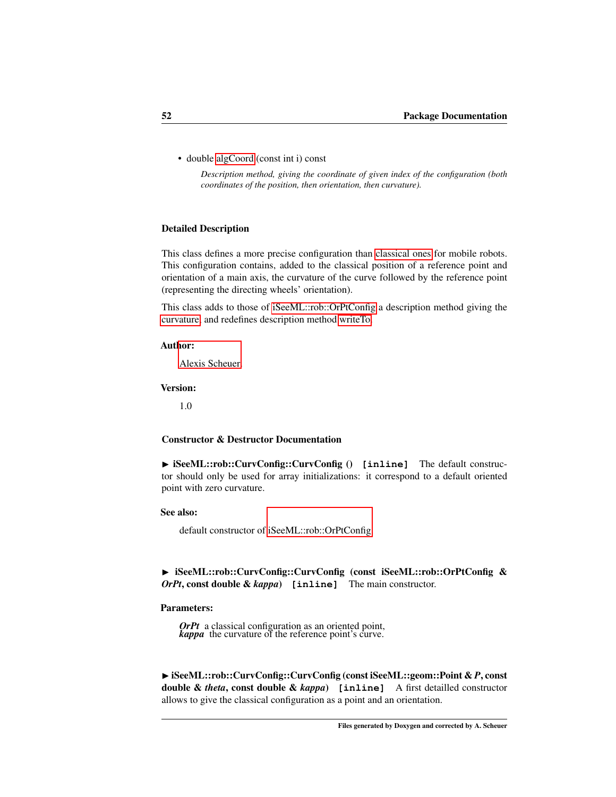• double [algCoord](#page-59-0) (const int i) const

*Description method, giving the coordinate of given index of the configuration (both coordinates of the position, then orientation, then curvature).*

## Detailed Description

This class defines a more precise configuration than [classical ones](#page-47-0) for mobile robots. This configuration contains, added to the classical position of a reference point and orientation of a main axis, the curvature of the curve followed by the reference point (representing the directing wheels' orientation).

This class adds to those of [iSeeML::rob::OrPtConfig](#page-47-0) a description method giving the [curvature,](#page-60-3) and redefines description method [writeTo.](#page-60-2)

#### Author:

[Alexis Scheuer.](#page-7-0)

## Version:

1.0

## Constructor & Destructor Documentation

<span id="page-58-0"></span>▶ iSeeML::rob::CurvConfig::CurvConfig () [inline] The default constructor should only be used for array initializations: it correspond to a default oriented point with zero curvature.

#### See also:

default constructor of [iSeeML::rob::OrPtConfig.](#page-47-0)

<span id="page-58-1"></span>▶ iSeeML::rob::CurvConfig::CurvConfig (const iSeeML::rob::OrPtConfig & *OrPt*, const double & *kappa*) **[inline]** The main constructor.

## Parameters:

*OrPt* a classical configuration as an oriented point, *kappa* the curvature of the reference point's curve.

<span id="page-58-2"></span>◮ iSeeML::rob::CurvConfig::CurvConfig (const iSeeML::geom::Point & *P*, const double & *theta*, const double & *kappa*) **[inline]** A first detailled constructor allows to give the classical configuration as a point and an orientation.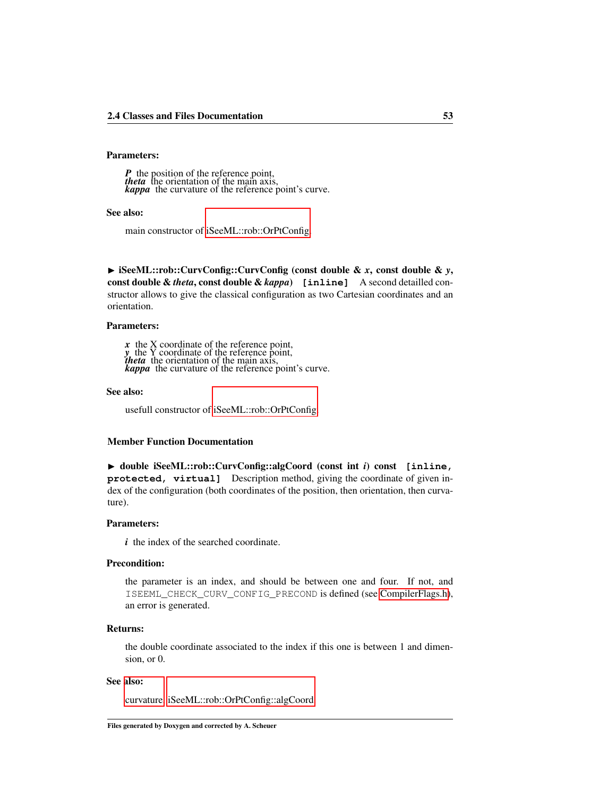# Parameters:

*P* the position of the reference point,<br> *theta* the orientation of the main axis,<br> *kappa* the curvature of the reference point's curve.

## See also:

main constructor of [iSeeML::rob::OrPtConfig.](#page-47-0)

<span id="page-59-1"></span>◮ iSeeML::rob::CurvConfig::CurvConfig (const double & *x*, const double & *y*, const double & *theta*, const double & *kappa*) **[inline]** A second detailled constructor allows to give the classical configuration as two Cartesian coordinates and an orientation.

#### Parameters:

*x* the X coordinate of the reference point,<br>*y* the Y coordinate of the reference point,<br>*theta* the orientation of the main axis,<br>*kappa* the curvature of the reference point's curve.

#### See also:

usefull constructor of [iSeeML::rob::OrPtConfig.](#page-47-0)

## Member Function Documentation

<span id="page-59-0"></span>◮ double iSeeML::rob::CurvConfig::algCoord (const int *i*) const **[inline, protected, virtual]** Description method, giving the coordinate of given index of the configuration (both coordinates of the position, then orientation, then curvature).

#### Parameters:

*i* the index of the searched coordinate.

# Precondition:

the parameter is an index, and should be between one and four. If not, and ISEEML\_CHECK\_CURV\_CONFIG\_PRECOND is defined (see [CompilerFlags.h\)](#page-14-0), an error is generated.

#### Returns:

the double coordinate associated to the index if this one is between 1 and dimension, or 0.

#### See also:

[curvature,](#page-60-3) [iSeeML::rob::OrPtConfig::algCoord.](#page-51-1)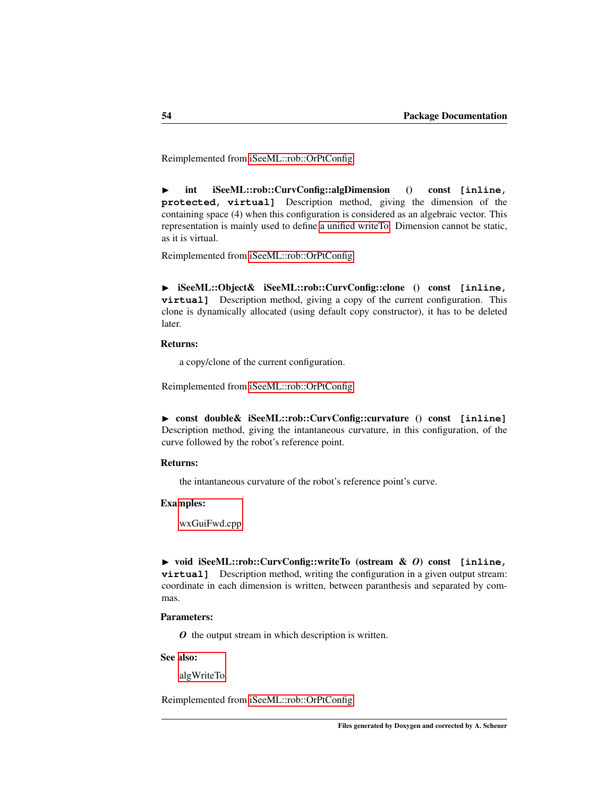<span id="page-60-0"></span>Reimplemented from [iSeeML::rob::OrPtConfig.](#page-51-1)

◮ int iSeeML::rob::CurvConfig::algDimension () const **[inline, protected, virtual]** Description method, giving the dimension of the containing space (4) when this configuration is considered as an algebraic vector. This representation is mainly used to define [a unified writeTo.](#page-19-0) Dimension cannot be static, as it is virtual.

<span id="page-60-1"></span>Reimplemented from [iSeeML::rob::OrPtConfig.](#page-52-3)

◮ iSeeML::Object& iSeeML::rob::CurvConfig::clone () const **[inline, virtual**] Description method, giving a copy of the current configuration. This clone is dynamically allocated (using default copy constructor), it has to be deleted later.

# Returns:

<span id="page-60-3"></span>a copy/clone of the current configuration.

Reimplemented from [iSeeML::rob::OrPtConfig.](#page-52-0)

◮ const double& iSeeML::rob::CurvConfig::curvature () const **[inline]** Description method, giving the intantaneous curvature, in this configuration, of the curve followed by the robot's reference point.

# Returns:

the intantaneous curvature of the robot's reference point's curve.

## Examples:

[wxGuiFwd.cpp.](#page-115-0)

<span id="page-60-2"></span>◮ void iSeeML::rob::CurvConfig::writeTo (ostream & *O*) const **[inline, virtual]** Description method, writing the configuration in a given output stream: coordinate in each dimension is written, between paranthesis and separated by commas.

## Parameters:

*O* the output stream in which description is written.

### See also:

[algWriteTo.](#page-19-0)

Reimplemented from [iSeeML::rob::OrPtConfig.](#page-55-0)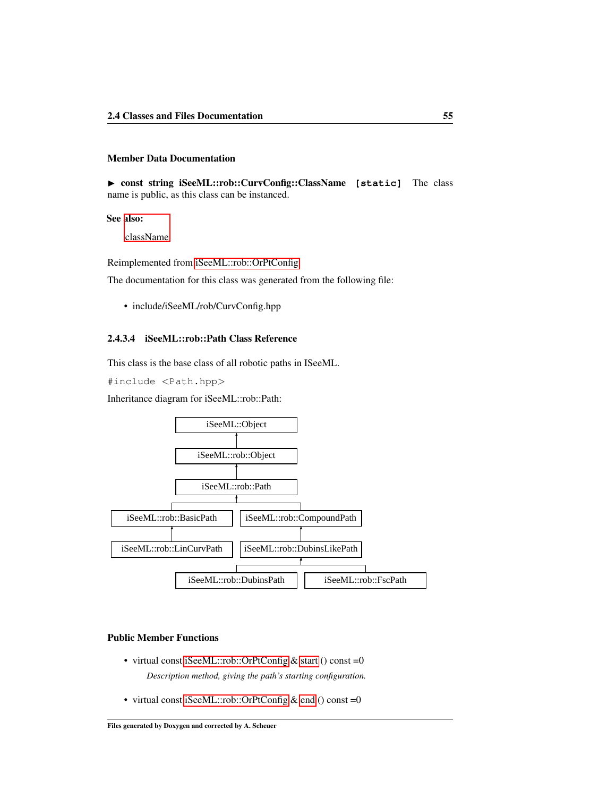## Member Data Documentation

<span id="page-61-0"></span>▶ const string iSeeML::rob::CurvConfig::ClassName [static] The class name is public, as this class can be instanced.

# See also:

[className.](#page-19-2)

Reimplemented from [iSeeML::rob::OrPtConfig.](#page-56-0)

The documentation for this class was generated from the following file:

• include/iSeeML/rob/CurvConfig.hpp

# <span id="page-61-1"></span>2.4.3.4 iSeeML::rob::Path Class Reference

This class is the base class of all robotic paths in ISeeML.

#include <Path.hpp>

Inheritance diagram for iSeeML::rob::Path:



# Public Member Functions

- virtual const [iSeeML::rob::OrPtConfig](#page-47-0) & [start](#page-64-0) () const =0 *Description method, giving the path's starting configuration.*
- virtual const [iSeeML::rob::OrPtConfig](#page-47-0) & [end](#page-63-0) () const =0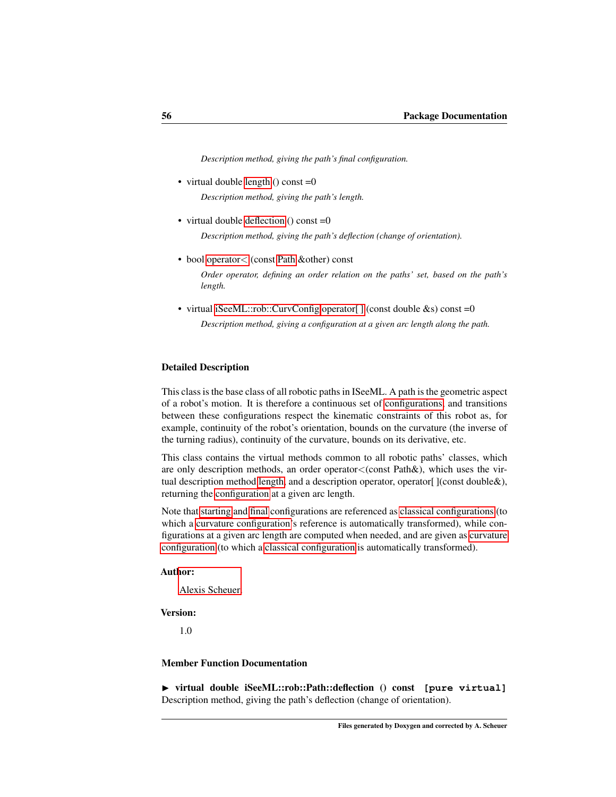*Description method, giving the path's final configuration.*

- virtual double [length](#page-63-1) () const  $=0$ *Description method, giving the path's length.*
- virtual double [deflection](#page-62-0) () const =0 *Description method, giving the path's deflection (change of orientation).*
- bool [operator](#page-63-2)< (const [Path](#page-61-1) &other) const

*Order operator, defining an order relation on the paths' set, based on the path's length.*

• virtual [iSeeML::rob::CurvConfig](#page-56-1) operator[] (const double &s) const =0 *Description method, giving a configuration at a given arc length along the path.*

## Detailed Description

This class is the base class of all robotic paths in ISeeML. A path is the geometric aspect of a robot's motion. It is therefore a continuous set of [configurations,](#page-47-0) and transitions between these configurations respect the kinematic constraints of this robot as, for example, continuity of the robot's orientation, bounds on the curvature (the inverse of the turning radius), continuity of the curvature, bounds on its derivative, etc.

This class contains the virtual methods common to all robotic paths' classes, which are only description methods, an order operator<(const Path&), which uses the virtual description method [length,](#page-63-1) and a description operator, operator [ ](const double &), returning the [configuration](#page-56-1) at a given arc length.

Note that [starting](#page-64-0) and [final](#page-63-0) configurations are referenced as [classical configurations](#page-47-0) (to which a [curvature configuration'](#page-56-1)s reference is automatically transformed), while configurations at a given arc length are computed when needed, and are given as [curvature](#page-56-1) [configuration](#page-56-1) (to which a [classical configuration](#page-47-0) is automatically transformed).

## Author:

[Alexis Scheuer.](#page-7-0)

#### Version:

1.0

# Member Function Documentation

<span id="page-62-0"></span>▶ virtual double iSeeML::rob::Path::deflection () const [pure virtual] Description method, giving the path's deflection (change of orientation).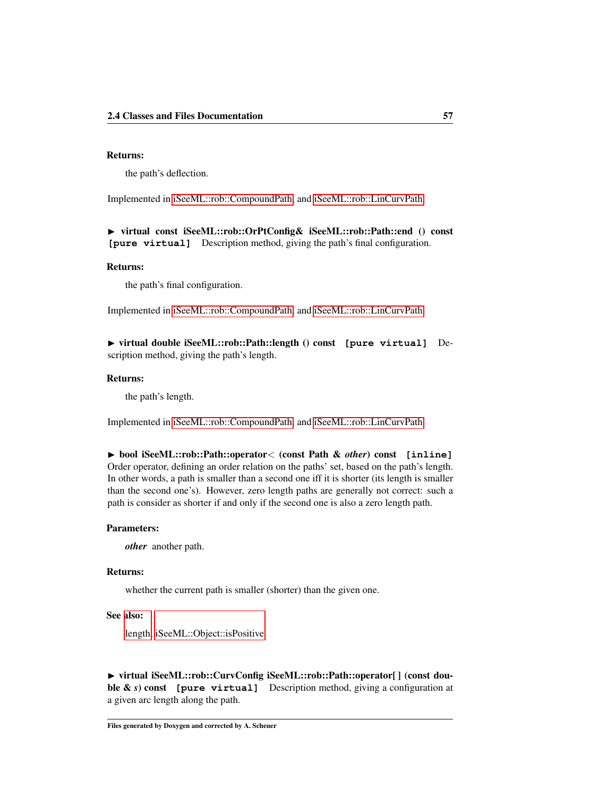# Returns:

<span id="page-63-0"></span>the path's deflection.

Implemented in [iSeeML::rob::CompoundPath,](#page-72-0) and [iSeeML::rob::LinCurvPath.](#page-67-0)

◮ virtual const iSeeML::rob::OrPtConfig& iSeeML::rob::Path::end () const **[pure virtual]** Description method, giving the path's final configuration.

# Returns:

<span id="page-63-1"></span>the path's final configuration.

Implemented in [iSeeML::rob::CompoundPath,](#page-72-1) and [iSeeML::rob::LinCurvPath.](#page-68-0)

◮ virtual double iSeeML::rob::Path::length () const **[pure virtual]** Description method, giving the path's length.

#### Returns:

<span id="page-63-2"></span>the path's length.

Implemented in [iSeeML::rob::CompoundPath,](#page-73-0) and [iSeeML::rob::LinCurvPath.](#page-68-1)

◮ bool iSeeML::rob::Path::operator< (const Path & *other*) const **[inline]** Order operator, defining an order relation on the paths' set, based on the path's length. In other words, a path is smaller than a second one iff it is shorter (its length is smaller than the second one's). However, zero length paths are generally not correct: such a path is consider as shorter if and only if the second one is also a zero length path.

#### Parameters:

*other* another path.

# Returns:

whether the current path is smaller (shorter) than the given one.

#### See also:

[length,](#page-63-1) [iSeeML::Object::isPositive.](#page-20-1)

<span id="page-63-3"></span>▶ virtual iSeeML::rob::CurvConfig iSeeML::rob::Path::operator[] (const double & *s*) const [pure virtual] Description method, giving a configuration at a given arc length along the path.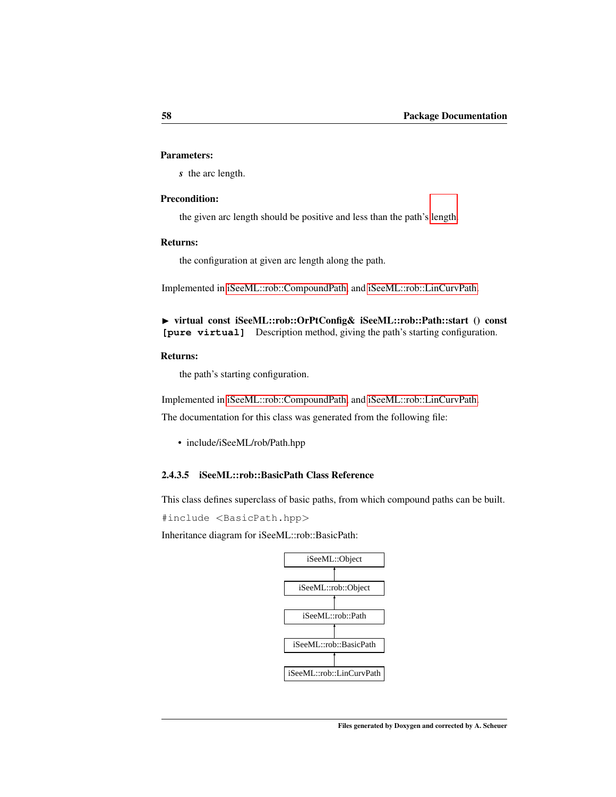# Parameters:

*s* the arc length.

# Precondition:

the given arc length should be positive and less than the path's [length.](#page-63-1)

# Returns:

<span id="page-64-0"></span>the configuration at given arc length along the path.

Implemented in [iSeeML::rob::CompoundPath,](#page-74-0) and [iSeeML::rob::LinCurvPath.](#page-68-2)

◮ virtual const iSeeML::rob::OrPtConfig& iSeeML::rob::Path::start () const **[pure virtual]** Description method, giving the path's starting configuration.

# Returns:

the path's starting configuration.

Implemented in [iSeeML::rob::CompoundPath,](#page-75-0) and [iSeeML::rob::LinCurvPath.](#page-69-0)

The documentation for this class was generated from the following file:

• include/iSeeML/rob/Path.hpp

# <span id="page-64-1"></span>2.4.3.5 iSeeML::rob::BasicPath Class Reference

This class defines superclass of basic paths, from which compound paths can be built.

#include <BasicPath.hpp>

Inheritance diagram for iSeeML::rob::BasicPath:

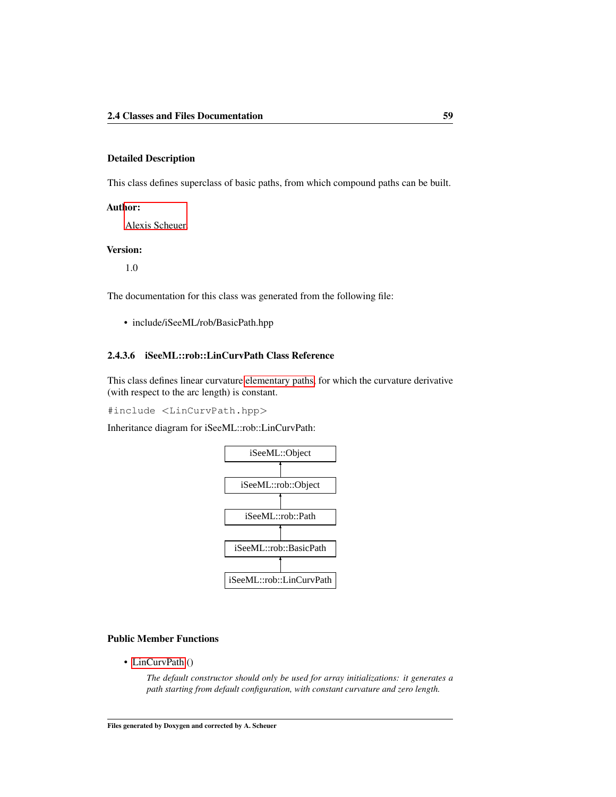# Detailed Description

This class defines superclass of basic paths, from which compound paths can be built.

# Author:

[Alexis Scheuer.](#page-7-0)

# Version:

1.0

The documentation for this class was generated from the following file:

• include/iSeeML/rob/BasicPath.hpp

# 2.4.3.6 iSeeML::rob::LinCurvPath Class Reference

This class defines linear curvature [elementary paths,](#page-64-1) for which the curvature derivative (with respect to the arc length) is constant.

#include <LinCurvPath.hpp>

Inheritance diagram for iSeeML::rob::LinCurvPath:



# Public Member Functions

• [LinCurvPath](#page-67-1) ()

*The default constructor should only be used for array initializations: it generates a path starting from default configuration, with constant curvature and zero length.*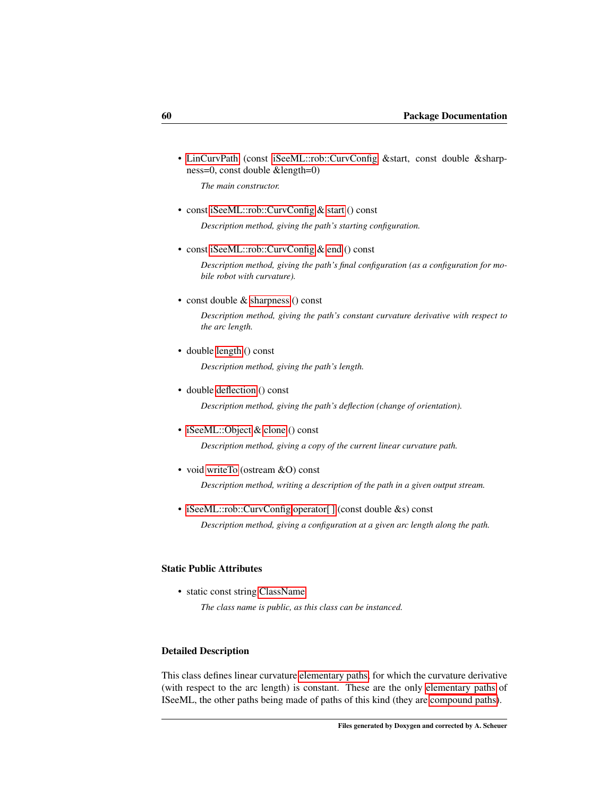• [LinCurvPath](#page-67-2) (const [iSeeML::rob::CurvConfig](#page-56-1) &start, const double &sharpness=0, const double &length=0)

*The main constructor.*

• const [iSeeML::rob::CurvConfig](#page-56-1) & [start](#page-69-0) () const

*Description method, giving the path's starting configuration.*

• const [iSeeML::rob::CurvConfig](#page-56-1) & [end](#page-68-0) () const

*Description method, giving the path's final configuration (as a configuration for mobile robot with curvature).*

• const double & [sharpness](#page-69-1) () const

*Description method, giving the path's constant curvature derivative with respect to the arc length.*

• double [length](#page-68-1) () const

*Description method, giving the path's length.*

• double [deflection](#page-67-0) () const

*Description method, giving the path's deflection (change of orientation).*

- • [iSeeML::Object](#page-15-0) & [clone](#page-67-3) () const *Description method, giving a copy of the current linear curvature path.*
- void [writeTo](#page-69-2) (ostream &O) const

*Description method, writing a description of the path in a given output stream.*

• [iSeeML::rob::CurvConfig](#page-56-1) operator[] (const double &s) const *Description method, giving a configuration at a given arc length along the path.*

# Static Public Attributes

• static const string [ClassName](#page-70-0)

*The class name is public, as this class can be instanced.*

# Detailed Description

This class defines linear curvature [elementary paths,](#page-64-1) for which the curvature derivative (with respect to the arc length) is constant. These are the only [elementary paths](#page-64-1) of ISeeML, the other paths being made of paths of this kind (they are [compound paths\)](#page-70-1).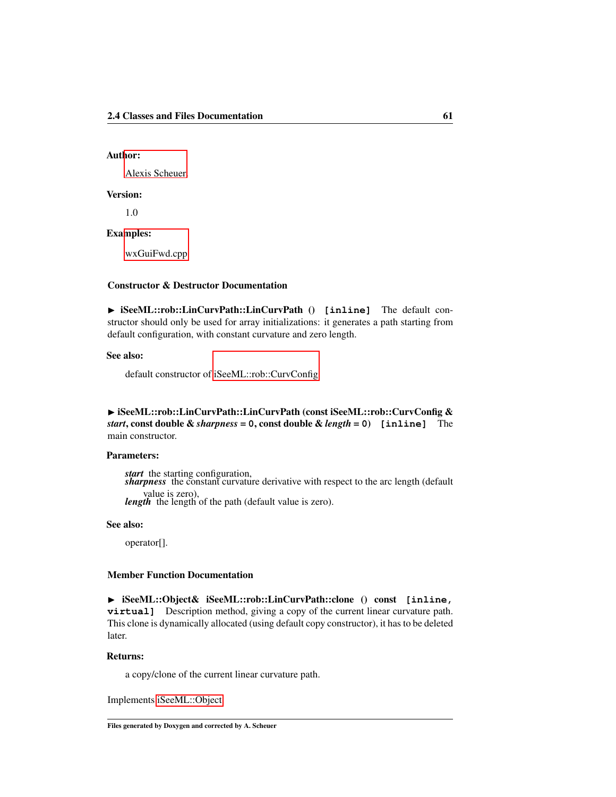# Author:

[Alexis Scheuer.](#page-7-0)

## Version:

1.0

# Examples:

[wxGuiFwd.cpp.](#page-115-0)

# Constructor & Destructor Documentation

<span id="page-67-1"></span>▶ iSeeML::rob::LinCurvPath::LinCurvPath () [inline] The default constructor should only be used for array initializations: it generates a path starting from default configuration, with constant curvature and zero length.

## See also:

default constructor of [iSeeML::rob::CurvConfig.](#page-56-1)

<span id="page-67-2"></span>► iSeeML::rob::LinCurvPath::LinCurvPath (const iSeeML::rob::CurvConfig & *start*, const double & *sharpness* = **0**, const double & *length* = **0**) **[inline]** The main constructor.

#### Parameters:

*start* the starting configuration, *sharpness* the constant curvature derivative with respect to the arc length (default value is zero), *length* the length of the path (default value is zero).

#### See also:

operator[].

# Member Function Documentation

<span id="page-67-3"></span>◮ iSeeML::Object& iSeeML::rob::LinCurvPath::clone () const **[inline, virtual]** Description method, giving a copy of the current linear curvature path. This clone is dynamically allocated (using default copy constructor), it has to be deleted later.

# Returns:

<span id="page-67-0"></span>a copy/clone of the current linear curvature path.

Implements [iSeeML::Object.](#page-19-1)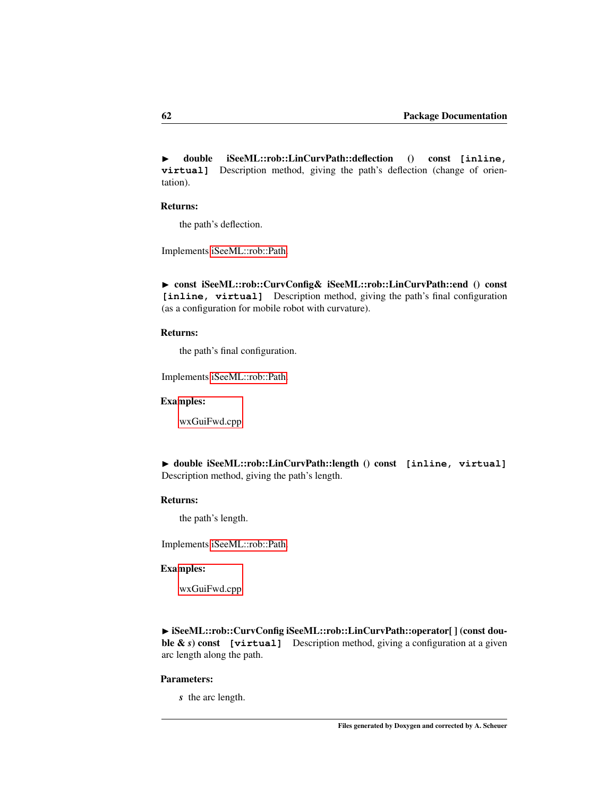◮ double iSeeML::rob::LinCurvPath::deflection () const **[inline, virtual]** Description method, giving the path's deflection (change of orientation).

#### Returns:

<span id="page-68-0"></span>the path's deflection.

Implements [iSeeML::rob::Path.](#page-62-0)

▶ const iSeeML::rob::CurvConfig& iSeeML::rob::LinCurvPath::end () const [inline, virtual] Description method, giving the path's final configuration (as a configuration for mobile robot with curvature).

# Returns:

the path's final configuration.

Implements [iSeeML::rob::Path.](#page-63-0)

#### Examples:

[wxGuiFwd.cpp.](#page-115-0)

<span id="page-68-1"></span>◮ double iSeeML::rob::LinCurvPath::length () const **[inline, virtual]** Description method, giving the path's length.

## Returns:

the path's length.

Implements [iSeeML::rob::Path.](#page-63-1)

#### Examples:

[wxGuiFwd.cpp.](#page-115-0)

<span id="page-68-2"></span>▶ iSeeML::rob::CurvConfig iSeeML::rob::LinCurvPath::operator[] (const double & *s*) const **[virtual]** Description method, giving a configuration at a given arc length along the path.

#### Parameters:

*s* the arc length.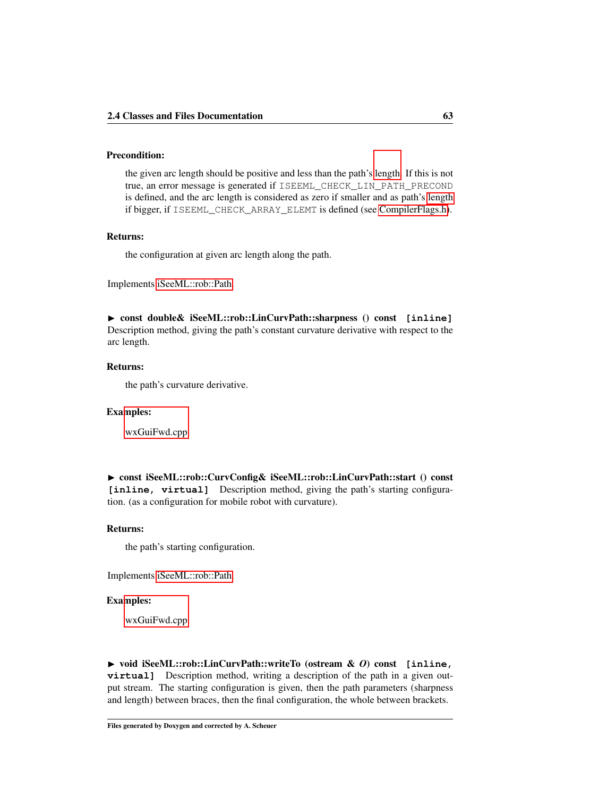# Precondition:

the given arc length should be positive and less than the path's [length.](#page-68-1) If this is not true, an error message is generated if ISEEML\_CHECK\_LIN\_PATH\_PRECOND is defined, and the arc length is considered as zero if smaller and as path's [length](#page-68-1) if bigger, if ISEEML\_CHECK\_ARRAY\_ELEMT is defined (see [CompilerFlags.h\)](#page-14-0).

# Returns:

<span id="page-69-1"></span>the configuration at given arc length along the path.

Implements [iSeeML::rob::Path.](#page-63-3)

◮ const double& iSeeML::rob::LinCurvPath::sharpness () const **[inline]** Description method, giving the path's constant curvature derivative with respect to the arc length.

## Returns:

the path's curvature derivative.

#### Examples:

[wxGuiFwd.cpp.](#page-115-0)

<span id="page-69-0"></span>► const iSeeML::rob::CurvConfig& iSeeML::rob::LinCurvPath::start () const [inline, virtual] Description method, giving the path's starting configuration. (as a configuration for mobile robot with curvature).

## Returns:

the path's starting configuration.

Implements [iSeeML::rob::Path.](#page-64-0)

# Examples:

[wxGuiFwd.cpp.](#page-115-0)

<span id="page-69-2"></span>◮ void iSeeML::rob::LinCurvPath::writeTo (ostream & *O*) const **[inline, virtual]** Description method, writing a description of the path in a given output stream. The starting configuration is given, then the path parameters (sharpness and length) between braces, then the final configuration, the whole between brackets.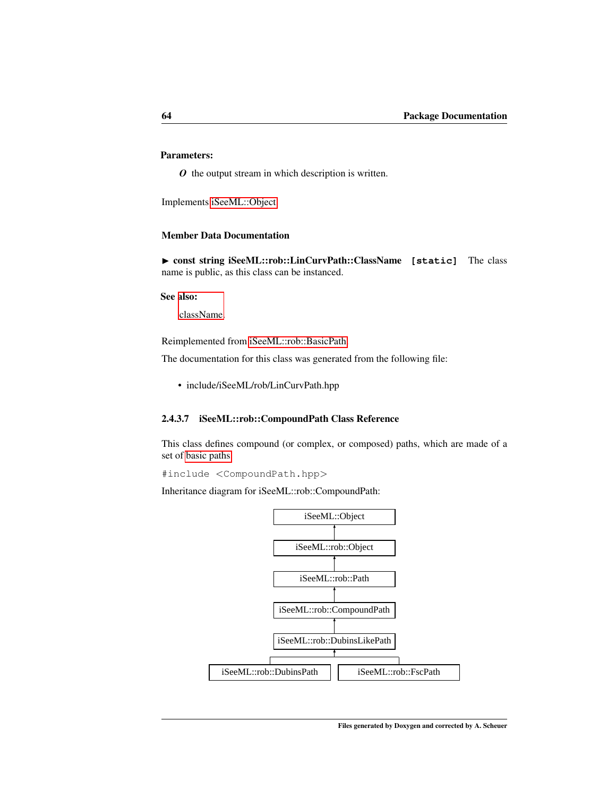# Parameters:

*O* the output stream in which description is written.

Implements [iSeeML::Object.](#page-22-1)

## Member Data Documentation

<span id="page-70-0"></span>▶ const string iSeeML::rob::LinCurvPath::ClassName [static] The class name is public, as this class can be instanced.

#### See also:

[className.](#page-19-2)

Reimplemented from [iSeeML::rob::BasicPath.](#page-64-1)

The documentation for this class was generated from the following file:

• include/iSeeML/rob/LinCurvPath.hpp

#### <span id="page-70-1"></span>2.4.3.7 iSeeML::rob::CompoundPath Class Reference

This class defines compound (or complex, or composed) paths, which are made of a set of [basic paths.](#page-64-1)

#include <CompoundPath.hpp>

Inheritance diagram for iSeeML::rob::CompoundPath:

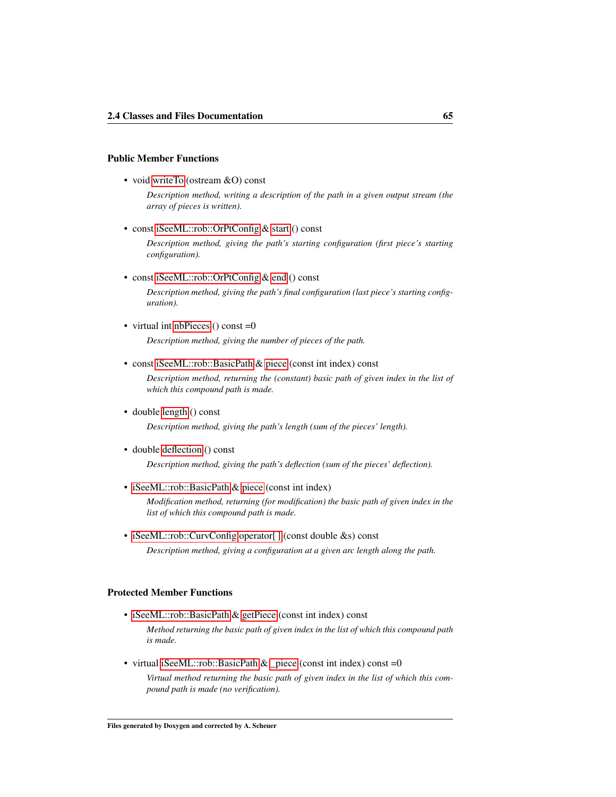#### Public Member Functions

• void [writeTo](#page-76-0) (ostream &O) const

*Description method, writing a description of the path in a given output stream (the array of pieces is written).*

• const [iSeeML::rob::OrPtConfig](#page-47-0) & [start](#page-75-0) () const

*Description method, giving the path's starting configuration (first piece's starting configuration).*

• const [iSeeML::rob::OrPtConfig](#page-47-0) & [end](#page-72-1) () const

*Description method, giving the path's final configuration (last piece's starting configuration).*

• virtual int [nbPieces](#page-74-1) () const  $=0$ 

*Description method, giving the number of pieces of the path.*

• const [iSeeML::rob::BasicPath](#page-64-1) & [piece](#page-75-1) (const int index) const

*Description method, returning the (constant) basic path of given index in the list of which this compound path is made.*

• double [length](#page-73-0) () const

*Description method, giving the path's length (sum of the pieces' length).*

• double [deflection](#page-72-0) () const

*Description method, giving the path's deflection (sum of the pieces' deflection).*

• [iSeeML::rob::BasicPath](#page-64-1) & [piece](#page-74-2) (const int index)

*Modification method, returning (for modification) the basic path of given index in the list of which this compound path is made.*

• [iSeeML::rob::CurvConfig](#page-56-1) operator[] (const double &s) const *Description method, giving a configuration at a given arc length along the path.*

# Protected Member Functions

• [iSeeML::rob::BasicPath](#page-64-1) & [getPiece](#page-73-1) (const int index) const

*Method returning the basic path of given index in the list of which this compound path is made.*

• virtual [iSeeML::rob::BasicPath](#page-64-1) & [\\_piece](#page-72-2) (const int index) const =0

*Virtual method returning the basic path of given index in the list of which this compound path is made (no verification).*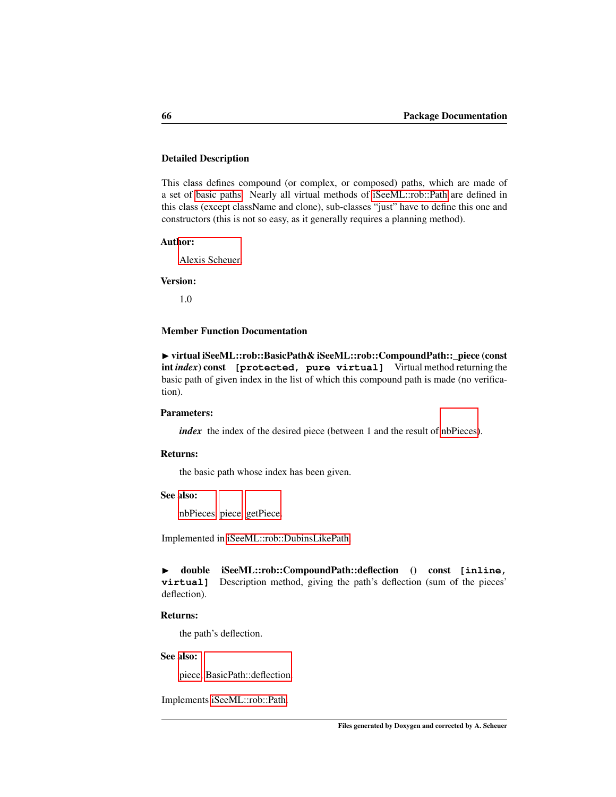# Detailed Description

This class defines compound (or complex, or composed) paths, which are made of a set of [basic paths.](#page-64-0) Nearly all virtual methods of [iSeeML::rob::Path](#page-61-0) are defined in this class (except className and clone), sub-classes "just" have to define this one and constructors (this is not so easy, as it generally requires a planning method).

#### Author:

[Alexis Scheuer.](#page-7-0)

# Version:

1.0

# Member Function Documentation

<span id="page-72-0"></span>▶ virtual iSeeML::rob::BasicPath& iSeeML::rob::CompoundPath::\_piece (const int *index*) const **[protected, pure virtual]** Virtual method returning the basic path of given index in the list of which this compound path is made (no verification).

# Parameters:

*index* the index of the desired piece (between 1 and the result of [nbPieces\)](#page-74-0).

# Returns:

the basic path whose index has been given.

# See also:

[nbPieces,](#page-74-0) [piece,](#page-75-0) [getPiece.](#page-73-0)

Implemented in [iSeeML::rob::DubinsLikePath.](#page-81-0)

◮ double iSeeML::rob::CompoundPath::deflection () const **[inline, virtual]** Description method, giving the path's deflection (sum of the pieces' deflection).

### Returns:

the path's deflection.

# See also:

[piece,](#page-75-0) [BasicPath::deflection.](#page-62-0)

Implements [iSeeML::rob::Path.](#page-62-0)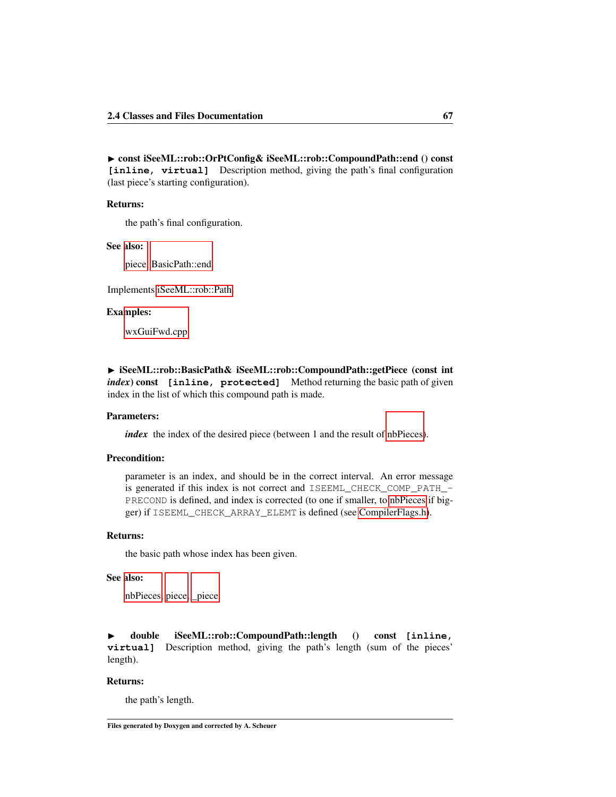▶ const iSeeML::rob::OrPtConfig& iSeeML::rob::CompoundPath::end () const [inline, virtual] Description method, giving the path's final configuration (last piece's starting configuration).

### Returns:

the path's final configuration.

#### See also:

[piece,](#page-75-0) [BasicPath::end.](#page-63-0)

Implements [iSeeML::rob::Path.](#page-63-0)

### Examples:

[wxGuiFwd.cpp.](#page-115-0)

<span id="page-73-0"></span>▶ iSeeML::rob::BasicPath& iSeeML::rob::CompoundPath::getPiece (const int *index*) const **[inline, protected]** Method returning the basic path of given index in the list of which this compound path is made.

#### Parameters:

*index* the index of the desired piece (between 1 and the result of [nbPieces\)](#page-74-0).

# Precondition:

parameter is an index, and should be in the correct interval. An error message is generated if this index is not correct and ISEEML\_CHECK\_COMP\_PATH\_ PRECOND is defined, and index is corrected (to one if smaller, to [nbPieces](#page-74-0) if bigger) if ISEEML\_CHECK\_ARRAY\_ELEMT is defined (see [CompilerFlags.h\)](#page-14-0).

### Returns:

the basic path whose index has been given.

# See also:

[nbPieces,](#page-74-0) [piece,](#page-75-0) [\\_piece.](#page-72-0)

<span id="page-73-1"></span>◮ double iSeeML::rob::CompoundPath::length () const **[inline, virtual]** Description method, giving the path's length (sum of the pieces' length).

# Returns:

the path's length.

Files generated by Doxygen and corrected by A. Scheuer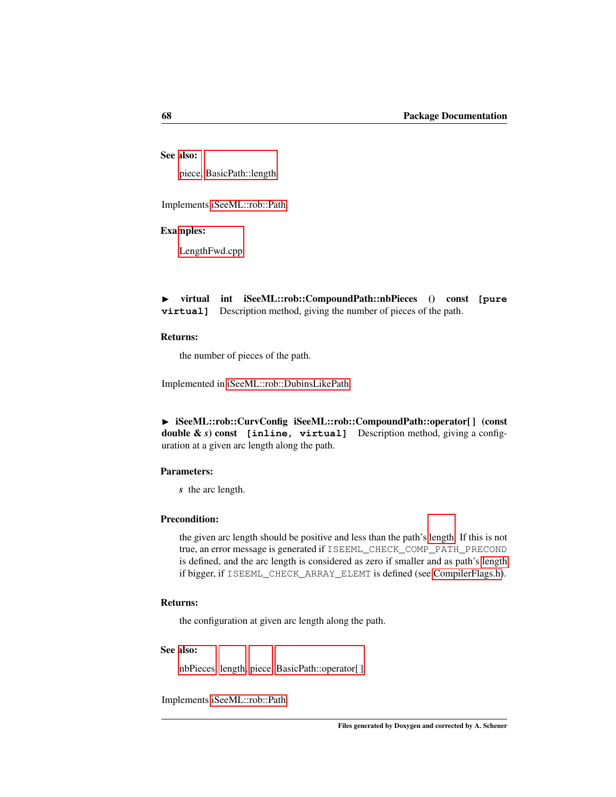# See also:

[piece,](#page-75-0) [BasicPath::length.](#page-63-1)

Implements [iSeeML::rob::Path.](#page-63-1)

# Examples:

<span id="page-74-0"></span>[LengthFwd.cpp.](#page-110-0)

◮ virtual int iSeeML::rob::CompoundPath::nbPieces () const **[pure virtual]** Description method, giving the number of pieces of the path.

## Returns:

the number of pieces of the path.

Implemented in [iSeeML::rob::DubinsLikePath.](#page-86-0)

▶ iSeeML::rob::CurvConfig iSeeML::rob::CompoundPath::operator[] (const double & *s*) const **[inline, virtual]** Description method, giving a configuration at a given arc length along the path.

# Parameters:

*s* the arc length.

# Precondition:

the given arc length should be positive and less than the path's [length.](#page-73-1) If this is not true, an error message is generated if ISEEML\_CHECK\_COMP\_PATH\_PRECOND is defined, and the arc length is considered as zero if smaller and as path's [length](#page-73-1) if bigger, if ISEEML\_CHECK\_ARRAY\_ELEMT is defined (see [CompilerFlags.h\)](#page-14-0).

# Returns:

the configuration at given arc length along the path.

### See also:

[nbPieces,](#page-74-0) [length,](#page-73-1) [piece,](#page-75-0) [BasicPath::operator\[ \].](#page-63-2)

Implements [iSeeML::rob::Path.](#page-63-2)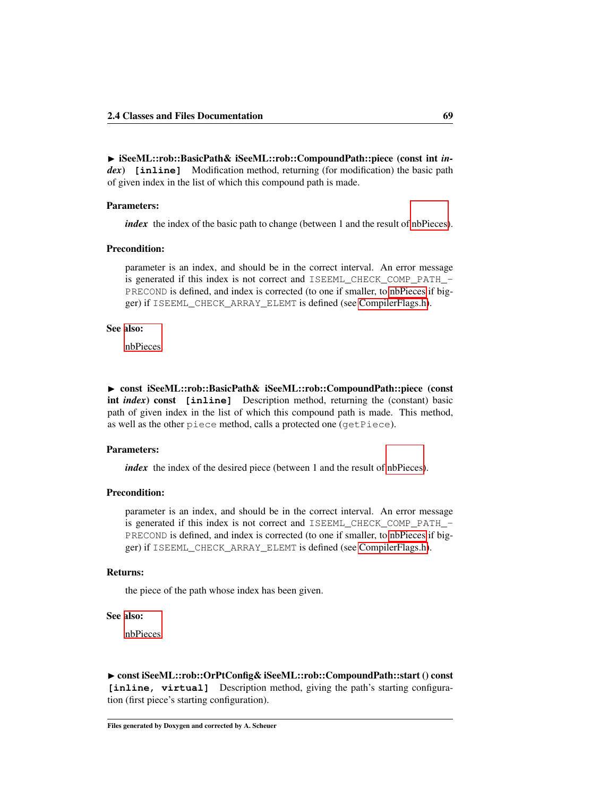◮ iSeeML::rob::BasicPath& iSeeML::rob::CompoundPath::piece (const int *index*) **[inline]** Modification method, returning (for modification) the basic path of given index in the list of which this compound path is made.

## Parameters:

*index* the index of the basic path to change (between 1 and the result of [nbPieces\)](#page-74-0).

### Precondition:

parameter is an index, and should be in the correct interval. An error message is generated if this index is not correct and ISEEML\_CHECK\_COMP\_PATH\_- PRECOND is defined, and index is corrected (to one if smaller, to [nbPieces](#page-74-0) if bigger) if ISEEML\_CHECK\_ARRAY\_ELEMT is defined (see [CompilerFlags.h\)](#page-14-0).

## See also:

<span id="page-75-0"></span>[nbPieces.](#page-74-0)

► const iSeeML::rob::BasicPath& iSeeML::rob::CompoundPath::piece (const int *index*) const **[inline]** Description method, returning the (constant) basic path of given index in the list of which this compound path is made. This method, as well as the other piece method, calls a protected one (getPiece).

## Parameters:

*index* the index of the desired piece (between 1 and the result of [nbPieces\)](#page-74-0).

# Precondition:

parameter is an index, and should be in the correct interval. An error message is generated if this index is not correct and ISEEML\_CHECK\_COMP\_PATH\_ PRECOND is defined, and index is corrected (to one if smaller, to [nbPieces](#page-74-0) if bigger) if ISEEML\_CHECK\_ARRAY\_ELEMT is defined (see [CompilerFlags.h\)](#page-14-0).

#### Returns:

the piece of the path whose index has been given.

### See also:

[nbPieces.](#page-74-0)

▶ const iSeeML::rob::OrPtConfig& iSeeML::rob::CompoundPath::start () const **[inline, virtual]** Description method, giving the path's starting configuration (first piece's starting configuration).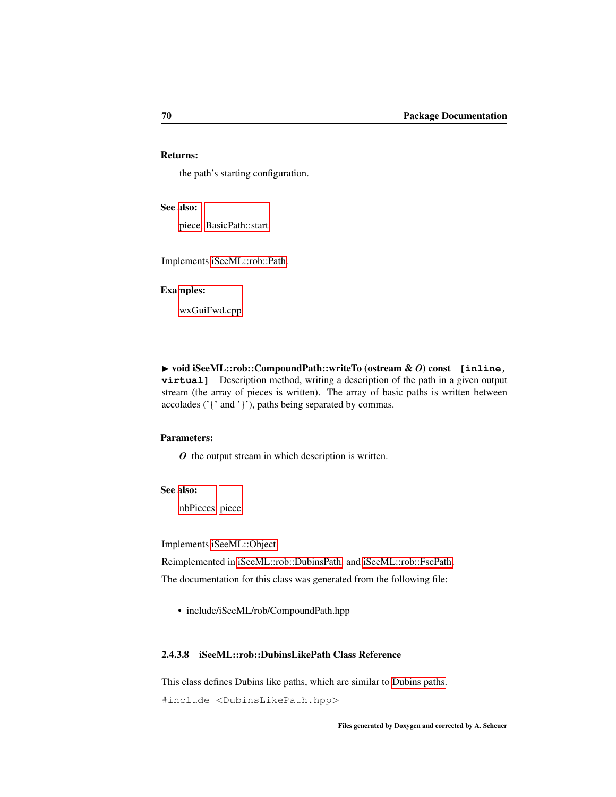# Returns:

the path's starting configuration.

#### See also:

[piece,](#page-75-0) [BasicPath::start.](#page-64-1)

Implements [iSeeML::rob::Path.](#page-64-1)

# Examples:

<span id="page-76-1"></span>[wxGuiFwd.cpp.](#page-115-0)

◮ void iSeeML::rob::CompoundPath::writeTo (ostream & *O*) const **[inline, virtual]** Description method, writing a description of the path in a given output stream (the array of pieces is written). The array of basic paths is written between accolades ('{' and '}'), paths being separated by commas.

## Parameters:

*O* the output stream in which description is written.

## See also:

[nbPieces,](#page-74-0) [piece.](#page-75-0)

Implements [iSeeML::Object.](#page-22-0)

Reimplemented in [iSeeML::rob::DubinsPath,](#page-95-0) and [iSeeML::rob::FscPath.](#page-106-0)

The documentation for this class was generated from the following file:

• include/iSeeML/rob/CompoundPath.hpp

# <span id="page-76-0"></span>2.4.3.8 iSeeML::rob::DubinsLikePath Class Reference

This class defines Dubins like paths, which are similar to [Dubins paths.](#page-88-0)

#include <DubinsLikePath.hpp>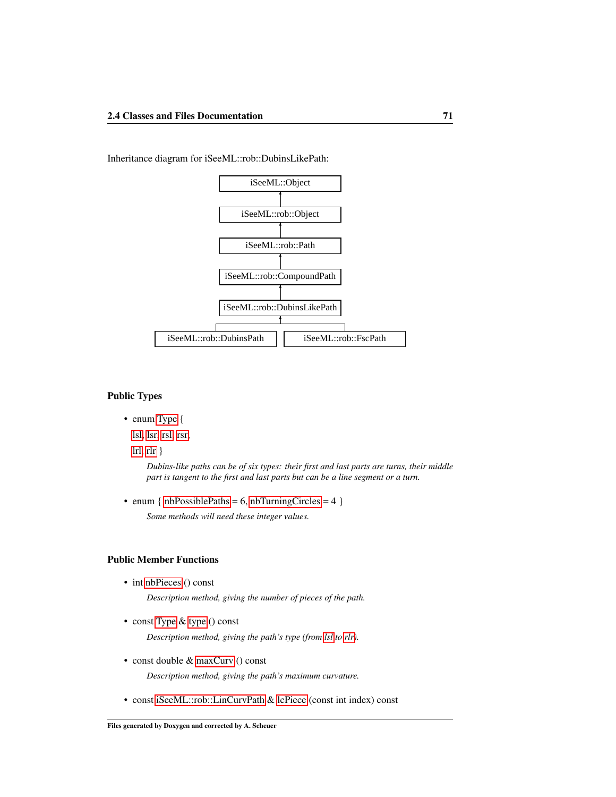

Inheritance diagram for iSeeML::rob::DubinsLikePath:

#### Public Types

• enum [Type](#page-80-0) {

[lsl,](#page-80-1) [lsr,](#page-80-2) [rsl,](#page-80-3) [rsr,](#page-80-4)

[lrl,](#page-80-5) [rlr](#page-80-6)  $\}$ 

*Dubins-like paths can be of six types: their first and last parts are turns, their middle part is tangent to the first and last parts but can be a line segment or a turn.*

• enum {  $nbPossiblePaths = 6$ ,  $nbTurningCircle = 4$  }

*Some methods will need these integer values.*

# Public Member Functions

• int [nbPieces](#page-86-0) () const

*Description method, giving the number of pieces of the path.*

- const [Type](#page-80-0) & [type](#page-88-1) () const *Description method, giving the path's type (from [lsl](#page-80-1) to [rlr\)](#page-80-6).*
- const double & [maxCurv](#page-86-1) () const

*Description method, giving the path's maximum curvature.*

• const [iSeeML::rob::LinCurvPath](#page-65-0) & [lcPiece](#page-85-0) (const int index) const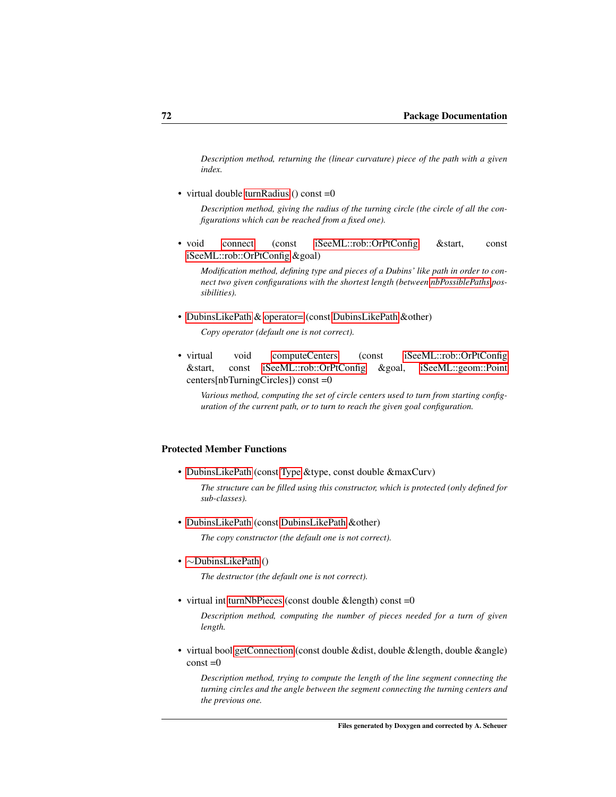*Description method, returning the (linear curvature) piece of the path with a given index.*

• virtual double [turnRadius](#page-87-0) () const = 0

*Description method, giving the radius of the turning circle (the circle of all the configurations which can be reached from a fixed one).*

• void [connect](#page-83-0) (const [iSeeML::rob::OrPtConfig](#page-47-0) &start, const [iSeeML::rob::OrPtConfig](#page-47-0) &goal)

*Modification method, defining type and pieces of a Dubins' like path in order to connect two given configurations with the shortest length (between [nbPossiblePaths](#page-80-7) possibilities).*

• [DubinsLikePath](#page-76-0) & [operator=](#page-86-2) (const [DubinsLikePath](#page-76-0) &other)

*Copy operator (default one is not correct).*

• virtual void [computeCenters](#page-82-0) (const [iSeeML::rob::OrPtConfig](#page-47-0) &start, const [iSeeML::rob::OrPtConfig](#page-47-0) &goal, [iSeeML::geom::Point](#page-25-0) centers[nbTurningCircles]) const =0

*Various method, computing the set of circle centers used to turn from starting configuration of the current path, or to turn to reach the given goal configuration.*

# Protected Member Functions

• [DubinsLikePath](#page-81-1) (const [Type](#page-80-0) &type, const double &maxCurv)

*The structure can be filled using this constructor, which is protected (only defined for sub-classes).*

• [DubinsLikePath](#page-81-2) (const [DubinsLikePath](#page-76-0) &other)

*The copy constructor (the default one is not correct).*

• ∼[DubinsLikePath](#page-81-3) ()

*The destructor (the default one is not correct).*

• virtual int [turnNbPieces](#page-87-1) (const double &length) const =0

*Description method, computing the number of pieces needed for a turn of given length.*

• virtual bool [getConnection](#page-84-0) (const double &dist, double &length, double &angle)  $const = 0$ 

*Description method, trying to compute the length of the line segment connecting the turning circles and the angle between the segment connecting the turning centers and the previous one.*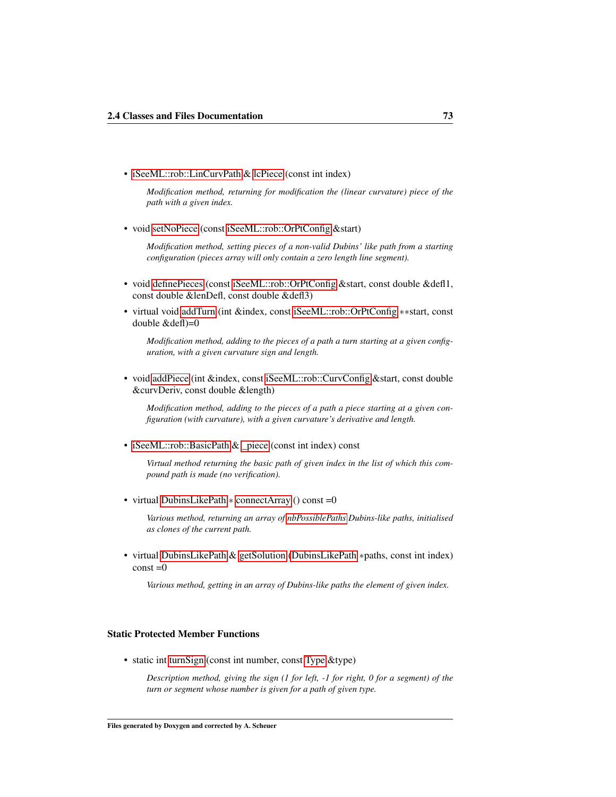• [iSeeML::rob::LinCurvPath](#page-65-0) & [lcPiece](#page-85-1) (const int index)

*Modification method, returning for modification the (linear curvature) piece of the path with a given index.*

• void [setNoPiece](#page-87-2) (const [iSeeML::rob::OrPtConfig](#page-47-0) &start)

*Modification method, setting pieces of a non-valid Dubins' like path from a starting configuration (pieces array will only contain a zero length line segment).*

- void [definePieces](#page-83-1) (const [iSeeML::rob::OrPtConfig](#page-47-0) &start, const double &defl1, const double &lenDefl, const double &defl3)
- virtual void [addTurn](#page-82-1) (int &index, const [iSeeML::rob::OrPtConfig](#page-47-0) ∗∗start, const double &defl)=0

*Modification method, adding to the pieces of a path a turn starting at a given configuration, with a given curvature sign and length.*

• void [addPiece](#page-81-4) (int &index, const [iSeeML::rob::CurvConfig](#page-56-0) &start, const double &curvDeriv, const double &length)

*Modification method, adding to the pieces of a path a piece starting at a given configuration (with curvature), with a given curvature's derivative and length.*

• [iSeeML::rob::BasicPath](#page-64-0) & [\\_piece](#page-81-0) (const int index) const

*Virtual method returning the basic path of given index in the list of which this compound path is made (no verification).*

• virtual [DubinsLikePath](#page-76-0) ∗ [connectArray](#page-83-2) () const =0

*Various method, returning an array of [nbPossiblePaths](#page-80-7) Dubins-like paths, initialised as clones of the current path.*

• virtual [DubinsLikePath](#page-76-0) & [getSolution](#page-84-1) [\(DubinsLikePath](#page-76-0) ∗paths, const int index)  $const = 0$ 

*Various method, getting in an array of Dubins-like paths the element of given index.*

# Static Protected Member Functions

• static int [turnSign](#page-88-2) (const int number, const [Type](#page-80-0) &type)

*Description method, giving the sign (1 for left, -1 for right, 0 for a segment) of the turn or segment whose number is given for a path of given type.*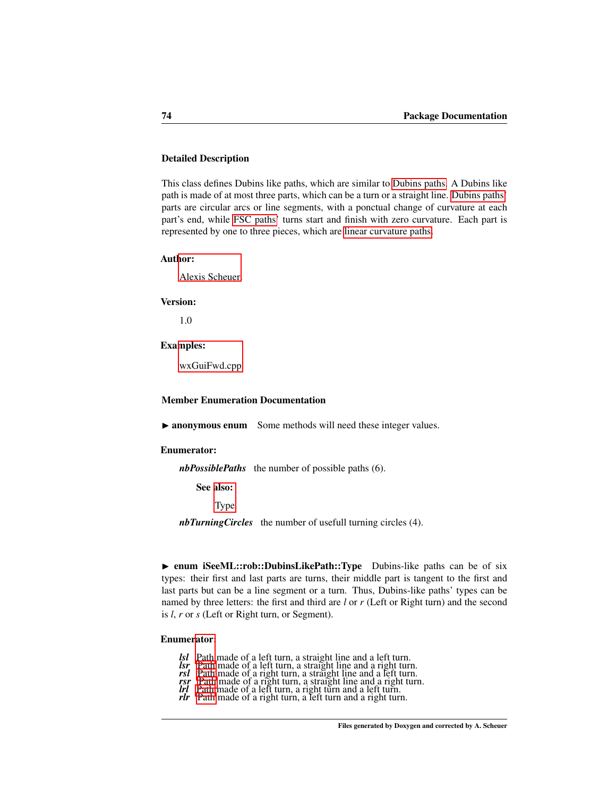# Detailed Description

This class defines Dubins like paths, which are similar to [Dubins paths.](#page-88-0) A Dubins like path is made of at most three parts, which can be a turn or a straight line. [Dubins paths'](#page-88-0) parts are circular arcs or line segments, with a ponctual change of curvature at each part's end, while [FSC paths'](#page-96-0) turns start and finish with zero curvature. Each part is represented by one to three pieces, which are [linear curvature paths.](#page-65-0)

### Author:

[Alexis Scheuer.](#page-7-0)

#### Version:

1.0

#### Examples:

[wxGuiFwd.cpp.](#page-115-0)

### Member Enumeration Documentation

▶ anonymous enum Some methods will need these integer values.

#### Enumerator:

<span id="page-80-7"></span>*nbPossiblePaths* the number of possible paths (6).

See also:

[Type.](#page-80-0)

<span id="page-80-8"></span><span id="page-80-0"></span>*nbTurningCircles* the number of usefull turning circles (4).

► enum iSeeML::rob::DubinsLikePath::Type Dubins-like paths can be of six types: their first and last parts are turns, their middle part is tangent to the first and last parts but can be a line segment or a turn. Thus, Dubins-like paths' types can be named by three letters: the first and third are *l* or *r* (Left or Right turn) and the second is *l*, *r* or *s* (Left or Right turn, or Segment).

### Enume[rator:](#page-61-0)

- *lsl* Path made of a left turn, a straight line and a left turn.
- <span id="page-80-1"></span>*lsr* [Path](#page-61-0) made of a left turn, a straight line and a right turn.<br>*rsl* Path made of a right turn, a straight line and a left turn.
- <span id="page-80-2"></span>*rsl* [Path](#page-61-0) made of a right turn, a straight line and a left turn. *rsr* [Path](#page-61-0) made of a right turn, a straight line and a right turn.
- <span id="page-80-4"></span><span id="page-80-3"></span>*latif [Path](#page-61-0) made of a right turn, a straight line and a right turn and a left turn.*<br>*lipides of a left turn, a right turn and a left turn.*
- <span id="page-80-5"></span>*rlr* [Path](#page-61-0) made of a right turn, a left turn and a right turn.
- <span id="page-80-6"></span>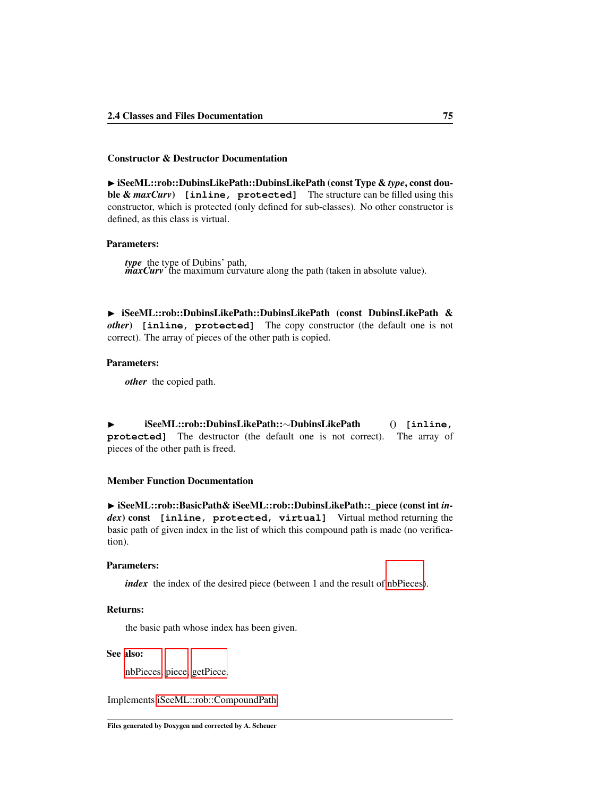### Constructor & Destructor Documentation

<span id="page-81-1"></span>◮ iSeeML::rob::DubinsLikePath::DubinsLikePath (const Type & *type*, const double & *maxCurv*) **[inline, protected]** The structure can be filled using this constructor, which is protected (only defined for sub-classes). No other constructor is defined, as this class is virtual.

### Parameters:

*type* the type of Dubins' path, *maxCurv* the maximum curvature along the path (taken in absolute value).

<span id="page-81-2"></span>► iSeeML::rob::DubinsLikePath::DubinsLikePath (const DubinsLikePath & *other*) **[inline, protected]** The copy constructor (the default one is not correct). The array of pieces of the other path is copied.

## Parameters:

*other* the copied path.

<span id="page-81-3"></span>◮ iSeeML::rob::DubinsLikePath::∼DubinsLikePath () **[inline, protected]** The destructor (the default one is not correct). The array of pieces of the other path is freed.

# Member Function Documentation

<span id="page-81-0"></span>◮ iSeeML::rob::BasicPath& iSeeML::rob::DubinsLikePath::\_piece (const int *index*) const **[inline, protected, virtual]** Virtual method returning the basic path of given index in the list of which this compound path is made (no verification).

#### Parameters:

*index* the index of the desired piece (between 1 and the result of [nbPieces\)](#page-86-0).

### Returns:

the basic path whose index has been given.

### See also:

<span id="page-81-4"></span>[nbPieces,](#page-86-0) [piece,](#page-75-0) [getPiece.](#page-73-0)

Implements [iSeeML::rob::CompoundPath.](#page-72-0)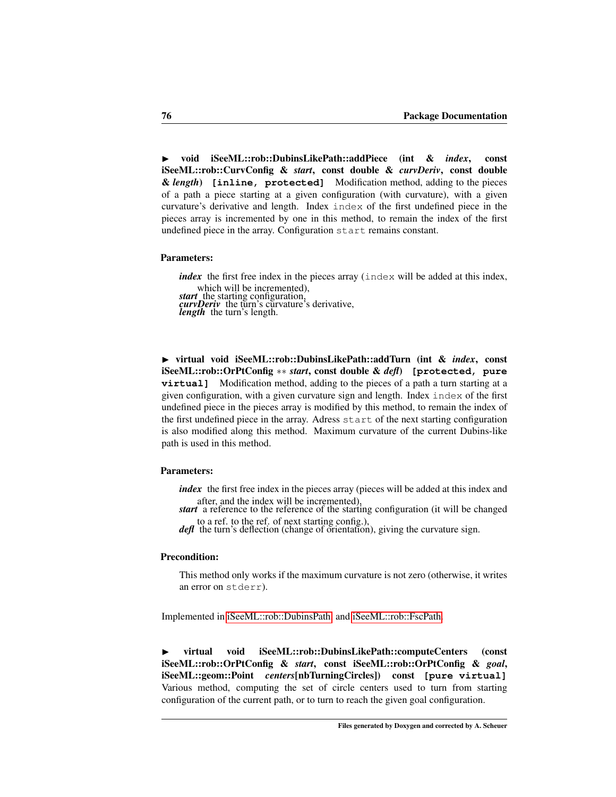◮ void iSeeML::rob::DubinsLikePath::addPiece (int & *index*, const iSeeML::rob::CurvConfig & *start*, const double & *curvDeriv*, const double & *length*) **[inline, protected]** Modification method, adding to the pieces of a path a piece starting at a given configuration (with curvature), with a given curvature's derivative and length. Index index of the first undefined piece in the pieces array is incremented by one in this method, to remain the index of the first undefined piece in the array. Configuration start remains constant.

### Parameters:

*index* the first free index in the pieces array (index will be added at this index, which will be incremented), *start* the starting configuration, *curvDeriv* the turn's curvature's derivative, *length* the turn's length.

<span id="page-82-1"></span>◮ virtual void iSeeML::rob::DubinsLikePath::addTurn (int & *index*, const iSeeML::rob::OrPtConfig ∗∗ *start*, const double & *defl*) **[protected, pure virtual]** Modification method, adding to the pieces of a path a turn starting at a given configuration, with a given curvature sign and length. Index index of the first undefined piece in the pieces array is modified by this method, to remain the index of the first undefined piece in the array. Adress start of the next starting configuration is also modified along this method. Maximum curvature of the current Dubins-like path is used in this method.

# Parameters:

*index* the first free index in the pieces array (pieces will be added at this index and after, and the index will be incremented),

*start* a reference to the reference of the starting configuration (it will be changed to a ref. to the ref. of next starting config.),

*defl* the turn's deflection (change of orientation), giving the curvature sign.

#### Precondition:

<span id="page-82-0"></span>This method only works if the maximum curvature is not zero (otherwise, it writes an error on stderr).

Implemented in [iSeeML::rob::DubinsPath,](#page-92-0) and [iSeeML::rob::FscPath.](#page-102-0)

◮ virtual void iSeeML::rob::DubinsLikePath::computeCenters (const iSeeML::rob::OrPtConfig & *start*, const iSeeML::rob::OrPtConfig & *goal*, iSeeML::geom::Point *centers*[nbTurningCircles]) const **[pure virtual]** Various method, computing the set of circle centers used to turn from starting configuration of the current path, or to turn to reach the given goal configuration.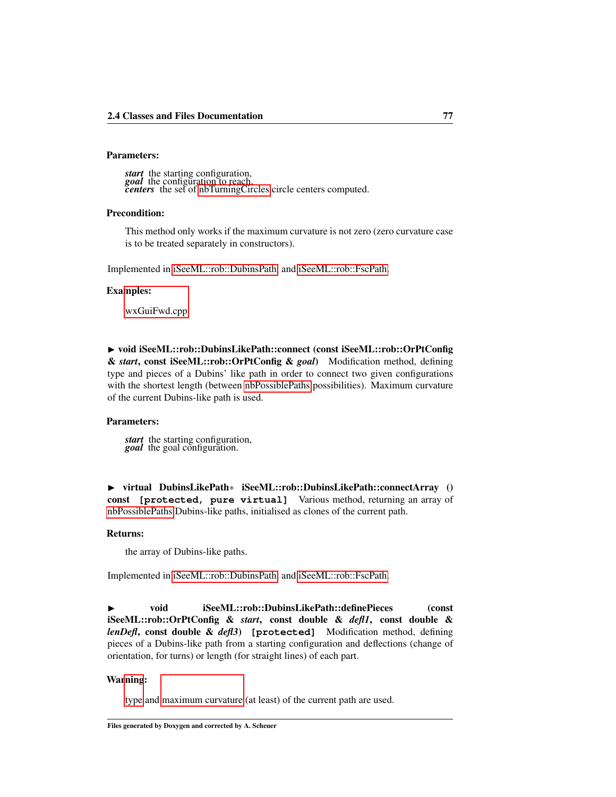# Parameters:

*start* the starting configuration, *goal* the configuration to reach, *centers* the set of [nbTurningCircles](#page-80-8) circle centers computed.

### Precondition:

This method only works if the maximum curvature is not zero (zero curvature case is to be treated separately in constructors).

Implemented in [iSeeML::rob::DubinsPath,](#page-93-0) and [iSeeML::rob::FscPath.](#page-102-1)

#### Examples:

[wxGuiFwd.cpp.](#page-115-0)

<span id="page-83-0"></span>▶ void iSeeML::rob::DubinsLikePath::connect (const iSeeML::rob::OrPtConfig & *start*, const iSeeML::rob::OrPtConfig & *goal*) Modification method, defining type and pieces of a Dubins' like path in order to connect two given configurations with the shortest length (between [nbPossiblePaths](#page-80-7) possibilities). Maximum curvature of the current Dubins-like path is used.

#### Parameters:

*start* the starting configuration, *goal* the goal configuration.

<span id="page-83-2"></span>◮ virtual DubinsLikePath∗ iSeeML::rob::DubinsLikePath::connectArray () const **[protected, pure virtual]** Various method, returning an array of [nbPossiblePaths](#page-80-7) Dubins-like paths, initialised as clones of the current path.

#### Returns:

<span id="page-83-1"></span>the array of Dubins-like paths.

Implemented in [iSeeML::rob::DubinsPath,](#page-93-1) and [iSeeML::rob::FscPath.](#page-103-0)

◮ void iSeeML::rob::DubinsLikePath::definePieces (const iSeeML::rob::OrPtConfig & *start*, const double & *defl1*, const double & *lenDefl*, const double & *defl3*) **[protected]** Modification method, defining pieces of a Dubins-like path from a starting configuration and deflections (change of orientation, for turns) or length (for straight lines) of each part.

### Wa[rning](#page-88-1):

type and [maximum curvature](#page-86-1) (at least) of the current path are used.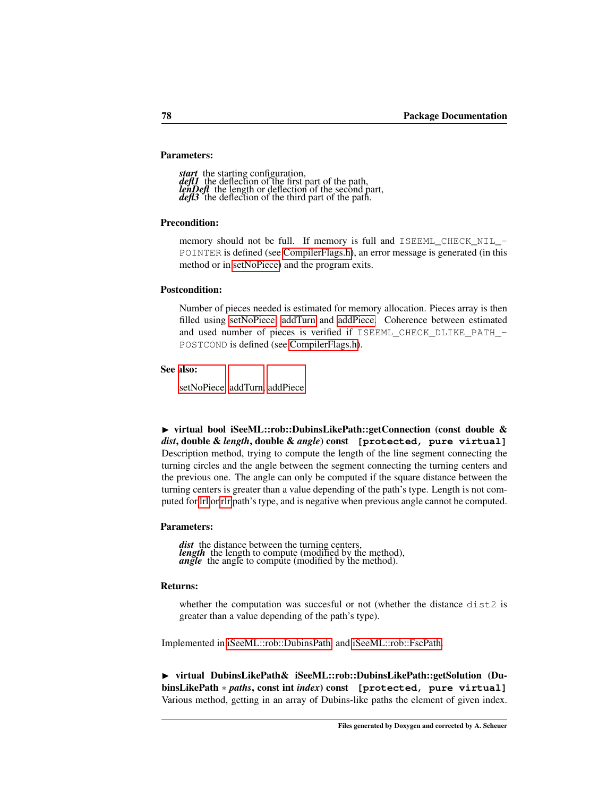# Parameters:

start the starting configuration, *defl1* the deflection of the first part of the path, *lenDefl* the length or deflection of the second part, *defl3* the deflection of the third part of the path.

### Precondition:

memory should not be full. If memory is full and ISEEML\_CHECK\_NIL\_- POINTER is defined (see [CompilerFlags.h\)](#page-14-0), an error message is generated (in this method or in [setNoPiece\)](#page-87-2) and the program exits.

### Postcondition:

Number of pieces needed is estimated for memory allocation. Pieces array is then filled using [setNoPiece,](#page-87-2) [addTurn](#page-82-1) and [addPiece.](#page-81-4) Coherence between estimated and used number of pieces is verified if ISEEML\_CHECK\_DLIKE\_PATH\_- POSTCOND is defined (see [CompilerFlags.h\)](#page-14-0).

## See also:

<span id="page-84-0"></span>[setNoPiece,](#page-87-2) [addTurn,](#page-82-1) [addPiece.](#page-81-4)

► virtual bool iSeeML::rob::DubinsLikePath::getConnection (const double & *dist*, double & *length*, double & *angle*) const **[protected, pure virtual]** Description method, trying to compute the length of the line segment connecting the turning circles and the angle between the segment connecting the turning centers and the previous one. The angle can only be computed if the square distance between the turning centers is greater than a value depending of the path's type. Length is not computed for [lrl](#page-80-5) or [rlr](#page-80-6) path's type, and is negative when previous angle cannot be computed.

### Parameters:

*dist* the distance between the turning centers, *length* the length to compute (modified by the method), *angle* the angle to compute (modified by the method).

#### Returns:

<span id="page-84-1"></span>whether the computation was succesful or not (whether the distance dist2 is greater than a value depending of the path's type).

Implemented in [iSeeML::rob::DubinsPath,](#page-93-2) and [iSeeML::rob::FscPath.](#page-104-0)

◮ virtual DubinsLikePath& iSeeML::rob::DubinsLikePath::getSolution (DubinsLikePath ∗ *paths*, const int *index*) const **[protected, pure virtual]** Various method, getting in an array of Dubins-like paths the element of given index.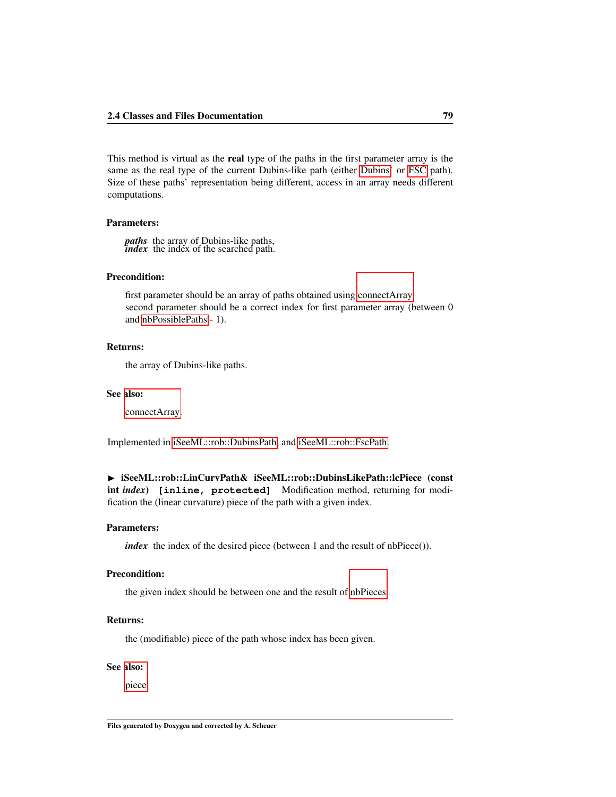This method is virtual as the real type of the paths in the first parameter array is the same as the real type of the current Dubins-like path (either [Dubins'](#page-88-0) or [FSC](#page-96-0) path). Size of these paths' representation being different, access in an array needs different computations.

### Parameters:

*paths* the array of Dubins-like paths, *index* the index of the searched path.

# Precondition:

first parameter should be an array of paths obtained using [connectArray.](#page-83-2) second parameter should be a correct index for first parameter array (between 0 and [nbPossiblePaths](#page-80-7) - 1).

### Returns:

the array of Dubins-like paths.

# See also:

<span id="page-85-1"></span>[connectArray.](#page-83-2)

Implemented in [iSeeML::rob::DubinsPath,](#page-94-0) and [iSeeML::rob::FscPath.](#page-104-1)

▶ iSeeML::rob::LinCurvPath& iSeeML::rob::DubinsLikePath::lcPiece (const int *index*) **[inline, protected]** Modification method, returning for modification the (linear curvature) piece of the path with a given index.

#### Parameters:

*index* the index of the desired piece (between 1 and the result of nbPiece()).

### Precondition:

the given index should be between one and the result of [nbPieces.](#page-86-0)

# Returns:

the (modifiable) piece of the path whose index has been given.

# See also:

[piece.](#page-75-0)

<span id="page-85-0"></span>Files generated by Doxygen and corrected by A. Scheuer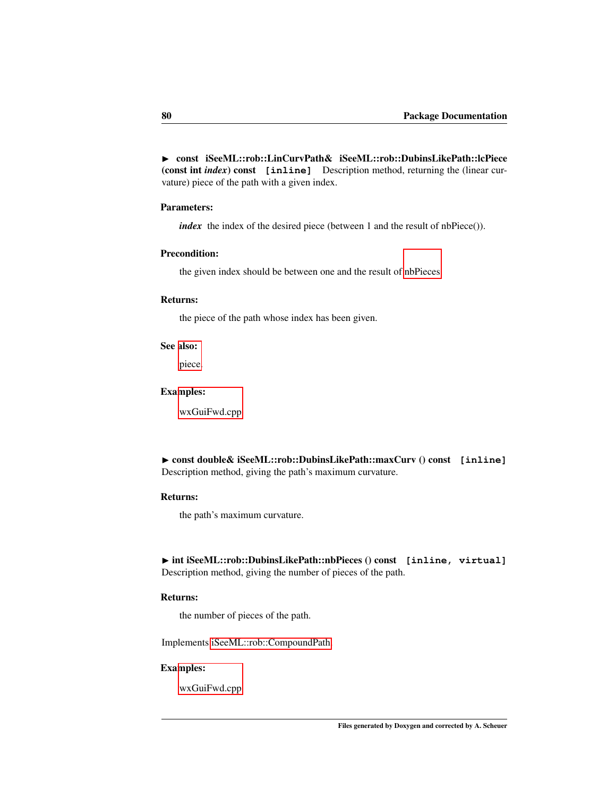▶ const iSeeML::rob::LinCurvPath& iSeeML::rob::DubinsLikePath::lcPiece (const int *index*) const **[inline]** Description method, returning the (linear curvature) piece of the path with a given index.

### Parameters:

*index* the index of the desired piece (between 1 and the result of nbPiece()).

### Precondition:

the given index should be between one and the result of [nbPieces.](#page-86-0)

#### Returns:

the piece of the path whose index has been given.

# See also:

[piece.](#page-75-0)

# Examples:

[wxGuiFwd.cpp.](#page-115-0)

<span id="page-86-1"></span>◮ const double& iSeeML::rob::DubinsLikePath::maxCurv () const **[inline]** Description method, giving the path's maximum curvature.

# Returns:

the path's maximum curvature.

<span id="page-86-0"></span>▶ int iSeeML::rob::DubinsLikePath::nbPieces () const [inline, virtual] Description method, giving the number of pieces of the path.

# Returns:

the number of pieces of the path.

Implements [iSeeML::rob::CompoundPath.](#page-74-0)

# Examples:

<span id="page-86-2"></span>[wxGuiFwd.cpp.](#page-115-0)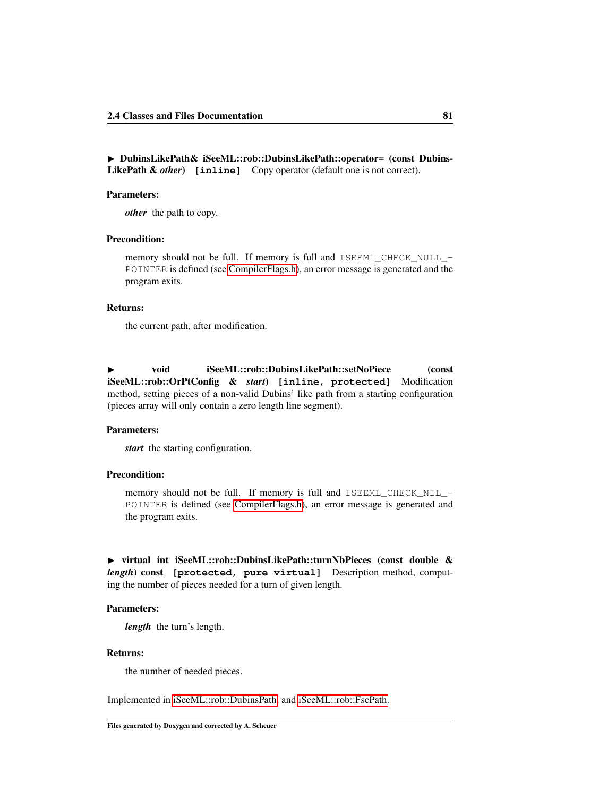◮ DubinsLikePath& iSeeML::rob::DubinsLikePath::operator= (const Dubins-LikePath & *other*) **[inline]** Copy operator (default one is not correct).

# Parameters:

*other* the path to copy.

# Precondition:

memory should not be full. If memory is full and ISEEML CHECK NULL -POINTER is defined (see [CompilerFlags.h\)](#page-14-0), an error message is generated and the program exits.

### Returns:

the current path, after modification.

<span id="page-87-2"></span>◮ void iSeeML::rob::DubinsLikePath::setNoPiece (const iSeeML::rob::OrPtConfig & *start*) **[inline, protected]** Modification method, setting pieces of a non-valid Dubins' like path from a starting configuration (pieces array will only contain a zero length line segment).

### Parameters:

*start* the starting configuration.

# Precondition:

memory should not be full. If memory is full and ISEEML\_CHECK\_NIL\_- POINTER is defined (see [CompilerFlags.h\)](#page-14-0), an error message is generated and the program exits.

<span id="page-87-1"></span>► virtual int iSeeML::rob::DubinsLikePath::turnNbPieces (const double & *length*) const **[protected, pure virtual]** Description method, computing the number of pieces needed for a turn of given length.

### Parameters:

*length* the turn's length.

### Returns:

<span id="page-87-0"></span>the number of needed pieces.

Implemented in [iSeeML::rob::DubinsPath,](#page-95-1) and [iSeeML::rob::FscPath.](#page-106-1)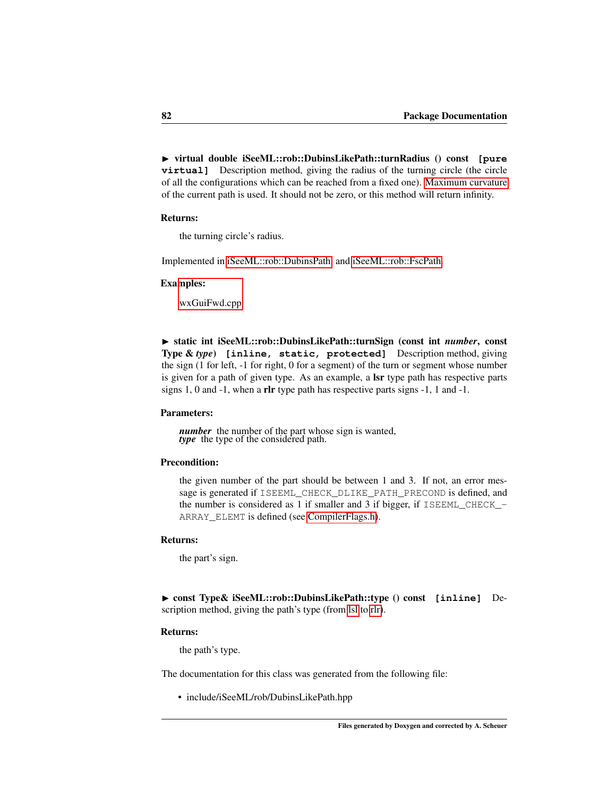◮ virtual double iSeeML::rob::DubinsLikePath::turnRadius () const **[pure virtual]** Description method, giving the radius of the turning circle (the circle of all the configurations which can be reached from a fixed one). [Maximum curvature](#page-86-1) of the current path is used. It should not be zero, or this method will return infinity.

### Returns:

the turning circle's radius.

Implemented in [iSeeML::rob::DubinsPath,](#page-95-2) and [iSeeML::rob::FscPath.](#page-106-2)

### Examples:

[wxGuiFwd.cpp.](#page-115-0)

<span id="page-88-2"></span>◮ static int iSeeML::rob::DubinsLikePath::turnSign (const int *number*, const Type & *type*) **[inline, static, protected]** Description method, giving the sign (1 for left, -1 for right, 0 for a segment) of the turn or segment whose number is given for a path of given type. As an example, a lsr type path has respective parts signs 1, 0 and -1, when a rlr type path has respective parts signs -1, 1 and -1.

## Parameters:

*number* the number of the part whose sign is wanted, *type* the type of the considered path.

### Precondition:

the given number of the part should be between 1 and 3. If not, an error message is generated if ISEEML\_CHECK\_DLIKE\_PATH\_PRECOND is defined, and the number is considered as 1 if smaller and 3 if bigger, if  $ISEEML$  CHECK -ARRAY\_ELEMT is defined (see [CompilerFlags.h\)](#page-14-0).

### Returns:

the part's sign.

<span id="page-88-1"></span>◮ const Type& iSeeML::rob::DubinsLikePath::type () const **[inline]** Description method, giving the path's type (from [lsl](#page-80-1) to [rlr\)](#page-80-6).

#### Returns:

the path's type.

The documentation for this class was generated from the following file:

<span id="page-88-0"></span>• include/iSeeML/rob/DubinsLikePath.hpp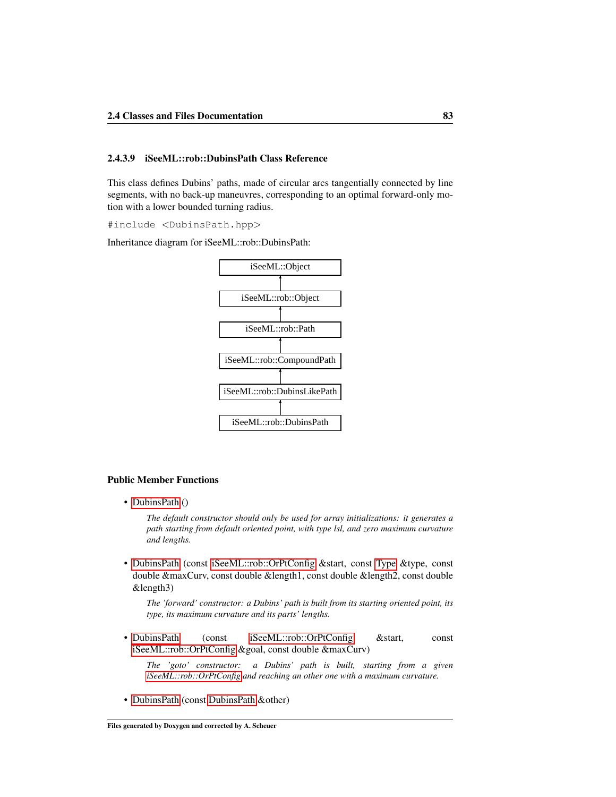### 2.4.3.9 iSeeML::rob::DubinsPath Class Reference

This class defines Dubins' paths, made of circular arcs tangentially connected by line segments, with no back-up maneuvres, corresponding to an optimal forward-only motion with a lower bounded turning radius.

#include <DubinsPath.hpp>

Inheritance diagram for iSeeML::rob::DubinsPath:



#### Public Member Functions

• [DubinsPath](#page-91-0) ()

*The default constructor should only be used for array initializations: it generates a path starting from default oriented point, with type lsl, and zero maximum curvature and lengths.*

• [DubinsPath](#page-91-1) (const [iSeeML::rob::OrPtConfig](#page-47-0) &start, const [Type](#page-80-0) &type, const double &maxCurv, const double &length1, const double &length2, const double &length3)

*The 'forward' constructor: a Dubins' path is built from its starting oriented point, its type, its maximum curvature and its parts' lengths.*

• [DubinsPath](#page-92-1) (const [iSeeML::rob::OrPtConfig](#page-47-0) &start, const [iSeeML::rob::OrPtConfig](#page-47-0) &goal, const double &maxCurv)

*The 'goto' constructor: a Dubins' path is built, starting from a given [iSeeML::rob::OrPtConfig](#page-47-0) and reaching an other one with a maximum curvature.*

• [DubinsPath](#page-92-2) (const [DubinsPath](#page-88-0) &other)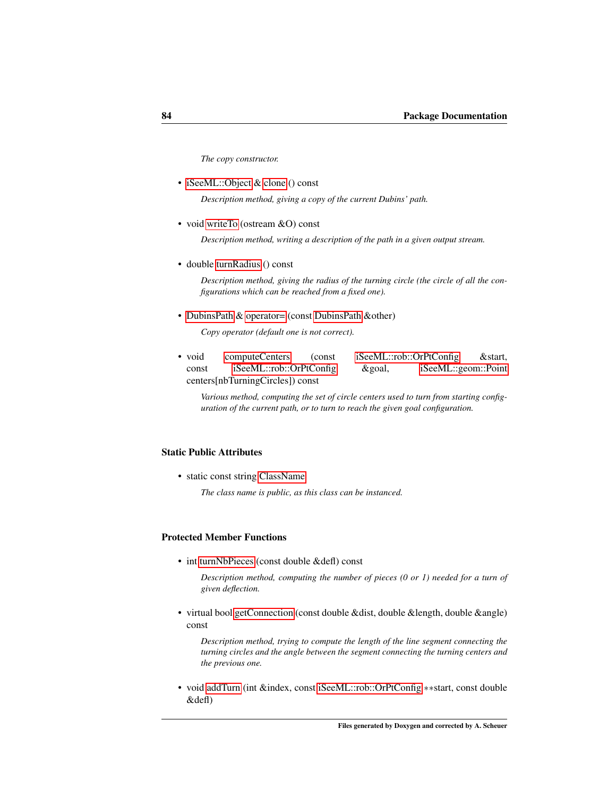*The copy constructor.*

• [iSeeML::Object](#page-15-0) & [clone](#page-93-3) () const

*Description method, giving a copy of the current Dubins' path.*

• void [writeTo](#page-95-0) (ostream &O) const

*Description method, writing a description of the path in a given output stream.*

• double [turnRadius](#page-95-2) () const

*Description method, giving the radius of the turning circle (the circle of all the configurations which can be reached from a fixed one).*

• [DubinsPath](#page-88-0) & [operator=](#page-94-1) (const [DubinsPath](#page-88-0) &other)

*Copy operator (default one is not correct).*

• void [computeCenters](#page-93-0) (const [iSeeML::rob::OrPtConfig](#page-47-0) & start, const [iSeeML::rob::OrPtConfig](#page-47-0) &goal, [iSeeML::geom::Point](#page-25-0) centers[nbTurningCircles]) const

*Various method, computing the set of circle centers used to turn from starting configuration of the current path, or to turn to reach the given goal configuration.*

# Static Public Attributes

• static const string [ClassName](#page-96-1)

*The class name is public, as this class can be instanced.*

# Protected Member Functions

• int [turnNbPieces](#page-95-1) (const double &defl) const

*Description method, computing the number of pieces (0 or 1) needed for a turn of given deflection.*

• virtual bool [getConnection](#page-93-2) (const double &dist, double &length, double &angle) const

*Description method, trying to compute the length of the line segment connecting the turning circles and the angle between the segment connecting the turning centers and the previous one.*

• void [addTurn](#page-92-0) (int &index, const [iSeeML::rob::OrPtConfig](#page-47-0) ∗∗start, const double &defl)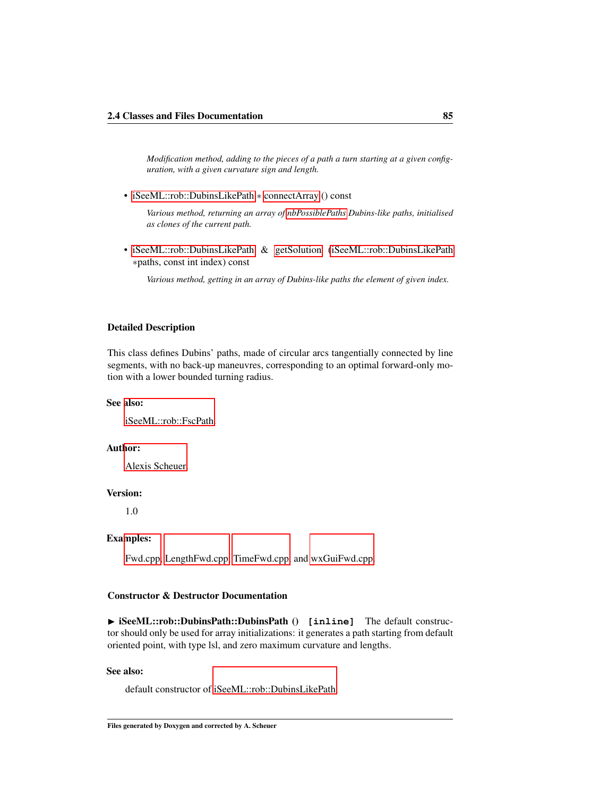*Modification method, adding to the pieces of a path a turn starting at a given configuration, with a given curvature sign and length.*

• [iSeeML::rob::DubinsLikePath](#page-76-0) ∗ [connectArray](#page-93-1) () const

*Various method, returning an array of [nbPossiblePaths](#page-80-7) Dubins-like paths, initialised as clones of the current path.*

• [iSeeML::rob::DubinsLikePath](#page-76-0) & [getSolution](#page-94-0) [\(iSeeML::rob::DubinsLikePath](#page-76-0) ∗paths, const int index) const

*Various method, getting in an array of Dubins-like paths the element of given index.*

# Detailed Description

This class defines Dubins' paths, made of circular arcs tangentially connected by line segments, with no back-up maneuvres, corresponding to an optimal forward-only motion with a lower bounded turning radius.

## See also:

[iSeeML::rob::FscPath.](#page-96-0)

# Author:

[Alexis Scheuer.](#page-7-0)

### Version:

1.0

# Examples:

[Fwd.cpp,](#page-109-0) [LengthFwd.cpp,](#page-110-0) [TimeFwd.cpp,](#page-112-0) and [wxGuiFwd.cpp.](#page-115-0)

# Constructor & Destructor Documentation

<span id="page-91-0"></span>◮ iSeeML::rob::DubinsPath::DubinsPath () **[inline]** The default constructor should only be used for array initializations: it generates a path starting from default oriented point, with type lsl, and zero maximum curvature and lengths.

### See also:

<span id="page-91-1"></span>default constructor of [iSeeML::rob::DubinsLikePath.](#page-76-0)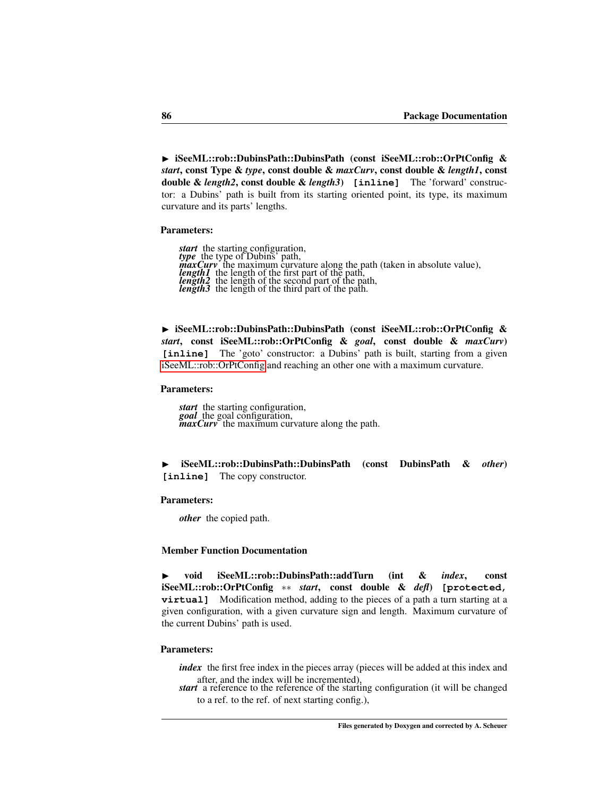► iSeeML::rob::DubinsPath::DubinsPath (const iSeeML::rob::OrPtConfig & *start*, const Type & *type*, const double & *maxCurv*, const double & *length1*, const double & *length2*, const double & *length3*) **[inline]** The 'forward' constructor: a Dubins' path is built from its starting oriented point, its type, its maximum curvature and its parts' lengths.

### Parameters:

**start** the starting configuration,<br>type the type of Dubins' path,<br>**maxCury** the maximum curvature along the path (taken in absolute value),<br>**length1** the length of the first part of the path,<br>**length2** the length of the s

<span id="page-92-1"></span>► iSeeML::rob::DubinsPath::DubinsPath (const iSeeML::rob::OrPtConfig & *start*, const iSeeML::rob::OrPtConfig & *goal*, const double & *maxCurv*) [inline] The 'goto' constructor: a Dubins' path is built, starting from a given [iSeeML::rob::OrPtConfig](#page-47-0) and reaching an other one with a maximum curvature.

### Parameters:

*start* the starting configuration, *goal* the goal configuration, *maxCurv* the maximum curvature along the path.

<span id="page-92-2"></span>◮ iSeeML::rob::DubinsPath::DubinsPath (const DubinsPath & *other*) **[inline]** The copy constructor.

## Parameters:

*other* the copied path.

## Member Function Documentation

<span id="page-92-0"></span>◮ void iSeeML::rob::DubinsPath::addTurn (int & *index*, const iSeeML::rob::OrPtConfig ∗∗ *start*, const double & *defl*) **[protected, virtual**] Modification method, adding to the pieces of a path a turn starting at a given configuration, with a given curvature sign and length. Maximum curvature of the current Dubins' path is used.

### Parameters:

*index* the first free index in the pieces array (pieces will be added at this index and after, and the index will be incremented),

*start* a reference to the reference of the starting configuration (it will be changed to a ref. to the ref. of next starting config.),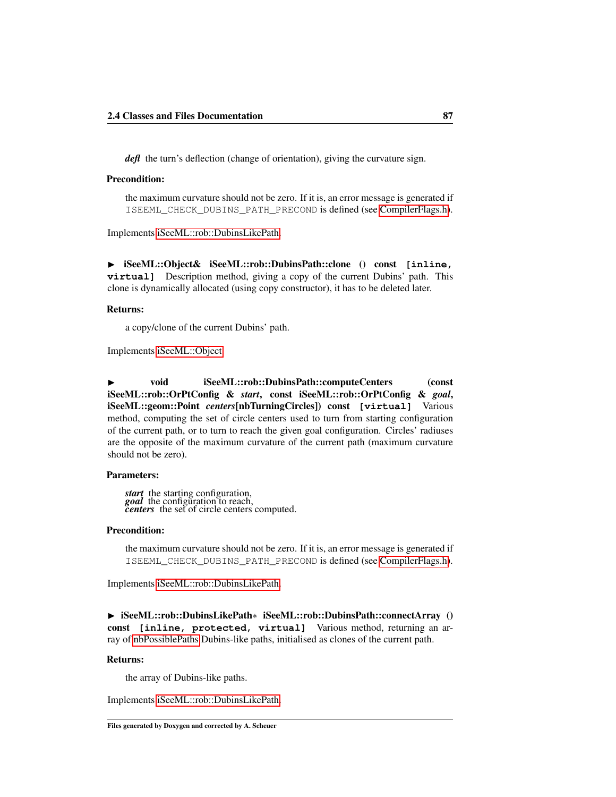*defl* the turn's deflection (change of orientation), giving the curvature sign.

## Precondition:

<span id="page-93-3"></span>the maximum curvature should not be zero. If it is, an error message is generated if ISEEML\_CHECK\_DUBINS\_PATH\_PRECOND is defined (see [CompilerFlags.h\)](#page-14-0).

Implements [iSeeML::rob::DubinsLikePath.](#page-82-1)

◮ iSeeML::Object& iSeeML::rob::DubinsPath::clone () const **[inline, virtual]** Description method, giving a copy of the current Dubins' path. This clone is dynamically allocated (using copy constructor), it has to be deleted later.

# Returns:

<span id="page-93-0"></span>a copy/clone of the current Dubins' path.

Implements [iSeeML::Object.](#page-19-0)

◮ void iSeeML::rob::DubinsPath::computeCenters (const iSeeML::rob::OrPtConfig & *start*, const iSeeML::rob::OrPtConfig & *goal*, iSeeML::geom::Point *centers*[nbTurningCircles]) const **[virtual]** Various method, computing the set of circle centers used to turn from starting configuration of the current path, or to turn to reach the given goal configuration. Circles' radiuses are the opposite of the maximum curvature of the current path (maximum curvature should not be zero).

## Parameters:

*start* the starting configuration, *goal* the configuration to reach, *centers* the set of circle centers computed.

#### Precondition:

<span id="page-93-1"></span>the maximum curvature should not be zero. If it is, an error message is generated if ISEEML\_CHECK\_DUBINS\_PATH\_PRECOND is defined (see [CompilerFlags.h\)](#page-14-0).

Implements [iSeeML::rob::DubinsLikePath.](#page-82-0)

◮ iSeeML::rob::DubinsLikePath∗ iSeeML::rob::DubinsPath::connectArray () const **[inline, protected, virtual]** Various method, returning an array of [nbPossiblePaths](#page-80-7) Dubins-like paths, initialised as clones of the current path.

# Returns:

<span id="page-93-2"></span>the array of Dubins-like paths.

Implements [iSeeML::rob::DubinsLikePath.](#page-83-2)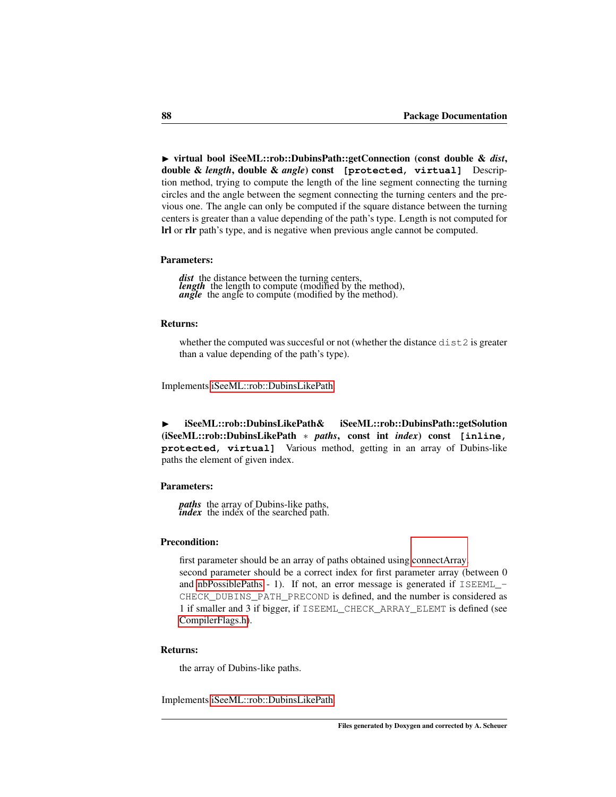◮ virtual bool iSeeML::rob::DubinsPath::getConnection (const double & *dist*, double & *length*, double & *angle*) const **[protected, virtual]** Description method, trying to compute the length of the line segment connecting the turning circles and the angle between the segment connecting the turning centers and the previous one. The angle can only be computed if the square distance between the turning centers is greater than a value depending of the path's type. Length is not computed for lrl or rlr path's type, and is negative when previous angle cannot be computed.

### Parameters:

*dist* the distance between the turning centers, *length* the length to compute (modified by the method), *angle* the angle to compute (modified by the method).

### Returns:

<span id="page-94-0"></span>whether the computed was succesful or not (whether the distance dist2 is greater than a value depending of the path's type).

Implements [iSeeML::rob::DubinsLikePath.](#page-84-0)

◮ iSeeML::rob::DubinsLikePath& iSeeML::rob::DubinsPath::getSolution (iSeeML::rob::DubinsLikePath ∗ *paths*, const int *index*) const **[inline, protected, virtual]** Various method, getting in an array of Dubins-like paths the element of given index.

### Parameters:

*paths* the array of Dubins-like paths, *index* the index of the searched path.

# Precondition:

first parameter should be an array of paths obtained using [connectArray.](#page-93-1) second parameter should be a correct index for first parameter array (between 0 and [nbPossiblePaths](#page-80-7) - 1). If not, an error message is generated if ISEEML\_- CHECK\_DUBINS\_PATH\_PRECOND is defined, and the number is considered as 1 if smaller and 3 if bigger, if ISEEML\_CHECK\_ARRAY\_ELEMT is defined (see [CompilerFlags.h\)](#page-14-0).

#### Returns:

<span id="page-94-1"></span>the array of Dubins-like paths.

Implements [iSeeML::rob::DubinsLikePath.](#page-84-1)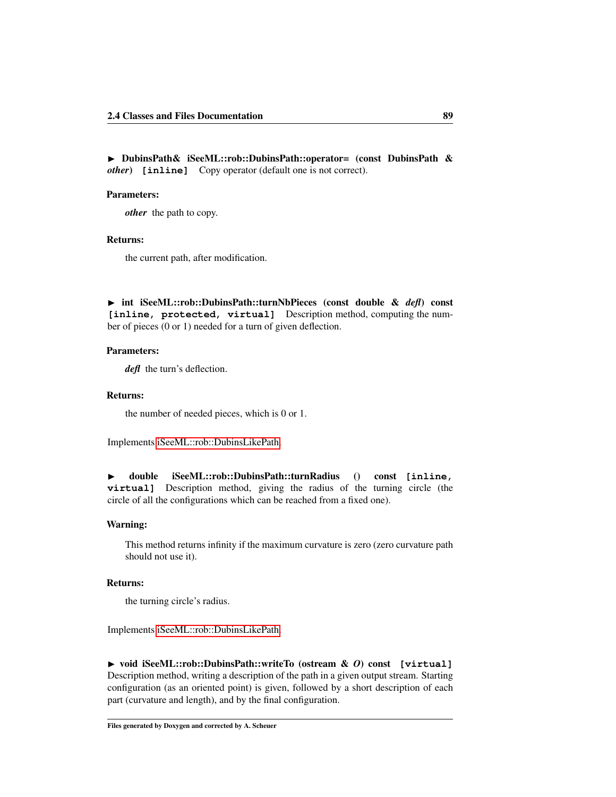▶ DubinsPath& iSeeML::rob::DubinsPath::operator= (const DubinsPath & *other*) **[inline]** Copy operator (default one is not correct).

# Parameters:

*other* the path to copy.

# Returns:

the current path, after modification.

<span id="page-95-1"></span>◮ int iSeeML::rob::DubinsPath::turnNbPieces (const double & *defl*) const **[inline, protected, virtual]** Description method, computing the number of pieces (0 or 1) needed for a turn of given deflection.

### Parameters:

*defl* the turn's deflection.

### Returns:

<span id="page-95-2"></span>the number of needed pieces, which is 0 or 1.

Implements [iSeeML::rob::DubinsLikePath.](#page-87-1)

◮ double iSeeML::rob::DubinsPath::turnRadius () const **[inline, virtual]** Description method, giving the radius of the turning circle (the circle of all the configurations which can be reached from a fixed one).

## Warning:

This method returns infinity if the maximum curvature is zero (zero curvature path should not use it).

# Returns:

<span id="page-95-0"></span>the turning circle's radius.

Implements [iSeeML::rob::DubinsLikePath.](#page-87-0)

◮ void iSeeML::rob::DubinsPath::writeTo (ostream & *O*) const **[virtual]** Description method, writing a description of the path in a given output stream. Starting configuration (as an oriented point) is given, followed by a short description of each part (curvature and length), and by the final configuration.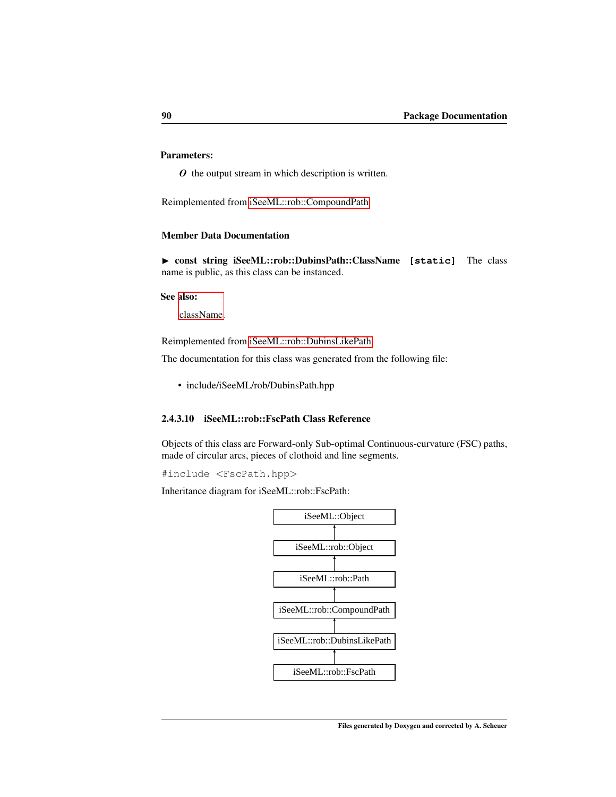# Parameters:

*O* the output stream in which description is written.

Reimplemented from [iSeeML::rob::CompoundPath.](#page-76-1)

# Member Data Documentation

<span id="page-96-1"></span>◮ const string iSeeML::rob::DubinsPath::ClassName **[static]** The class name is public, as this class can be instanced.

### See also:

[className.](#page-19-1)

Reimplemented from [iSeeML::rob::DubinsLikePath.](#page-76-0)

The documentation for this class was generated from the following file:

• include/iSeeML/rob/DubinsPath.hpp

# <span id="page-96-0"></span>2.4.3.10 iSeeML::rob::FscPath Class Reference

Objects of this class are Forward-only Sub-optimal Continuous-curvature (FSC) paths, made of circular arcs, pieces of clothoid and line segments.

#include <FscPath.hpp>

Inheritance diagram for iSeeML::rob::FscPath:

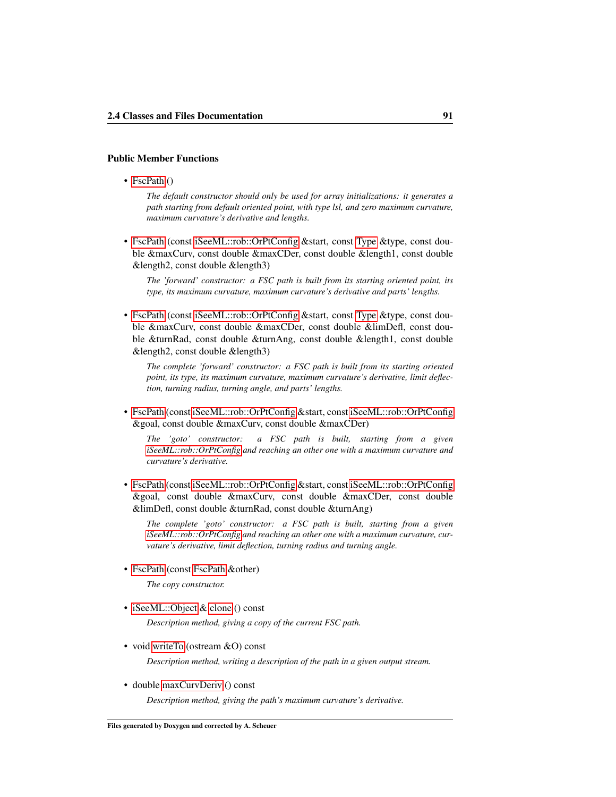# Public Member Functions

• [FscPath](#page-100-0) ()

*The default constructor should only be used for array initializations: it generates a path starting from default oriented point, with type lsl, and zero maximum curvature, maximum curvature's derivative and lengths.*

• [FscPath](#page-100-1) (const [iSeeML::rob::OrPtConfig](#page-47-0) &start, const [Type](#page-80-0) &type, const double &maxCurv, const double &maxCDer, const double &length1, const double &length2, const double &length3)

*The 'forward' constructor: a FSC path is built from its starting oriented point, its type, its maximum curvature, maximum curvature's derivative and parts' lengths.*

• [FscPath](#page-100-2) (const [iSeeML::rob::OrPtConfig](#page-47-0) &start, const [Type](#page-80-0) &type, const double &maxCurv, const double &maxCDer, const double &limDefl, const double &turnRad, const double &turnAng, const double &length1, const double &length2, const double &length3)

*The complete 'forward' constructor: a FSC path is built from its starting oriented point, its type, its maximum curvature, maximum curvature's derivative, limit deflection, turning radius, turning angle, and parts' lengths.*

• [FscPath](#page-101-0) (const [iSeeML::rob::OrPtConfig](#page-47-0) &start, const [iSeeML::rob::OrPtConfig](#page-47-0) &goal, const double &maxCurv, const double &maxCDer)

*The 'goto' constructor: a FSC path is built, starting from a given [iSeeML::rob::OrPtConfig](#page-47-0) and reaching an other one with a maximum curvature and curvature's derivative.*

• [FscPath](#page-101-1) (const [iSeeML::rob::OrPtConfig](#page-47-0) &start, const [iSeeML::rob::OrPtConfig](#page-47-0) &goal, const double &maxCurv, const double &maxCDer, const double &limDefl, const double &turnRad, const double &turnAng)

*The complete 'goto' constructor: a FSC path is built, starting from a given [iSeeML::rob::OrPtConfig](#page-47-0) and reaching an other one with a maximum curvature, curvature's derivative, limit deflection, turning radius and turning angle.*

• [FscPath](#page-102-2) (const [FscPath](#page-96-0) &other)

*The copy constructor.*

• [iSeeML::Object](#page-15-0) & [clone](#page-102-3) () const

*Description method, giving a copy of the current FSC path.*

• void [writeTo](#page-106-0) (ostream &O) const

*Description method, writing a description of the path in a given output stream.*

• double [maxCurvDeriv](#page-105-0) () const

*Description method, giving the path's maximum curvature's derivative.*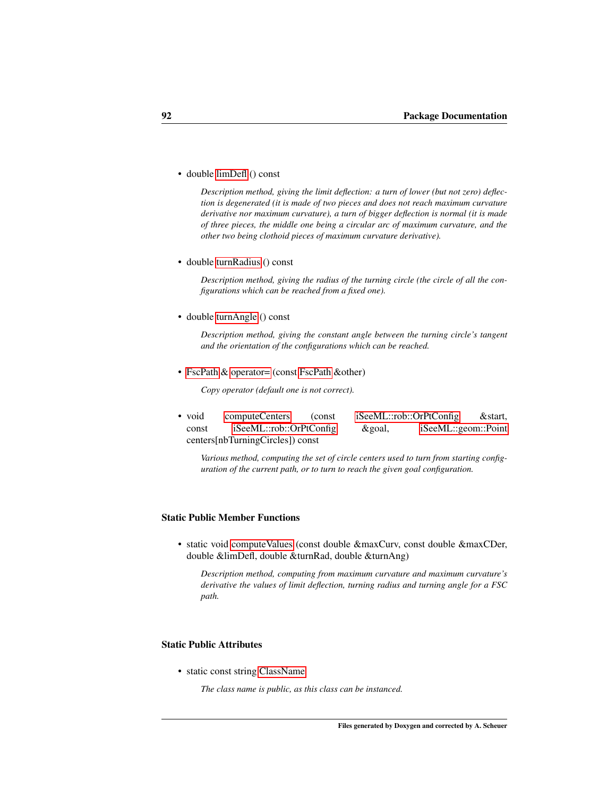• double [limDefl](#page-105-1) () const

*Description method, giving the limit deflection: a turn of lower (but not zero) deflection is degenerated (it is made of two pieces and does not reach maximum curvature derivative nor maximum curvature), a turn of bigger deflection is normal (it is made of three pieces, the middle one being a circular arc of maximum curvature, and the other two being clothoid pieces of maximum curvature derivative).*

• double [turnRadius](#page-106-2) () const

*Description method, giving the radius of the turning circle (the circle of all the configurations which can be reached from a fixed one).*

• double [turnAngle](#page-106-3) () const

*Description method, giving the constant angle between the turning circle's tangent and the orientation of the configurations which can be reached.*

• [FscPath](#page-96-0) & [operator=](#page-105-2) (const FscPath &other)

*Copy operator (default one is not correct).*

• void [computeCenters](#page-102-1) (const [iSeeML::rob::OrPtConfig](#page-47-0) & start, const [iSeeML::rob::OrPtConfig](#page-47-0) &goal, [iSeeML::geom::Point](#page-25-0) centers[nbTurningCircles]) const

*Various method, computing the set of circle centers used to turn from starting configuration of the current path, or to turn to reach the given goal configuration.*

# Static Public Member Functions

• static void [computeValues](#page-103-1) (const double &maxCurv, const double &maxCDer, double &limDefl, double &turnRad, double &turnAng)

*Description method, computing from maximum curvature and maximum curvature's derivative the values of limit deflection, turning radius and turning angle for a FSC path.*

### Static Public Attributes

• static const string [ClassName](#page-107-0)

*The class name is public, as this class can be instanced.*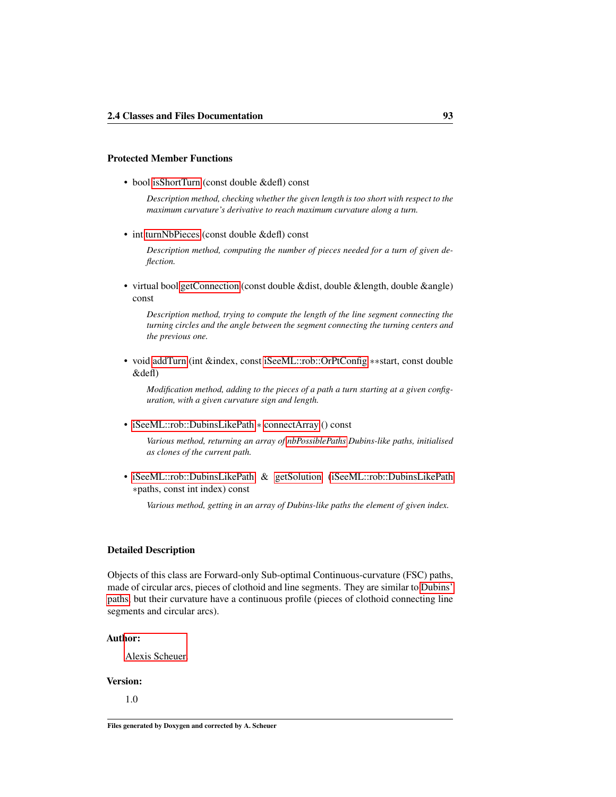### Protected Member Functions

• bool [isShortTurn](#page-105-3) (const double &defl) const

*Description method, checking whether the given length is too short with respect to the maximum curvature's derivative to reach maximum curvature along a turn.*

• int [turnNbPieces](#page-106-1) (const double &defl) const

*Description method, computing the number of pieces needed for a turn of given deflection.*

• virtual bool [getConnection](#page-104-0) (const double &dist, double &length, double &angle) const

*Description method, trying to compute the length of the line segment connecting the turning circles and the angle between the segment connecting the turning centers and the previous one.*

• void [addTurn](#page-102-0) (int &index, const [iSeeML::rob::OrPtConfig](#page-47-0) ∗∗start, const double &defl)

*Modification method, adding to the pieces of a path a turn starting at a given configuration, with a given curvature sign and length.*

• [iSeeML::rob::DubinsLikePath](#page-76-0) ∗ [connectArray](#page-103-0) () const

*Various method, returning an array of [nbPossiblePaths](#page-80-7) Dubins-like paths, initialised as clones of the current path.*

• [iSeeML::rob::DubinsLikePath](#page-76-0) & [getSolution](#page-104-1) [\(iSeeML::rob::DubinsLikePath](#page-76-0) ∗paths, const int index) const

*Various method, getting in an array of Dubins-like paths the element of given index.*

### Detailed Description

Objects of this class are Forward-only Sub-optimal Continuous-curvature (FSC) paths, made of circular arcs, pieces of clothoid and line segments. They are similar to [Dubins'](#page-88-0) [paths,](#page-88-0) but their curvature have a continuous profile (pieces of clothoid connecting line segments and circular arcs).

### Author:

[Alexis Scheuer.](#page-7-0)

# Version:

1.0

Files generated by Doxygen and corrected by A. Scheuer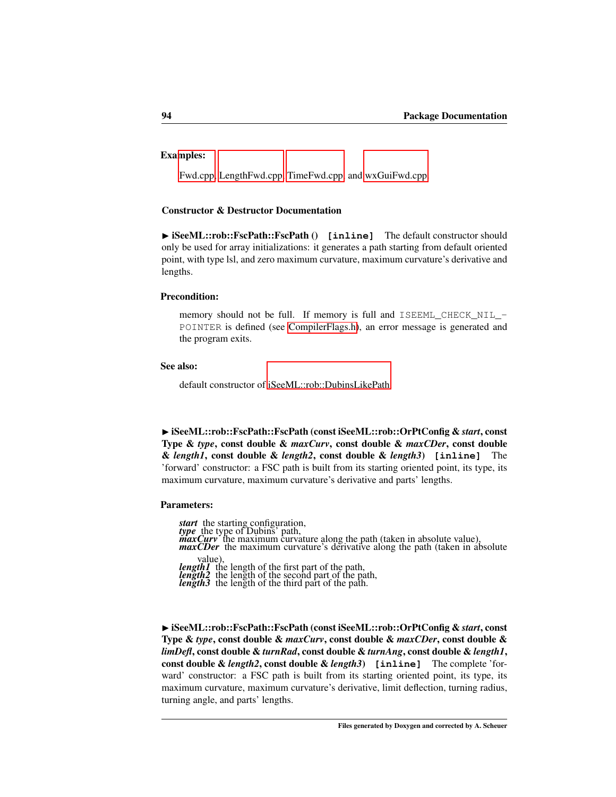# Examples:

[Fwd.cpp,](#page-109-0) [LengthFwd.cpp,](#page-110-0) [TimeFwd.cpp,](#page-112-0) and [wxGuiFwd.cpp.](#page-115-0)

### Constructor & Destructor Documentation

<span id="page-100-0"></span>▶ iSeeML::rob::FscPath::FscPath () [inline] The default constructor should only be used for array initializations: it generates a path starting from default oriented point, with type lsl, and zero maximum curvature, maximum curvature's derivative and lengths.

### Precondition:

memory should not be full. If memory is full and ISEEML\_CHECK\_NIL\_- POINTER is defined (see [CompilerFlags.h\)](#page-14-0), an error message is generated and the program exits.

## See also:

<span id="page-100-1"></span>default constructor of [iSeeML::rob::DubinsLikePath.](#page-76-0)

◮ iSeeML::rob::FscPath::FscPath (const iSeeML::rob::OrPtConfig & *start*, const Type & *type*, const double & *maxCurv*, const double & *maxCDer*, const double & *length1*, const double & *length2*, const double & *length3*) **[inline]** The 'forward' constructor: a FSC path is built from its starting oriented point, its type, its maximum curvature, maximum curvature's derivative and parts' lengths.

### Parameters:

*start* the starting configuration, *type* the type of Dubins' path,<br>*maxCurv* the maximum curvature along the path (taken in absolute value),<br>*maxCDer* the maximum curvature's derivative along the path (taken in absolute value) *length1* the length of the first part of the path, *length2* the length of the second part of the path, *length3* the length of the third part of the path.

<span id="page-100-2"></span>

◮ iSeeML::rob::FscPath::FscPath (const iSeeML::rob::OrPtConfig & *start*, const Type & *type*, const double & *maxCurv*, const double & *maxCDer*, const double & *limDefl*, const double & *turnRad*, const double & *turnAng*, const double & *length1*, const double & *length2*, const double & *length3*) **[inline]** The complete 'forward' constructor: a FSC path is built from its starting oriented point, its type, its maximum curvature, maximum curvature's derivative, limit deflection, turning radius, turning angle, and parts' lengths.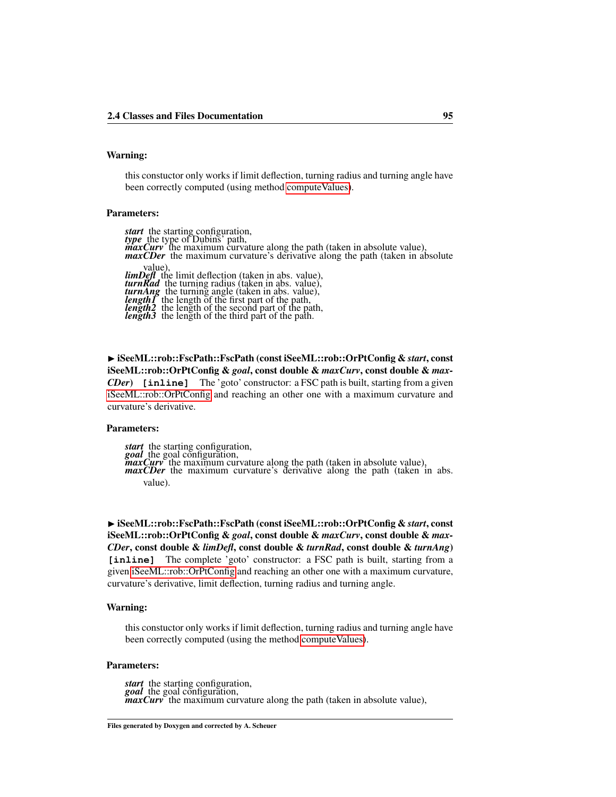# Warning:

this constuctor only works if limit deflection, turning radius and turning angle have been correctly computed (using method compute Values).

# Parameters:

*start* the starting configuration, *type* the type of Dubins' path, *maxCurv* the maximum curvature along the path (taken in absolute value), *maxCDer* the maximum curvature's derivative along the path (taken in absolute value),<br> **limDef** the limit deflection (taken in abs. value),<br> **turn Rad** the turning radius (taken in abs. value),<br> **length** the length of the first part of the path,<br> **length** the length of the second part of the path,<br>

<span id="page-101-0"></span>◮ iSeeML::rob::FscPath::FscPath (const iSeeML::rob::OrPtConfig & *start*, const iSeeML::rob::OrPtConfig & *goal*, const double & *maxCurv*, const double & *max-CDer*) **[inline]** The 'goto' constructor: a FSC path is built, starting from a given [iSeeML::rob::OrPtConfig](#page-47-0) and reaching an other one with a maximum curvature and curvature's derivative.

### Parameters:

*start* the starting configuration, *goal* the goal configuration,<br> *maxCurv* the maximum curvature along the path (taken in absolute value),<br> *maxCDer* the maximum curvature's derivative along the path (taken in abs. value).

<span id="page-101-1"></span>◮ iSeeML::rob::FscPath::FscPath (const iSeeML::rob::OrPtConfig & *start*, const iSeeML::rob::OrPtConfig & *goal*, const double & *maxCurv*, const double & *max-CDer*, const double & *limDefl*, const double & *turnRad*, const double & *turnAng*) **[inline]** The complete 'goto' constructor: a FSC path is built, starting from a given [iSeeML::rob::OrPtConfig](#page-47-0) and reaching an other one with a maximum curvature, curvature's derivative, limit deflection, turning radius and turning angle.

### Warning:

this constuctor only works if limit deflection, turning radius and turning angle have been correctly computed (using the method [computeValues\)](#page-103-1).

#### Parameters:

*start* the starting configuration, *goal* the goal configuration, *maxCurv* the maximum curvature along the path (taken in absolute value),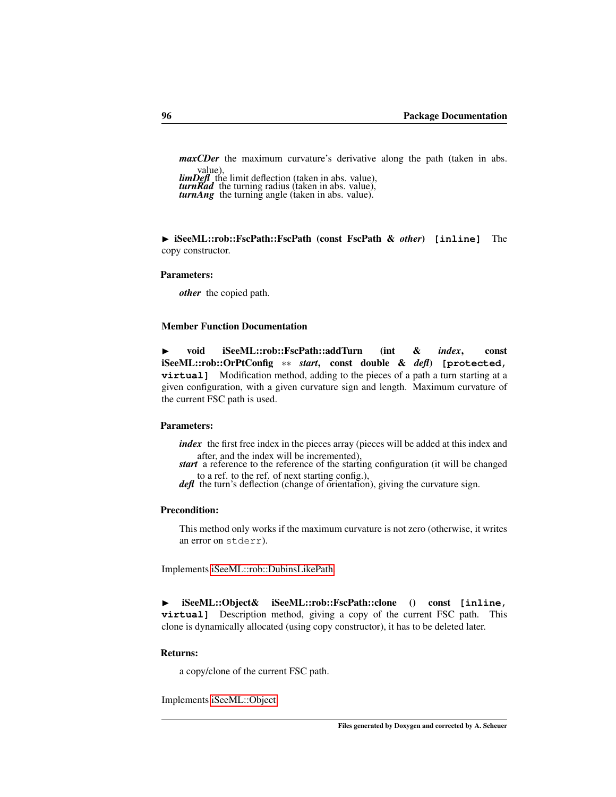*maxCDer* the maximum curvature's derivative along the path (taken in abs.

value), *limDefl* the limit deflection (taken in abs. value), *turnRad* the turning radius (taken in abs. value), *turnAng* the turning angle (taken in abs. value).

<span id="page-102-2"></span>

◮ iSeeML::rob::FscPath::FscPath (const FscPath & *other*) **[inline]** The copy constructor.

### Parameters:

*other* the copied path.

### Member Function Documentation

<span id="page-102-0"></span>◮ void iSeeML::rob::FscPath::addTurn (int & *index*, const iSeeML::rob::OrPtConfig ∗∗ *start*, const double & *defl*) **[protected, virtual]** Modification method, adding to the pieces of a path a turn starting at a given configuration, with a given curvature sign and length. Maximum curvature of the current FSC path is used.

# Parameters:

*index* the first free index in the pieces array (pieces will be added at this index and after, and the index will be incremented),

*start* a reference to the reference of the starting configuration (it will be changed to a ref. to the ref. of next starting config.), *defl* the turn's deflection (change of orientation), giving the curvature sign.

### Precondition:

<span id="page-102-3"></span>This method only works if the maximum curvature is not zero (otherwise, it writes an error on stderr).

Implements [iSeeML::rob::DubinsLikePath.](#page-82-1)

◮ iSeeML::Object& iSeeML::rob::FscPath::clone () const **[inline, virtual]** Description method, giving a copy of the current FSC path. This clone is dynamically allocated (using copy constructor), it has to be deleted later.

# Returns:

<span id="page-102-1"></span>a copy/clone of the current FSC path.

Implements [iSeeML::Object.](#page-19-0)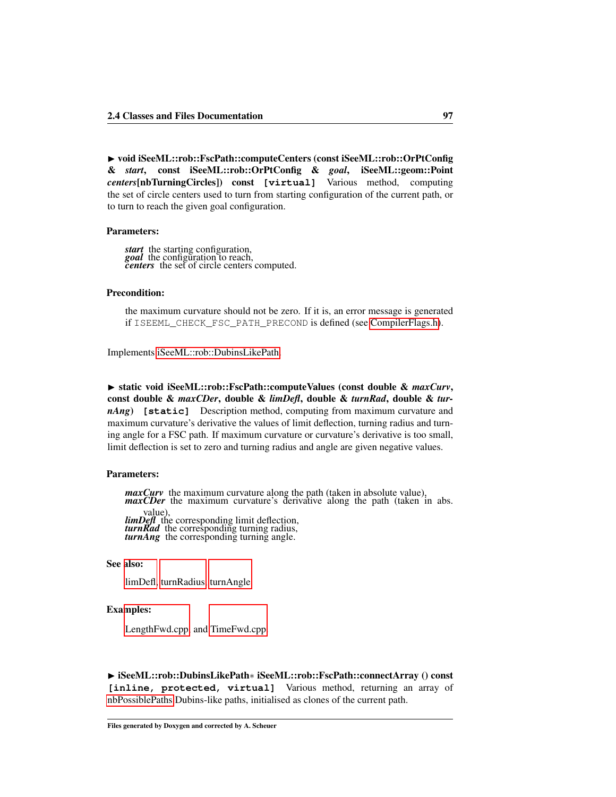▶ void iSeeML::rob::FscPath::computeCenters (const iSeeML::rob::OrPtConfig & *start*, const iSeeML::rob::OrPtConfig & *goal*, iSeeML::geom::Point *centers*[nbTurningCircles]) const **[virtual]** Various method, computing the set of circle centers used to turn from starting configuration of the current path, or to turn to reach the given goal configuration.

### Parameters:

*start* the starting configuration, *goal* the configuration to reach, *centers* the set of circle centers computed.

# Precondition:

<span id="page-103-1"></span>the maximum curvature should not be zero. If it is, an error message is generated if ISEEML\_CHECK\_FSC\_PATH\_PRECOND is defined (see [CompilerFlags.h\)](#page-14-0).

Implements [iSeeML::rob::DubinsLikePath.](#page-82-0)

▶ static void iSeeML::rob::FscPath::computeValues (const double & maxCurv, const double & *maxCDer*, double & *limDefl*, double & *turnRad*, double & *turnAng*) **[static]** Description method, computing from maximum curvature and maximum curvature's derivative the values of limit deflection, turning radius and turning angle for a FSC path. If maximum curvature or curvature's derivative is too small, limit deflection is set to zero and turning radius and angle are given negative values.

### Parameters:

*maxCurv* the maximum curvature along the path (taken in absolute value), *maxCDer* the maximum curvature's derivative along the path (taken in abs. value), *limDefl* the corresponding limit deflection, *turnRad* the corresponding turning radius, *turnAng* the corresponding turning angle.

### See also:

[limDefl,](#page-105-1) [turnRadius,](#page-106-2) [turnAngle.](#page-106-3)

### Examples:

[LengthFwd.cpp,](#page-110-0) and [TimeFwd.cpp.](#page-112-0)

<span id="page-103-0"></span>◮ iSeeML::rob::DubinsLikePath∗ iSeeML::rob::FscPath::connectArray () const **[inline, protected, virtual]** Various method, returning an array of [nbPossiblePaths](#page-80-7) Dubins-like paths, initialised as clones of the current path.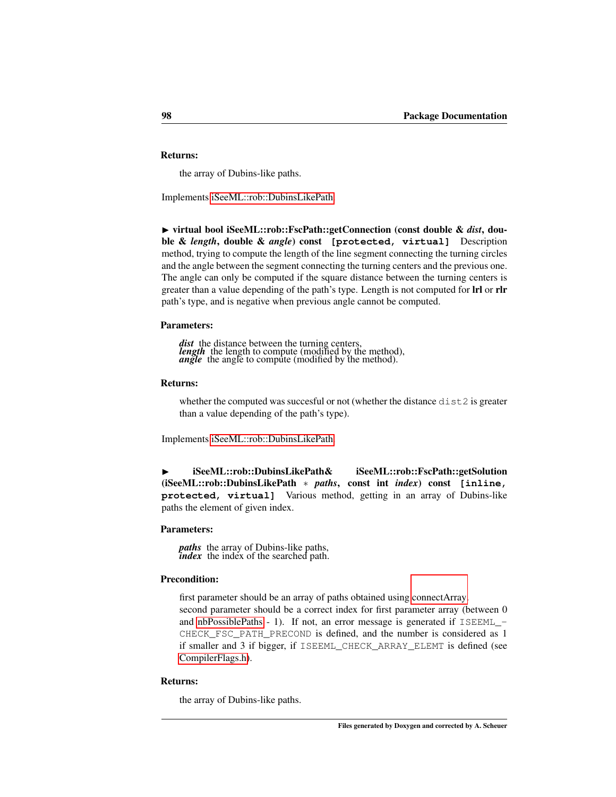# Returns:

<span id="page-104-0"></span>the array of Dubins-like paths.

Implements [iSeeML::rob::DubinsLikePath.](#page-83-2)

◮ virtual bool iSeeML::rob::FscPath::getConnection (const double & *dist*, double & *length*, double & *angle*) const **[protected, virtual]** Description method, trying to compute the length of the line segment connecting the turning circles and the angle between the segment connecting the turning centers and the previous one. The angle can only be computed if the square distance between the turning centers is greater than a value depending of the path's type. Length is not computed for lrl or rlr path's type, and is negative when previous angle cannot be computed.

### Parameters:

*dist* the distance between the turning centers, *length* the length to compute (modified by the method), *angle* the angle to compute (modified by the method).

## Returns:

<span id="page-104-1"></span>whether the computed was succesful or not (whether the distance  $dist2$  is greater than a value depending of the path's type).

Implements [iSeeML::rob::DubinsLikePath.](#page-84-0)

◮ iSeeML::rob::DubinsLikePath& iSeeML::rob::FscPath::getSolution (iSeeML::rob::DubinsLikePath ∗ *paths*, const int *index*) const **[inline, protected, virtual]** Various method, getting in an array of Dubins-like paths the element of given index.

### Parameters:

*paths* the array of Dubins-like paths, *index* the index of the searched path.

### Precondition:

first parameter should be an array of paths obtained using [connectArray.](#page-103-0) second parameter should be a correct index for first parameter array (between 0 and [nbPossiblePaths](#page-80-7) - 1). If not, an error message is generated if  $ISEEML$  -CHECK\_FSC\_PATH\_PRECOND is defined, and the number is considered as 1 if smaller and 3 if bigger, if ISEEML\_CHECK\_ARRAY\_ELEMT is defined (see [CompilerFlags.h\)](#page-14-0).

### Returns:

the array of Dubins-like paths.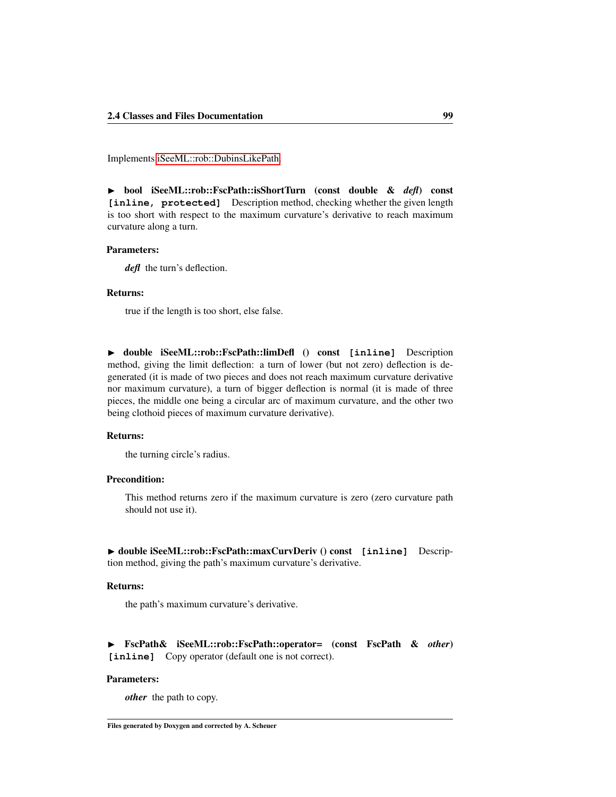<span id="page-105-3"></span>Implements [iSeeML::rob::DubinsLikePath.](#page-84-1)

◮ bool iSeeML::rob::FscPath::isShortTurn (const double & *defl*) const **[inline, protected]** Description method, checking whether the given length is too short with respect to the maximum curvature's derivative to reach maximum curvature along a turn.

### Parameters:

*defl* the turn's deflection.

### Returns:

true if the length is too short, else false.

<span id="page-105-1"></span>◮ double iSeeML::rob::FscPath::limDefl () const **[inline]** Description method, giving the limit deflection: a turn of lower (but not zero) deflection is degenerated (it is made of two pieces and does not reach maximum curvature derivative nor maximum curvature), a turn of bigger deflection is normal (it is made of three pieces, the middle one being a circular arc of maximum curvature, and the other two being clothoid pieces of maximum curvature derivative).

## Returns:

the turning circle's radius.

### Precondition:

This method returns zero if the maximum curvature is zero (zero curvature path should not use it).

<span id="page-105-0"></span>◮ double iSeeML::rob::FscPath::maxCurvDeriv () const **[inline]** Description method, giving the path's maximum curvature's derivative.

# Returns:

the path's maximum curvature's derivative.

<span id="page-105-2"></span>◮ FscPath& iSeeML::rob::FscPath::operator= (const FscPath & *other*) **[inline]** Copy operator (default one is not correct).

### Parameters:

*other* the path to copy.

Files generated by Doxygen and corrected by A. Scheuer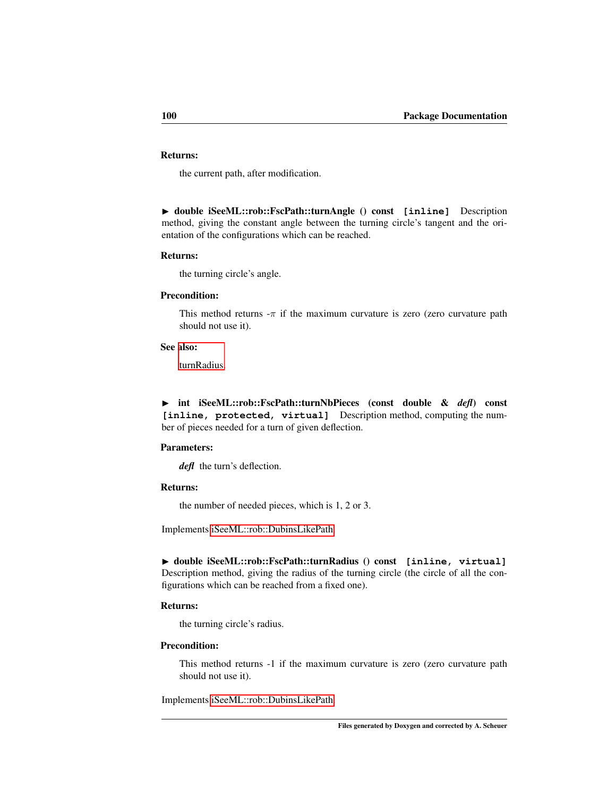# Returns:

the current path, after modification.

<span id="page-106-3"></span>◮ double iSeeML::rob::FscPath::turnAngle () const **[inline]** Description method, giving the constant angle between the turning circle's tangent and the orientation of the configurations which can be reached.

### Returns:

the turning circle's angle.

### Precondition:

This method returns  $-\pi$  if the maximum curvature is zero (zero curvature path should not use it).

### See also:

<span id="page-106-1"></span>[turnRadius.](#page-106-2)

◮ int iSeeML::rob::FscPath::turnNbPieces (const double & *defl*) const [inline, protected, virtual] Description method, computing the number of pieces needed for a turn of given deflection.

## Parameters:

*defl* the turn's deflection.

# Returns:

<span id="page-106-2"></span>the number of needed pieces, which is 1, 2 or 3.

Implements [iSeeML::rob::DubinsLikePath.](#page-87-1)

◮ double iSeeML::rob::FscPath::turnRadius () const **[inline, virtual]** Description method, giving the radius of the turning circle (the circle of all the configurations which can be reached from a fixed one).

# Returns:

the turning circle's radius.

### Precondition:

<span id="page-106-0"></span>This method returns -1 if the maximum curvature is zero (zero curvature path should not use it).

Implements [iSeeML::rob::DubinsLikePath.](#page-87-0)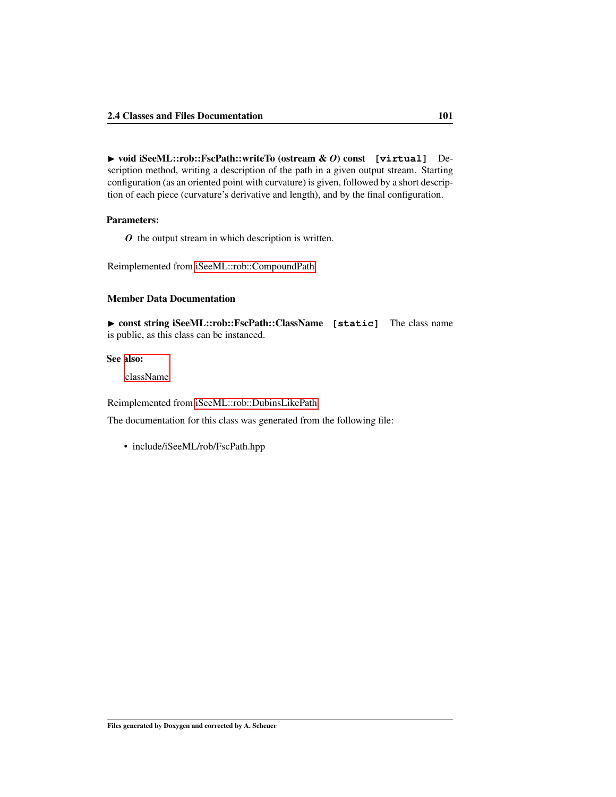◮ void iSeeML::rob::FscPath::writeTo (ostream & *O*) const **[virtual]** Description method, writing a description of the path in a given output stream. Starting configuration (as an oriented point with curvature) is given, followed by a short description of each piece (curvature's derivative and length), and by the final configuration.

### Parameters:

*O* the output stream in which description is written.

Reimplemented from [iSeeML::rob::CompoundPath.](#page-76-1)

# Member Data Documentation

<span id="page-107-0"></span>▶ const string iSeeML::rob::FscPath::ClassName [static] The class name is public, as this class can be instanced.

# See also:

[className.](#page-19-1)

Reimplemented from [iSeeML::rob::DubinsLikePath.](#page-76-0)

The documentation for this class was generated from the following file:

• include/iSeeML/rob/FscPath.hpp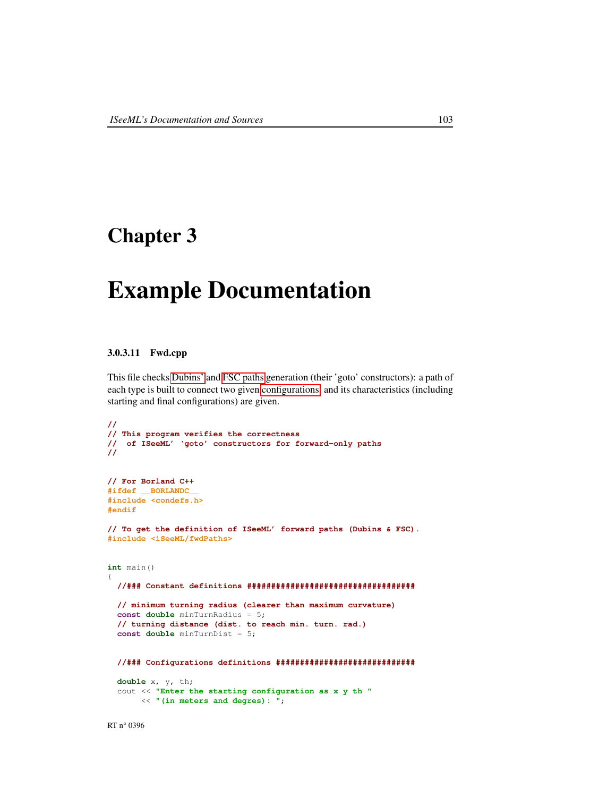## Chapter 3

## Example Documentation

### 3.0.3.11 Fwd.cpp

This file checks [Dubins'](#page-88-0) and [FSC paths](#page-96-0) generation (their 'goto' constructors): a path of each type is built to connect two given [configurations,](#page-47-0) and its characteristics (including starting and final configurations) are given.

```
//
// This program verifies the correctness
// of ISeeML' 'goto' constructors for forward-only paths
//
// For Borland C++
#ifdef __BORLANDC__
#include <condefs.h>
#endif
// To get the definition of ISeeML' forward paths (Dubins & FSC).
#include <iSeeML/fwdPaths>
int main()
{
  //### Constant definitions ###################################
  // minimum turning radius (clearer than maximum curvature)
  const double minTurnRadius = 5;
  // turning distance (dist. to reach min. turn. rad.)
  const double minTurnDist = 5;
  //### Configurations definitions #############################
 double x, y, th;
  cout << "Enter the starting configuration as x y th "
       << "(in meters and degres): ";
```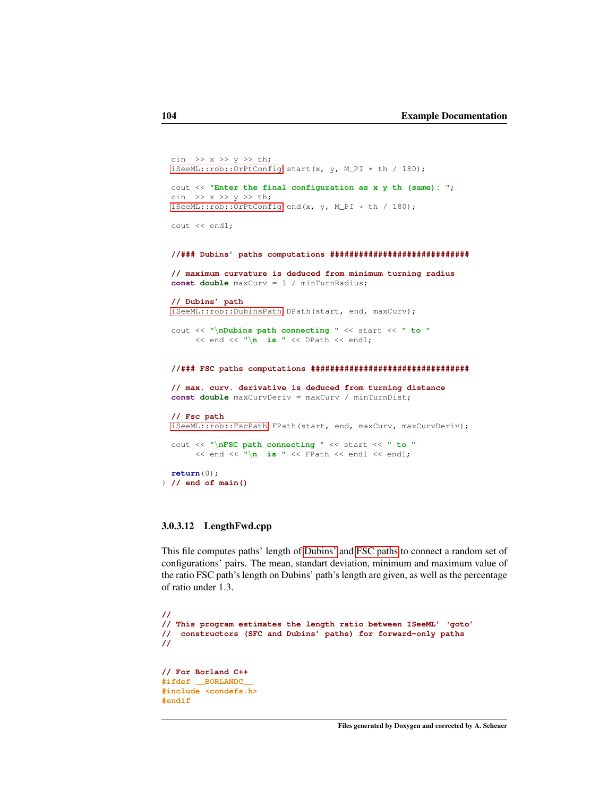```
cin \gg x \gg y \gg th;
 iSeeML::rob::OrPtConfig start(x, y, M_PI * th / 180);
 cout << "Enter the final configuration as x y th (same): ";
 cin \gg x \gg y \gg th;
 iSeeML::rob::OrPtConfig end(x, y, M_PI * th / 180);
 cout << endl;
 //### Dubins' paths computations #############################
 // maximum curvature is deduced from minimum turning radius
 const double maxCurv = 1 / minTurnRadius;
 // Dubins' path
 iSeeML::rob::DubinsPath DPath(start, end, maxCurv);
 cout << "\nDubins path connecting " << start << " to "
      << end << "\n is " << DPath << endl;
 //### FSC paths computations #################################
 // max. curv. derivative is deduced from turning distance
 const double maxCurvDeriv = maxCurv / minTurnDist;
 // Fsc path
 iSeeML::rob::FscPath FPath(start, end, maxCurv, maxCurvDeriv);
 cout << "\nFSC path connecting " << start << " to "
      << end << "\n is " << FPath << endl << endl;
 return(0);
} // end of main()
```
### 3.0.3.12 LengthFwd.cpp

This file computes paths' length of [Dubins'](#page-88-0) and [FSC paths](#page-96-0) to connect a random set of configurations' pairs. The mean, standart deviation, minimum and maximum value of the ratio FSC path's length on Dubins' path's length are given, as well as the percentage of ratio under 1.3.

```
//
// This program estimates the length ratio between ISeeML' 'goto'
// constructors (SFC and Dubins' paths) for forward-only paths
//
// For Borland C++
#ifdef __BORLANDC__
#include <condefs.h>
#endif
```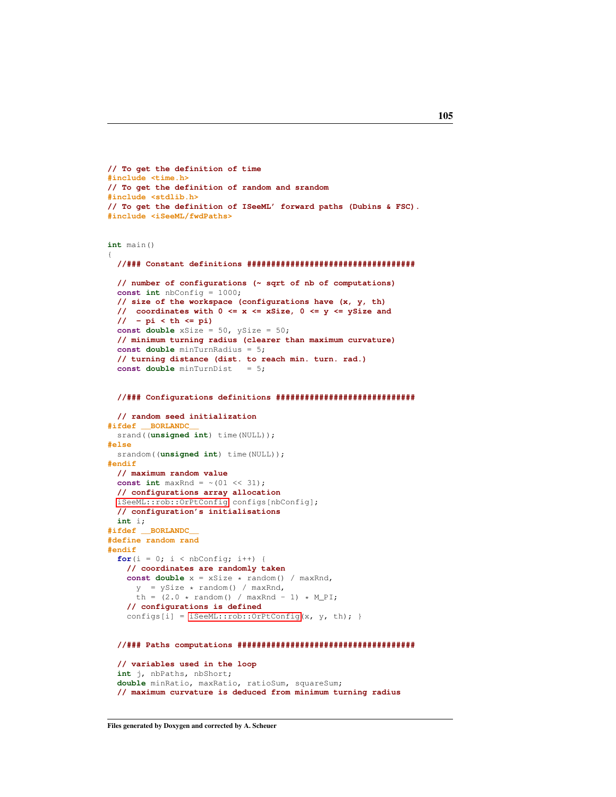```
// To get the definition of time
#include <time.h>
// To get the definition of random and srandom
#include <stdlib.h>
// To get the definition of ISeeML' forward paths (Dubins & FSC).
#include <iSeeML/fwdPaths>
int main()
{
  //### Constant definitions ###################################
  // number of configurations (~ sqrt of nb of computations)
  const int nbConfig = 1000;
  // size of the workspace (configurations have (x, y, th)
  // coordinates with 0 <= x <= xSize, 0 <= y <= ySize and
  // - pi < th <= pi)
  const double xSize = 50, ySize = 50;
  // minimum turning radius (clearer than maximum curvature)
  const double minTurnRadius = 5;
  // turning distance (dist. to reach min. turn. rad.)
  const double minTurnDist = 5;
  //### Configurations definitions #############################
  // random seed initialization
#ifdef __BORLANDC__
  srand((unsigned int) time(NULL));
#else
 srandom((unsigned int) time(NULL));
#endif
  // maximum random value
  const int maxRnd = \sim (01 << 31);
 // configurations array allocation
  iSeeML::rob::OrPtConfig configs[nbConfig];
 // configuration's initialisations
 int i;
#ifdef __BORLANDC__
#define random rand
#endif
  for(i = 0; i < nbConfig; i++) {
   // coordinates are randomly taken
   const double x = xSize * random() / maxRnd,
      y = ySize * random() / maxRnd,th = (2.0 * \text{random}() / \text{maxRnd} - 1) * M_PI;// configurations is defined
    iSeeML::rob::OrPtConfig(x, y, th); }
  //### Paths computations #####################################
  // variables used in the loop
```
**int** j, nbPaths, nbShort; **double** minRatio, maxRatio, ratioSum, squareSum; **// maximum curvature is deduced from minimum turning radius**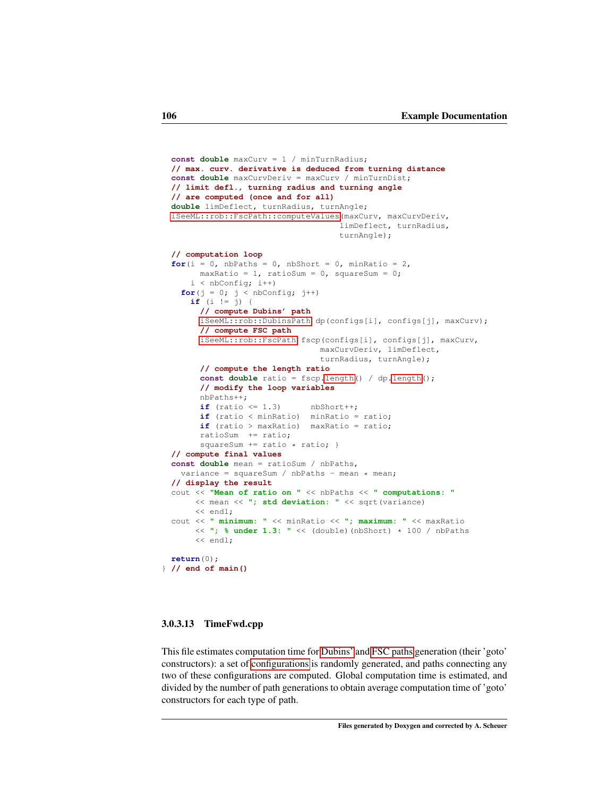```
const double maxCurv = 1 / minTurnRadius;
 // max. curv. derivative is deduced from turning distance
 const double maxCurvDeriv = maxCurv / minTurnDist;
 // limit defl., turning radius and turning angle
 // are computed (once and for all)
 double limDeflect, turnRadius, turnAngle;
 iSeeML::rob::FscPath::computeValues(maxCurv, maxCurvDeriv,
                                    limDeflect, turnRadius,
                                     turnAngle);
 // computation loop
 for(i = 0, nbPaths = 0, nbShort = 0, minRatio = 2,
       maxRatio = 1, ratioSum = 0, squareSum = 0;
     i < nbConfig; i++)
   for(j = 0; j < nbConfig; j++)if (i != j) {
       // compute Dubins' path
       iSeeML::rob::DubinsPath dp(configs[i], configs[j], maxCurv);
       // compute FSC path
       iSeeML::rob::FscPath fscp(configs[i], configs[j], maxCurv,
                                maxCurvDeriv, limDeflect,
                                turnRadius, turnAngle);
       // compute the length ratio
       const double ratio = fscp.length() / dp.length();
       // modify the loop variables
       nbPaths++;
       if (ratio \leq 1.3) nbShort++;
       if (ratio < minRatio) minRatio = ratio;
       if (ratio > maxRatio) maxRatio = ratio;
       ratioSum += ratio;
       squareSum += ratio * ratio; }
 // compute final values
 const double mean = ratioSum / nbPaths,
   variance = squareSum / nbPaths - mean * mean;
 // display the result
 cout << "Mean of ratio on " << nbPaths << " computations: "
      << mean << "; std deviation: " << sqrt(variance)
      << endl;
 cout << " minimum: " << minRatio << "; maximum: " << maxRatio
      << "; % under 1.3: " << (double)(nbShort) * 100 / nbPaths
      << endl:
 return(0);
} // end of main()
```
### 3.0.3.13 TimeFwd.cpp

This file estimates computation time for [Dubins'](#page-88-0) and [FSC paths](#page-96-0) generation (their 'goto' constructors): a set of [configurations](#page-47-0) is randomly generated, and paths connecting any two of these configurations are computed. Global computation time is estimated, and divided by the number of path generations to obtain average computation time of 'goto' constructors for each type of path.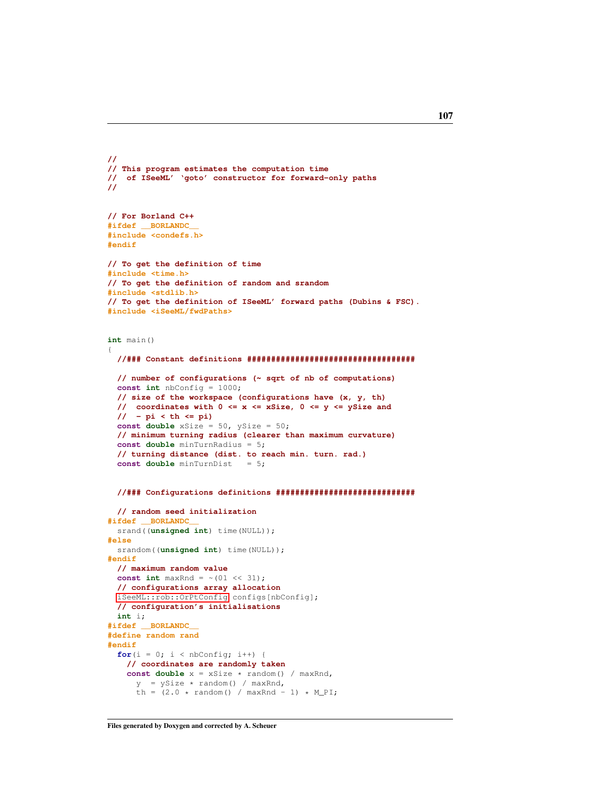```
//
// This program estimates the computation time
// of ISeeML' 'goto' constructor for forward-only paths
//
// For Borland C++
#ifdef __BORLANDC__
#include <condefs.h>
#endif
// To get the definition of time
#include <time.h>
// To get the definition of random and srandom
#include <stdlib.h>
// To get the definition of ISeeML' forward paths (Dubins & FSC).
#include <iSeeML/fwdPaths>
int main()
{
  //### Constant definitions ###################################
  // number of configurations (~ sqrt of nb of computations)
  const int nbConfig = 1000;
  // size of the workspace (configurations have (x, y, th)
  // coordinates with 0 <= x <= xSize, 0 <= y <= ySize and
  // - pi < th <= pi)
  const double xSize = 50, ySize = 50;
  // minimum turning radius (clearer than maximum curvature)
  const double minTurnRadius = 5;
  // turning distance (dist. to reach min. turn. rad.)
  const double minTurnDist = 5;
  //### Configurations definitions #############################
  // random seed initialization
#ifdef __BORLANDC__
  srand((unsigned int) time(NULL));
#else
  srandom((unsigned int) time(NULL));
#endif
  // maximum random value
  const int maxRnd = \sim (01 << 31);
 // configurations array allocation
  iSeeML::rob::OrPtConfig configs[nbConfig];
  // configuration's initialisations
  int i;
#ifdef __BORLANDC__
#define random rand
#endif
  for(i = 0; i <nbConfig; i+1) {
    // coordinates are randomly taken
    const double x = xSize * random() / maxRnd,
      y = ySize * random() / maxRnd,th = (2.0 \times \text{random}() / \text{maxRnd} - 1) \times M_PI;
```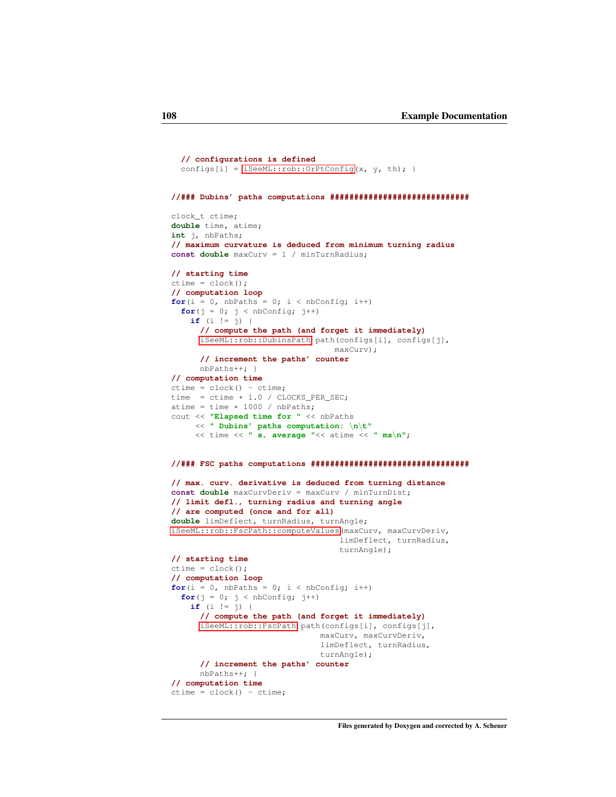```
// configurations is defined
   iSeeML::rob::OrPtConfig(x, y, th); }
//### Dubins' paths computations #############################
clock_t ctime;
double time, atime;
int j, nbPaths;
// maximum curvature is deduced from minimum turning radius
const double maxCurv = 1 / minTurnRadius;
// starting time
ctime = clock();
// computation loop

  for(j = 0; j <nbConfig; j++)if (i != j) {
     // compute the path (and forget it immediately)
     iSeeML::rob::DubinsPath path(configs[i], configs[j],
                                maxCurv);
     // increment the paths' counter
     nbPaths++; }
// computation time
ctime = clock() - ctime;time = ctime * 1.0 / CLOCKS_PER_SEC;
atime = time * 1000 / nbPaths;
cout << "Elapsed time for " << nbPaths
    << " Dubins' paths computation: \n\t"
    << time << " s, average "<< atime << " ms\n";
//### FSC paths computations #################################
// max. curv. derivative is deduced from turning distance
const double maxCurvDeriv = maxCurv / minTurnDist;
// limit defl., turning radius and turning angle
// are computed (once and for all)
double limDeflect, turnRadius, turnAngle;
iSeeML::rob::FscPath::computeValues(maxCurv, maxCurvDeriv,
                                 limDeflect, turnRadius,
                                  turnAngle);
// starting time
ctime = clock();
// computation loop
for(i = 0, nbPaths = 0; i < nbConfig; i+1)
  for(j = 0; j < nbConfig; j++)if (i != j) {
     // compute the path (and forget it immediately)
     iSeeML::rob::FscPath path(configs[i], configs[j],
                              maxCurv, maxCurvDeriv,
                              limDeflect, turnRadius,
                              turnAngle);
     // increment the paths' counter
     nbPaths++; }
// computation time
ctime = clock() - ctime;
```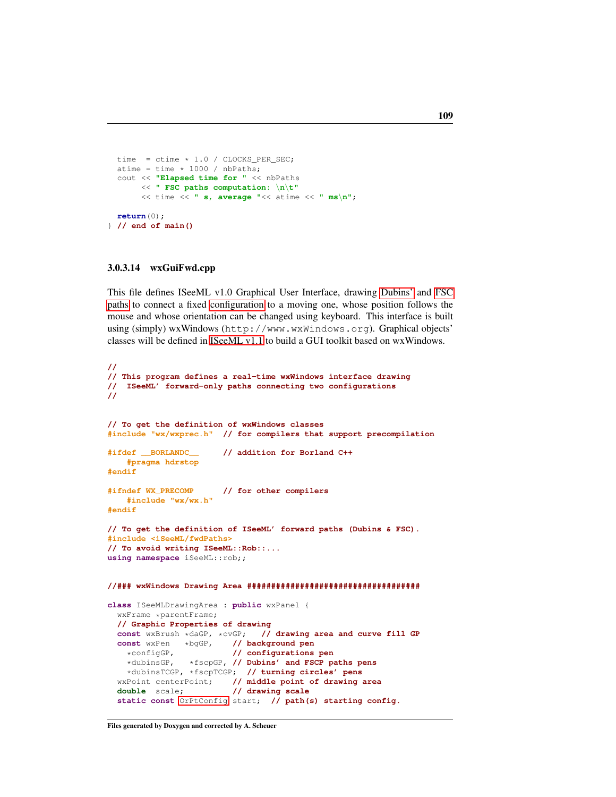```
time = ctime * 1.0 / CLOCKS_PER_SEC;
 atime = time * 1000 / nbPaths;cout << "Elapsed time for " << nbPaths
      << " FSC paths computation: \n\t"
      << time << " s, average "<< atime << " ms\n";
 return(0);
} // end of main()
```
### 3.0.3.14 wxGuiFwd.cpp

**//**

This file defines ISeeML v1.0 Graphical User Interface, drawing [Dubins'](#page-88-0) and [FSC](#page-96-0) [paths](#page-96-0) to connect a fixed [configuration](#page-47-0) to a moving one, whose position follows the mouse and whose orientation can be changed using keyboard. This interface is built using (simply) wxWindows (http://www.wxWindows.org). Graphical objects' classes will be defined in [ISeeML v1.1](#page-9-0) to build a GUI toolkit based on wxWindows.

```
// This program defines a real-time wxWindows interface drawing
// ISeeML' forward-only paths connecting two configurations
//
// To get the definition of wxWindows classes
#include "wx/wxprec.h" // for compilers that support precompilation
#ifdef __BORLANDC__ // addition for Borland C++
    #pragma hdrstop
#endif
#ifndef WX_PRECOMP // for other compilers
   #include "wx/wx.h"
#endif
// To get the definition of ISeeML' forward paths (Dubins & FSC).
#include <iSeeML/fwdPaths>
// To avoid writing ISeeML::Rob::...
using namespace iSeeML::rob;;
//### wxWindows Drawing Area ####################################
class ISeeMLDrawingArea : public wxPanel {
  wxFrame *parentFrame;
  // Graphic Properties of drawing
  const wxBrush *daGP, *cvGP; // drawing area and curve fill GP const wxPen *bgGP, // background pen
  const wxPen *bgGP,<br>*configGP,
                          // configurations pen
   *dubinsGP, *fscpGP, // Dubins' and FSCP paths pens
    *dubinsTCGP, *fscpTCGP; // turning circles' pens
  wxPoint centerPoint; // middle point of drawing area
  double scale; // drawing scale
  static const OrPtConfig start; // path(s) starting config.
```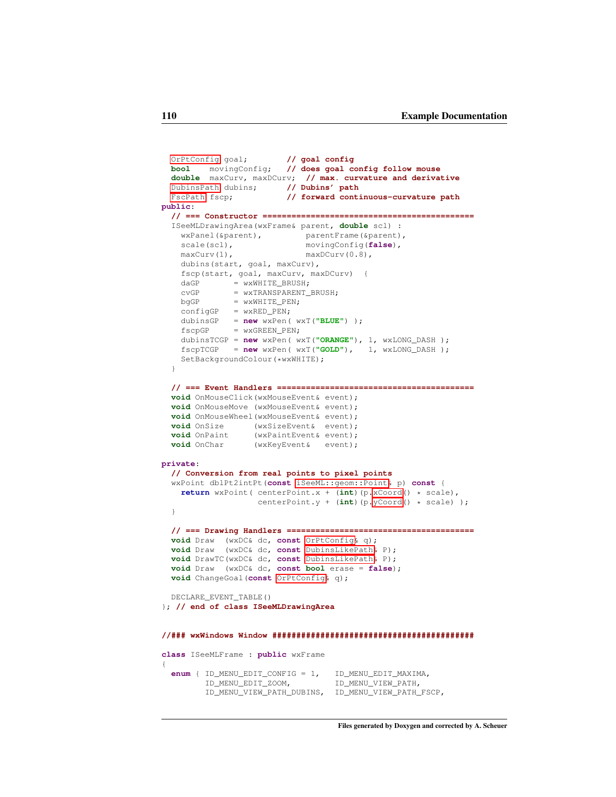```
OrPtConfig goal; // goal config
 bool movingConfig; // does goal config follow mouse
  double maxCurv, maxDCurv; // max. curvature and derivative
 DubinsPath dubins; // Dubins' path<br>FscPath fscp; // forward cont:
                        // forward continuous-curvature path
public:
  // === Constructor ============================================
  ISeeMLDrawingArea(wxFrame& parent, double scl) :
   wxPanel(&parent), parentFrame(&parent),
    scale(scl), movingConfig(false),
   maxCurv(1), maxDCurv(0.8),
   dubins(start, goal, maxCurv),
   fscp(start, goal, maxCurv, maxDCurv) {
   dAGP = wxWHITE_BRUSH;cvGP = wxTRANSPARENT_BRUSH;
   bqGP = wxWHITE_PEN;configGP = wxRED_PEN;dubinsGP = new wxPen( wxT("BLUE") );
   fscpGP = wxGREEN_PEN;
   dubinsTCGP = new wxPen( wxT("ORANGE"), 1, wxLONG_DASH );
   fscpTCGP = new wxPen( wxT("GOLD"), 1, wxLONG_DASH );
   SetBackgroundColour(*wxWHITE);
  }
  // === Event Handlers =========================================
  void OnMouseClick(wxMouseEvent& event);
 void OnMouseMove (wxMouseEvent& event);
  void OnMouseWheel(wxMouseEvent& event);
  void OnSize (wxSizeEvent& event);
  void OnPaint (wxPaintEvent& event);
 void OnChar (wxKeyEvent& event);
private:
  // Conversion from real points to pixel points
  wxPoint dblPt2intPt(const iSeeML::geom::Point& p) const {
   return wxPoint( centerPoint.x + (int)(p.xCoord() * scale),
                   centerPoint.y + (int)(p.yCoord() * scale) );
 }
  // === Drawing Handlers =======================================
 void Draw (wxDC& dc, const OrPtConfig& q);
  void Draw (wxDC& dc, const DubinsLikePath& P);
 void DrawTC(wxDC& dc, const DubinsLikePath& P);
 void Draw (wxDC& dc, const bool erase = false);
 void ChangeGoal(const OrPtConfig& q);
 DECLARE_EVENT_TABLE()
}; // end of class ISeeMLDrawingArea
//### wxWindows Window ##########################################
class ISeeMLFrame : public wxFrame
{
  enum { ID_MENU_EDIT_CONFIG = 1, ID_MENU_EDIT_MAXIMA,
        ID_MENU_EDIT_ZOOM, ID_MENU_VIEW_PATH,
        ID_MENU_VIEW_PATH_DUBINS, ID_MENU_VIEW_PATH_FSCP,
```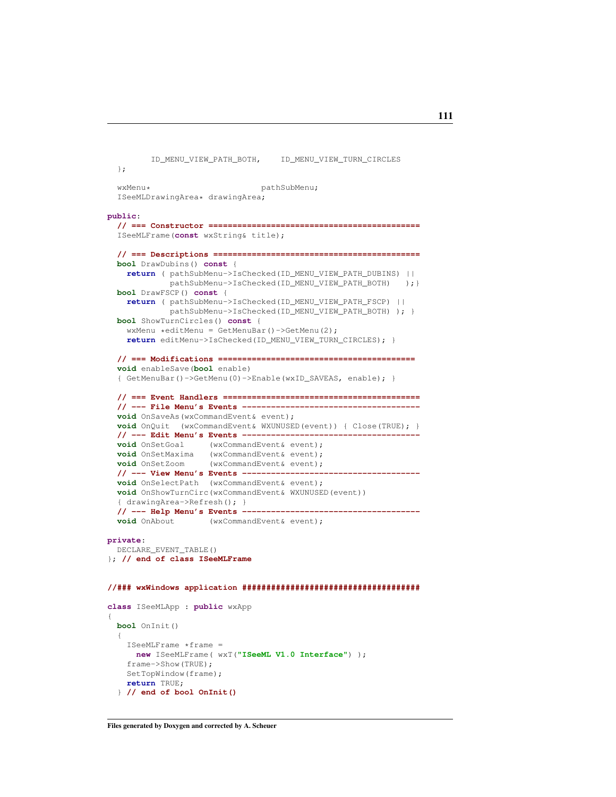```
ID_MENU_VIEW_PATH_BOTH, ID_MENU_VIEW_TURN_CIRCLES
  };
  wxMenu* pathSubMenu;
  ISeeMLDrawingArea* drawingArea;
public:
  // === Constructor ============================================
  ISeeMLFrame(const wxString& title);
  // === Descriptions ===========================================
 bool DrawDubins() const {
   return ( pathSubMenu->IsChecked(ID_MENU_VIEW_PATH_DUBINS) ||
             pathSubMenu->IsChecked(ID_MENU_VIEW_PATH_BOTH) );}
 bool DrawFSCP() const {
    return ( pathSubMenu->IsChecked(ID_MENU_VIEW_PATH_FSCP) ||
             pathSubMenu->IsChecked(ID_MENU_VIEW_PATH_BOTH) ); }
  bool ShowTurnCircles() const {
   wxMenu *editMenu = GetMenuBar()->GetMenu(2);
    return editMenu->IsChecked(ID_MENU_VIEW_TURN_CIRCLES); }
  // === Modifications =========================================
  void enableSave(bool enable)
  { GetMenuBar()->GetMenu(0)->Enable(wxID_SAVEAS, enable); }
  // === Event Handlers =========================================
  // --- File Menu's Events -------------------------------------
  void OnSaveAs(wxCommandEvent& event);
  void OnQuit (wxCommandEvent& WXUNUSED(event)) { Close(TRUE); }
  // --- Edit Menu's Events -------------------------------------
  void OnSetGoal (wxCommandEvent& event);
  void OnSetMaxima (wxCommandEvent& event);
  void OnSetZoom (wxCommandEvent& event);
  // --- View Menu's Events -------------------------------------
  void OnSelectPath (wxCommandEvent& event);
  void OnShowTurnCirc(wxCommandEvent& WXUNUSED(event))
  { drawingArea->Refresh(); }
  // --- Help Menu's Events -------------------------------------
 void OnAbout (wxCommandEvent& event);
private:
 DECLARE_EVENT_TABLE()
}; // end of class ISeeMLFrame
//### wxWindows application #####################################
class ISeeMLApp : public wxApp
{
 bool OnInit()
  {
    ISeeMLFrame *frame =
     new ISeeMLFrame( wxT("ISeeML V1.0 Interface") );
    frame->Show(TRUE);
   SetTopWindow(frame);
    return TRUE;
```

```
} // end of bool OnInit()
```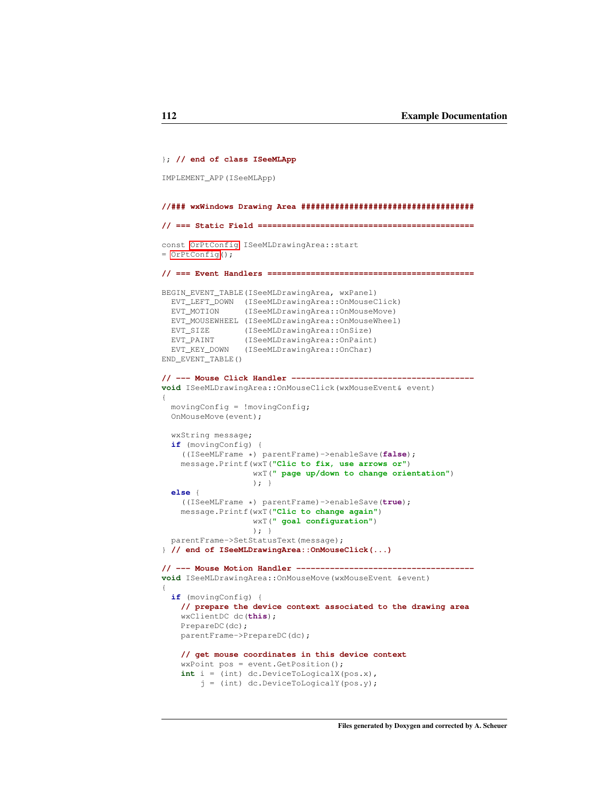```
}; // end of class ISeeMLApp
IMPLEMENT_APP(ISeeMLApp)
//### wxWindows Drawing Area ####################################
// === Static Field =============================================
const OrPtConfig ISeeMLDrawingArea::start
= OrPtConfig();
// === Event Handlers ===========================================
BEGIN_EVENT_TABLE(ISeeMLDrawingArea, wxPanel)
 EVT_LEFT_DOWN (ISeeMLDrawingArea::OnMouseClick)
 EVT_MOTION (ISeeMLDrawingArea::OnMouseMove)
 EVT_MOUSEWHEEL (ISeeMLDrawingArea::OnMouseWheel)
 EVT_SIZE (ISeeMLDrawingArea::OnSize)
  EVT_PAINT (ISeeMLDrawingArea::OnPaint)
  EVT_KEY_DOWN (ISeeMLDrawingArea::OnChar)
END_EVENT_TABLE()
// --- Mouse Click Handler --------------------------------------
void ISeeMLDrawingArea::OnMouseClick(wxMouseEvent& event)
{
 movingConfig = !movingConfig;
 OnMouseMove(event);
  wxString message;
  if (movingConfig) {
    ((ISeeMLFrame *) parentFrame)->enableSave(false);
   message.Printf(wxT("Clic to fix, use arrows or")
                   wxT(" page up/down to change orientation")
                   \rightarrow ; \rightarrowelse {
    ((ISeeMLFrame *) parentFrame)->enableSave(true);
    message.Printf(wxT("Clic to change again")
                   wxT(" goal configuration")
                   ); }
  parentFrame->SetStatusText(message);
} // end of ISeeMLDrawingArea::OnMouseClick(...)
// --- Mouse Motion Handler -------------------------------------
void ISeeMLDrawingArea::OnMouseMove(wxMouseEvent &event)
{
  if (movingConfig) {
    // prepare the device context associated to the drawing area
    wxClientDC dc(this);
    PrepareDC(dc);
    parentFrame->PrepareDC(dc);
    // get mouse coordinates in this device context
    wxPoint pos = event.GetPosition();
    int i = (int) dc.DeviceToLogicalX(pos.x),
        j = (int) dc.PeviceToloqicalY(pos.y);
```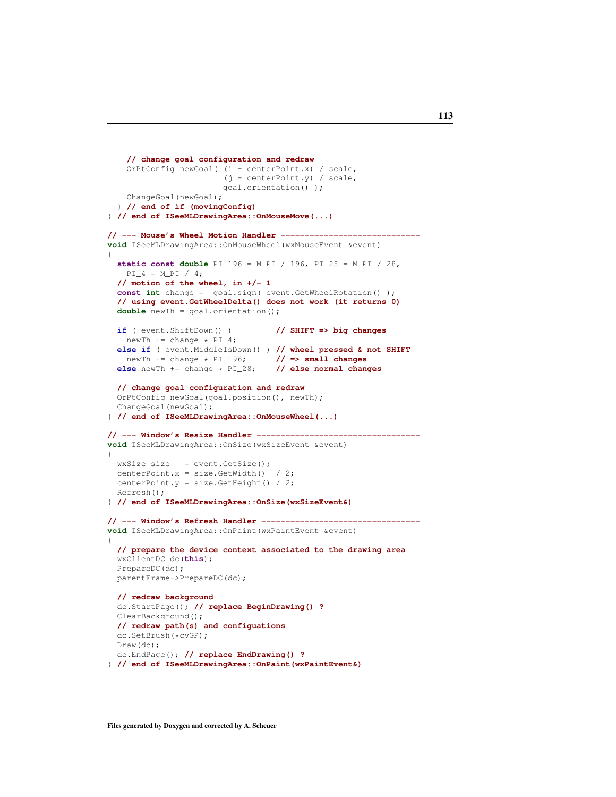```
// change goal configuration and redraw
    OrPtConfig newGoal( (i - centerPoint.x) / scale,
                          (j - centerPoint.y) / scale,
                          goal.orientation() );
    ChangeGoal(newGoal);
  } // end of if (movingConfig)
} // end of ISeeMLDrawingArea::OnMouseMove(...)
// --- Mouse's Wheel Motion Handler -----------------------------
void ISeeMLDrawingArea::OnMouseWheel(wxMouseEvent &event)
{
  static const double PI_196 = M_PI / 196, PI_28 = M_PI / 28,
   PI_4 = M_PI / 4;// motion of the wheel, in +/- 1
  const int change = goal.sign( event.GetWheelRotation() );
  // using event.GetWheelDelta() does not work (it returns 0)
  double newTh = goal.orientation();
  if ( event.ShiftDown() ) // SHIFT => big changes
   newTh += change \star PI\_4;
  else if ( event.MiddleIsDown() ) // wheel pressed & not SHIFT newTh += change * PI_196; // => small changes
   newTh += change * PI_196; // => small changes<br>lse newTh += change * PI_28; // else normal changes
  else newTh += change * PI_28;
  // change goal configuration and redraw
  OrPtConfig newGoal(goal.position(), newTh);
  ChangeGoal(newGoal);
} // end of ISeeMLDrawingArea::OnMouseWheel(...)
// --- Window's Resize Handler ----------------------------------
void ISeeMLDrawingArea::OnSize(wxSizeEvent &event)
{
  wxSize size = event.GetSize();
  centerPoint.x = size.GetWidth() / 2;
  centerPoint.y = size.GetHeight() / 2;
  Refresh();
} // end of ISeeMLDrawingArea::OnSize(wxSizeEvent&)
// --- Window's Refresh Handler ---------------------------------
void ISeeMLDrawingArea:: OnPaint (wxPaintEvent &event)
{
  // prepare the device context associated to the drawing area
  wxClientDC dc(this);
  PrepareDC(dc);
  parentFrame->PrepareDC(dc);
  // redraw background
  dc.StartPage(); // replace BeginDrawing() ?
  ClearBackground();
  // redraw path(s) and configuations
  dc.SetBrush(*cvGP);
  Draw(dc);
  dc.EndPage(); // replace EndDrawing() ?
} // end of ISeeMLDrawingArea::OnPaint(wxPaintEvent&)
```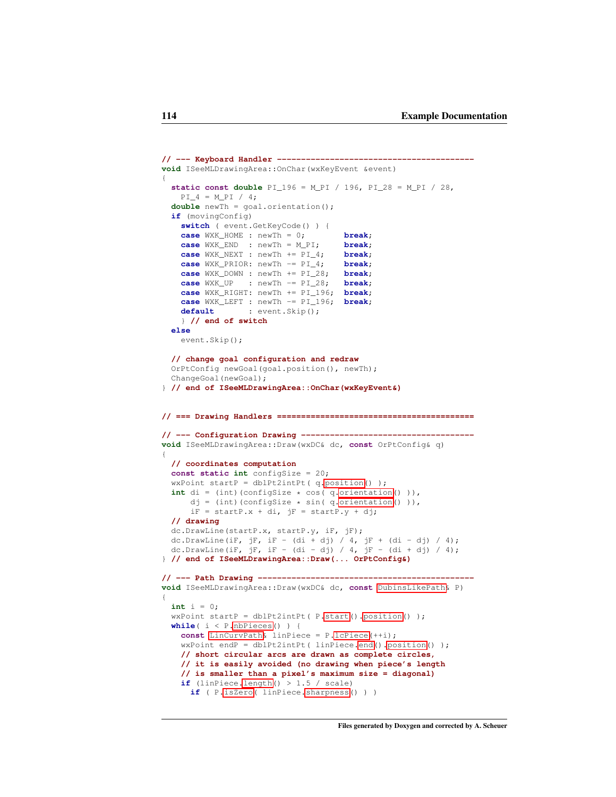```
// --- Keyboard Handler -----------------------------------------
void ISeeMLDrawingArea::OnChar(wxKeyEvent &event)
{
  static const double PI_196 = M_PI / 196, PI_28 = M_PI / 28,
   PI_4 = M_PI / 4;double newTh = goal.orientation();
  if (movingConfig)
    switch ( event.GetKeyCode() ) {
    case WXK_HOME : newTh = 0; break;
    case WXK_END : newTh = M_PI; break;
    case WXK_NEXT : newTh += PI_4; break;
    case WXK_PRIOR: newTh -= PI_4; break;
    case WXK_DOWN : newTh += PI_28; break;
    case WXK_UP : newTh -= PI_28; break;
    case WXK_RIGHT: newTh += PI_196; break;
    case WXK_LEFT : newTh -= PI_196; break;
    default : event.Skip();
    } // end of switch
  else
    event.Skip();
  // change goal configuration and redraw
  OrPtConfig newGoal(goal.position(), newTh);
  ChangeGoal(newGoal);
} // end of ISeeMLDrawingArea::OnChar(wxKeyEvent&)
// === Drawing Handlers =========================================
// --- Configuration Drawing ------------------------------------
void ISeeMLDrawingArea::Draw(wxDC& dc, const OrPtConfig& q)
{
  // coordinates computation
  const static int configSize = 20;
  wxPoint startP = dblPt2intPt( q.position() );
  int di = (int)(configSize * cos( q.orientation() )),
      .orientation())),iF = startP.x + di, jF = startP.y + dj;
  // drawing
  dc.DrawLine(startP.x, startP.y, iF, jF);
  dc.DrawLine(iF, jF, iF - (di + dj) / 4, jF + (di - dj) / 4);
  dc.DrawLine(iF, jF, iF - (di - dj) / 4, jF - (di + dj) / 4);
} // end of ISeeMLDrawingArea::Draw(... OrPtConfig&)
// --- Path Drawing ---------------------------------------------
void ISeeMLDrawingArea::Draw(wxDC& dc, const DubinsLikePath& P)
{
 int i = 0;
  wxPoint startP = dblPt2intPt.position() );
  while( i < P.nbPieces() ) {
   const LinCurvPath& linPiece = P.lcPiece(++i);
    wxPoint endP = dblPt2intPt( linPiece.end().position() );
    // short circular arcs are drawn as complete circles,
    // it is easily avoided (no drawing when piece's length
    // is smaller than a pixel's maximum size = diagonal)
    if.length() > 1.5 / scale)
     if ( P.isZero( linPiece.sharpness() ) )
```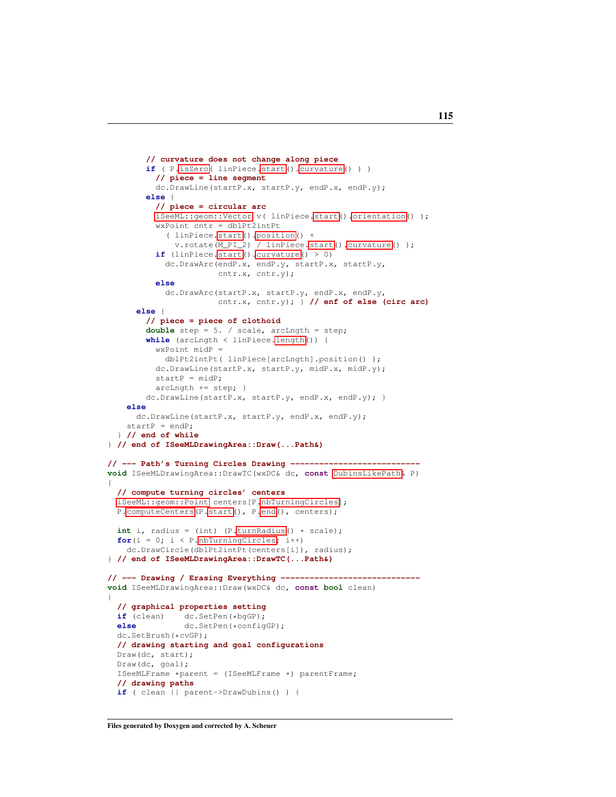```
// curvature does not change along piece
        if ( P.isZero( linPiece.start().curvature() ) )
          // piece = line segment
          dc.DrawLine(startP.x, startP.y, endP.x, endP.y);
        else {
          // piece = circular arc
          iSeeML::geom::Vector v( linPiece.start().orientation() );
          wxPoint cntr = dblPt2intPt
            ( linPiece.start().position() +
              v.rotate(M_PI_2) / linPiece.start().curvature() );
          if (linPiece.start().curvature() > 0)
            dc.DrawArc(endP.x, endP.y, startP.x, startP.y,
                       cntr.x, cntr.y);
          else
            dc.DrawArc(startP.x, startP.y, endP.x, endP.y,
                       cntr.x, cntr.y); } // enf of else (circ arc)
      else {
        // piece = piece of clothoid
        double step = 5. / scale, arcLngth = step;
        while (arcLngth < linPiece.length()) {
          wxPoint midP =
            dblPt2intPt( linPiece[arcLngth].position() );
          dc.DrawLine(startP.x, startP.y, midP.x, midP.y);
          startP = midP:
          arcLngth += step; }
        dc.DrawLine(startP.x, startP.y, endP.x, endP.y); }
    else
      dc.DrawLine(startP.x, startP.y, endP.x, endP.y);
    startP = endP;} // end of while
} // end of ISeeMLDrawingArea::Draw(...Path&)
// --- Path's Turning Circles Drawing ---------------------------
void ISeeMLDrawingArea::DrawTC(wxDC& dc, const DubinsLikePath& P)
{
  // compute turning circles' centers
  iSeeML::geom::Point centers[P.nbTurningCircles];
 P.computeCenters(P.start(), P.end(), centers);
  int i, radius = (int) (P.turnRadius() * scale);
  for(i = 0; i < P.nbTurningCircles; i^{++})
    dc.DrawCircle(dblPt2intPt(centers[i]), radius);
} // end of ISeeMLDrawingArea::DrawTC(...Path&)
// --- Drawing / Erasing Everything -----------------------------
void ISeeMLDrawingArea::Draw(wxDC& dc, const bool clean)
{
 // graphical properties setting
 if (clean) dc.SetPen(*bgGP);<br>else dc.SetPen(*confic
                else dc.SetPen(*configGP);
 dc.SetBrush(*cvGP);
  // drawing starting and goal configurations
 Draw(dc, start);
  Draw(dc, goal);
  ISeeMLFrame *parent = (ISeeMLFrame *) parentFrame;
  // drawing paths
  if ( clean || parent->DrawDubins() ) {
```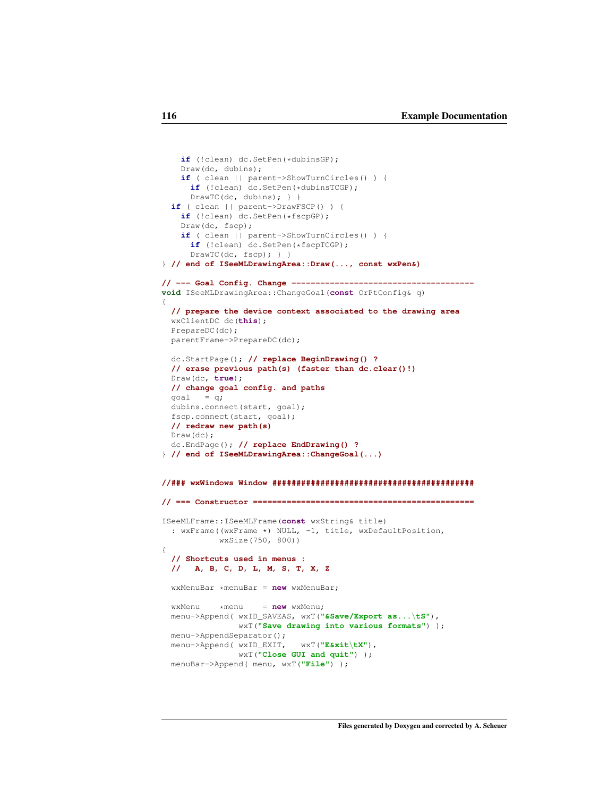```
if (!clean) dc.SetPen(*dubinsGP);
   Draw(dc, dubins);
    if ( clean || parent->ShowTurnCircles() ) {
     if (!clean) dc.SetPen(*dubinsTCGP);
     DrawTC(dc, dubins); } }
  if ( clean || parent->DrawFSCP() ) {
   if (!clean) dc.SetPen(*fscpGP);
    Draw(dc, fscp);
   if ( clean || parent->ShowTurnCircles() ) {
      if (!clean) dc.SetPen(*fscpTCGP);
      DrawTC(dc, fscp); } }
} // end of ISeeMLDrawingArea::Draw(..., const wxPen&)
// --- Goal Config. Change --------------------------------------
void ISeeMLDrawingArea::ChangeGoal(const OrPtConfig& q)
{
 // prepare the device context associated to the drawing area
 wxClientDC dc(this);
 PrepareDC(dc);
 parentFrame->PrepareDC(dc);
 dc.StartPage(); // replace BeginDrawing() ?
 // erase previous path(s) (faster than dc.clear()!)
 Draw(dc, true);
  // change goal config. and paths
  goal = q;dubins.connect(start, goal);
 fscp.connect(start, goal);
  // redraw new path(s)
 Draw(dc);
 dc.EndPage(); // replace EndDrawing() ?
} // end of ISeeMLDrawingArea::ChangeGoal(...)
//### wxWindows Window ##########################################
// === Constructor ==============================================
ISeeMLFrame::ISeeMLFrame(const wxString& title)
  : wxFrame((wxFrame *) NULL, -1, title, wxDefaultPosition,
           wxSize(750, 800))
{
  // Shortcuts used in menus :
  // A, B, C, D, L, M, S, T, X, Z
 wxMenuBar *menuBar = new wxMenuBar;
  wxMenu *menu = new wxMenu;
  menu->Append( wxID_SAVEAS, wxT("&Save/Export as...\tS"),
               wxT("Save drawing into various formats") );
  menu->AppendSeparator();
  menu->Append( wxID_EXIT, wxT("E&xit\tX"),
               wxT("Close GUI and quit") );
  menuBar->Append( menu, wxT("File") );
```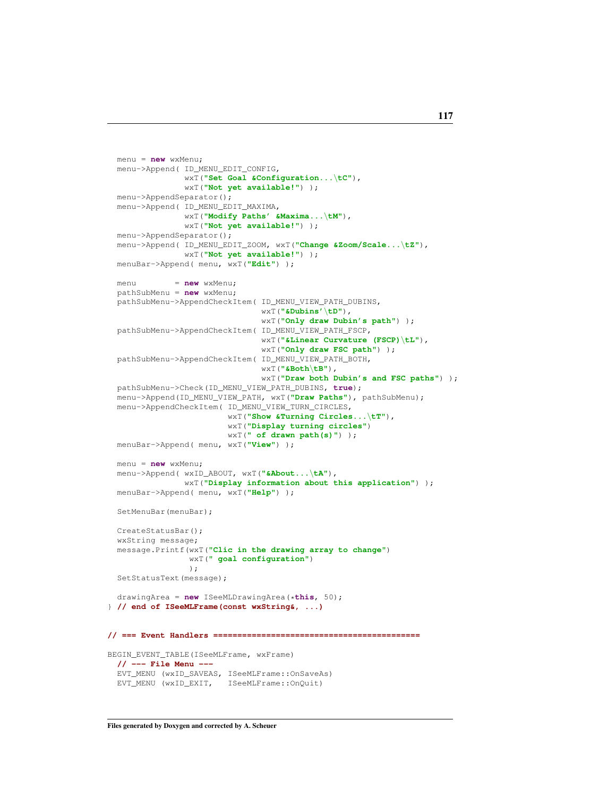```
menu = new wxMenu;
 menu->Append( ID_MENU_EDIT_CONFIG,
               wxT("Set Goal &Configuration...\tC"),
               wxT("Not yet available!") );
 menu->AppendSeparator();
  menu->Append( ID_MENU_EDIT_MAXIMA,
                wxT("Modify Paths' &Maxima...\tM"),
               wxT("Not yet available!") );
 menu->AppendSeparator();
 menu->Append( ID_MENU_EDIT_ZOOM, wxT("Change &Zoom/Scale...\tZ"),
                wxT("Not yet available!") );
 menuBar->Append( menu, wxT("Edit") );
 menu = new wxMenu;
 pathSubMenu = new wxMenu;
  pathSubMenu->AppendCheckItem( ID_MENU_VIEW_PATH_DUBINS,
                                wxT("&Dubins'\tD"),
                                wxT("Only draw Dubin's path") );
 pathSubMenu->AppendCheckItem( ID_MENU_VIEW_PATH_FSCP,
                                wxT("&Linear Curvature (FSCP)\tL"),
                                wxT("Only draw FSC path") );
 pathSubMenu->AppendCheckItem( ID_MENU_VIEW_PATH_BOTH,
                                wxT("&Both\tB"),
                                wxT("Draw both Dubin's and FSC paths") );
  pathSubMenu->Check(ID_MENU_VIEW_PATH_DUBINS, true);
 menu->Append(ID_MENU_VIEW_PATH, wxT("Draw Paths"), pathSubMenu);
 menu->AppendCheckItem( ID_MENU_VIEW_TURN_CIRCLES,
                         wxT("Show &Turning Circles...\tT"),
                         wxT("Display turning circles")
                         wxT(" of drawn path(s)") );
  menuBar->Append( menu, wxT("View") );
 menu = new wxMenu;
 menu->Append( wxID_ABOUT, wxT("&About...\tA"),
                wxT("Display information about this application") );
 menuBar->Append( menu, wxT("Help") );
 SetMenuBar(menuBar);
 CreateStatusBar();
 wxString message;
  message.Printf(wxT("Clic in the drawing array to change")
                wxT(" goal configuration")
                );
  SetStatusText(message);
 drawingArea = new ISeeMLDrawingArea(*this, 50);
} // end of ISeeMLFrame(const wxString&, ...)
// === Event Handlers ===========================================
BEGIN_EVENT_TABLE(ISeeMLFrame, wxFrame)
 // --- File Menu ---
 EVT_MENU (wxID_SAVEAS, ISeeMLFrame::OnSaveAs)
 EVT_MENU (wxID_EXIT, ISeeMLFrame::OnQuit)
```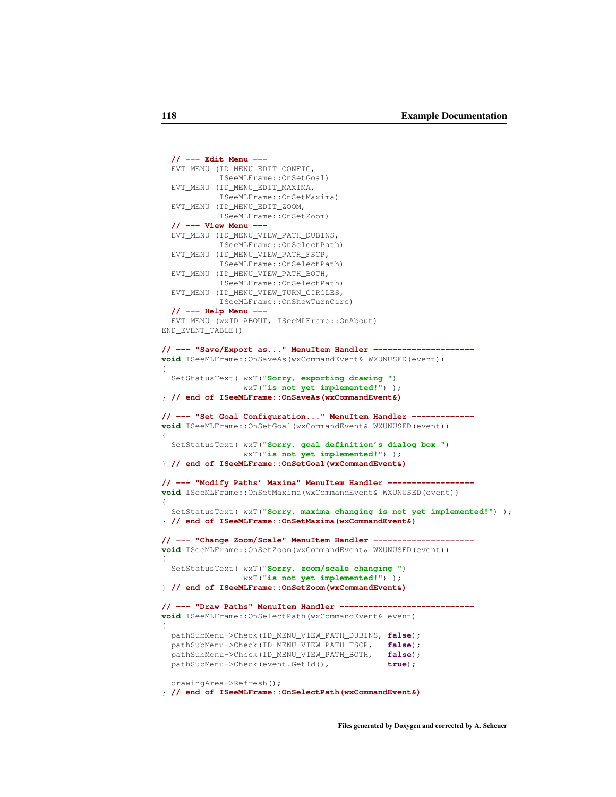```
// --- Edit Menu ---
  EVT_MENU (ID_MENU_EDIT_CONFIG,
           ISeeMLFrame::OnSetGoal)
  EVT_MENU (ID_MENU_EDIT_MAXIMA,
            ISeeMLFrame::OnSetMaxima)
  EVT_MENU (ID_MENU_EDIT_ZOOM,
           ISeeMLFrame::OnSetZoom)
  // --- View Menu ---
  EVT_MENU (ID_MENU_VIEW_PATH_DUBINS,
            ISeeMLFrame::OnSelectPath)
  EVT_MENU (ID_MENU_VIEW_PATH_FSCP,
           ISeeMLFrame::OnSelectPath)
  EVT_MENU (ID_MENU_VIEW_PATH_BOTH,
           ISeeMLFrame::OnSelectPath)
  EVT_MENU (ID_MENU_VIEW_TURN_CIRCLES,
            ISeeMLFrame::OnShowTurnCirc)
  // --- Help Menu ---
  EVT_MENU (wxID_ABOUT, ISeeMLFrame::OnAbout)
END_EVENT_TABLE()
// --- "Save/Export as..." MenuItem Handler ---------------------
void ISeeMLFrame::OnSaveAs(wxCommandEvent& WXUNUSED(event))
{
  SetStatusText( wxT("Sorry, exporting drawing ")
                 wxT("is not yet implemented!") );
} // end of ISeeMLFrame::OnSaveAs(wxCommandEvent&)
// --- "Set Goal Configuration..." MenuItem Handler -------------
void ISeeMLFrame::OnSetGoal(wxCommandEvent& WXUNUSED(event))
{
  SetStatusText( wxT("Sorry, goal definition's dialog box ")
                 wxT("is not yet implemented!") );
} // end of ISeeMLFrame::OnSetGoal(wxCommandEvent&)
// --- "Modify Paths' Maxima" MenuItem Handler ------------------
void ISeeMLFrame::OnSetMaxima(wxCommandEvent& WXUNUSED(event))
{
 SetStatusText( wxT("Sorry, maxima changing is not yet implemented!") );
} // end of ISeeMLFrame::OnSetMaxima(wxCommandEvent&)
// --- "Change Zoom/Scale" MenuItem Handler ---------------------
void ISeeMLFrame::OnSetZoom(wxCommandEvent& WXUNUSED(event))
{
  SetStatusText( wxT("Sorry, zoom/scale changing ")
                 wxT("is not yet implemented!") );
} // end of ISeeMLFrame::OnSetZoom(wxCommandEvent&)
// --- "Draw Paths" MenuItem Handler ----------------------------
void ISeeMLFrame::OnSelectPath(wxCommandEvent& event)
{
 pathSubMenu->Check(ID_MENU_VIEW_PATH_DUBINS, false);
  pathSubMenu->Check(ID_MENU_VIEW_PATH_FSCP, false);
  pathSubMenu->Check(ID_MENU_VIEW_PATH_BOTH, false);
  pathSubMenu->Check(event.GetId(), true);
  drawingArea->Refresh();
} // end of ISeeMLFrame::OnSelectPath(wxCommandEvent&)
```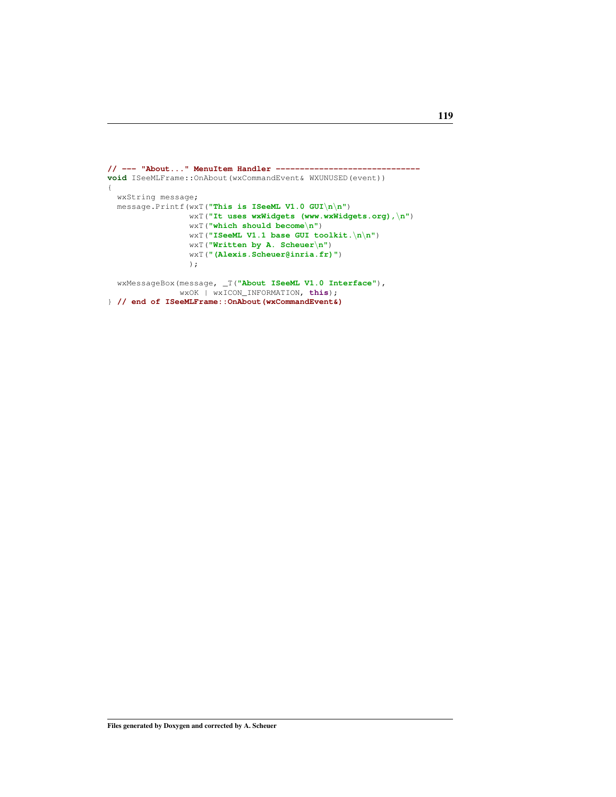```
// --- "About..." MenuItem Handler ------------------------------
void ISeeMLFrame::OnAbout(wxCommandEvent& WXUNUSED(event))
\{wxString message;
 message.Printf(wxT("This is ISeeML V1.0 GUI\n\n")
                wxT("It uses wxWidgets (www.wxWidgets.org),\n")
                wxT("which should become\n")
                wxT("ISeeML V1.1 base GUI toolkit.\n\n")
                wxT("Written by A. Scheuer\n")
                wxT("(Alexis.Scheuer@inria.fr)")
                );
 wxMessageBox(message, _T("About ISeeML V1.0 Interface"),
               wxOK | wxICON_INFORMATION, this);
```

```
} // end of ISeeMLFrame::OnAbout(wxCommandEvent&)
```

```
119
```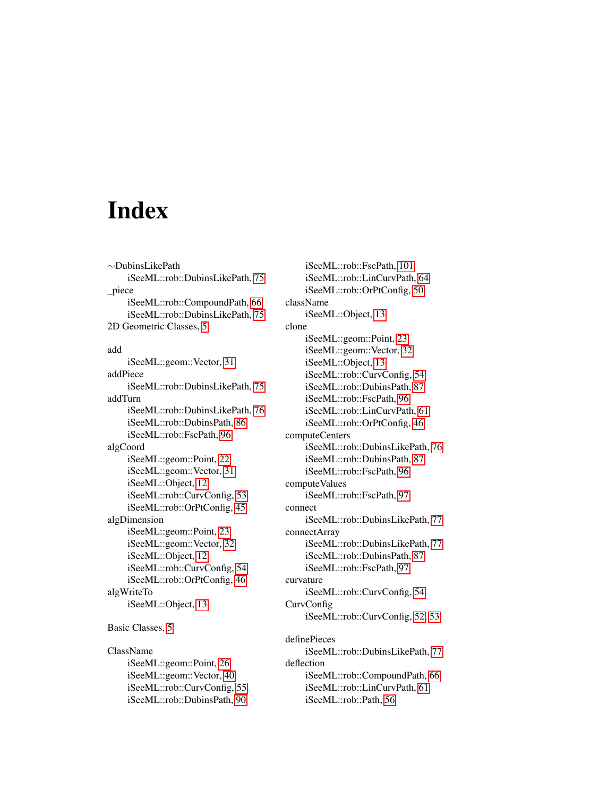## Index

∼DubinsLikePath iSeeML::rob::DubinsLikePath, [75](#page-81-0) \_piece iSeeML::rob::CompoundPath, [66](#page-72-1) iSeeML::rob::DubinsLikePath, [75](#page-81-0) 2D Geometric Classes, [5](#page-11-0)

add iSeeML::geom::Vector, [31](#page-37-0) addPiece iSeeML::rob::DubinsLikePath, [75](#page-81-0) addTurn iSeeML::rob::DubinsLikePath, [76](#page-82-1) iSeeML::rob::DubinsPath, [86](#page-92-0) iSeeML::rob::FscPath, [96](#page-102-0) algCoord iSeeML::geom::Point, [22](#page-28-0) iSeeML::geom::Vector, [31](#page-37-0) iSeeML::Object, [12](#page-18-0) iSeeML::rob::CurvConfig, [53](#page-59-0) iSeeML::rob::OrPtConfig, [45](#page-51-0) algDimension iSeeML::geom::Point, [23](#page-29-0) iSeeML::geom::Vector, [32](#page-38-0) iSeeML::Object, [12](#page-18-0) iSeeML::rob::CurvConfig, [54](#page-60-1) iSeeML::rob::OrPtConfig, [46](#page-52-0) algWriteTo iSeeML::Object, [13](#page-19-0) Basic Classes, [5](#page-11-0)

ClassName iSeeML::geom::Point, [26](#page-32-3) iSeeML::geom::Vector, [40](#page-46-0) iSeeML::rob::CurvConfig, [55](#page-61-0) iSeeML::rob::DubinsPath, [90](#page-96-1)

iSeeML::rob::FscPath, [101](#page-107-0) iSeeML::rob::LinCurvPath, [64](#page-70-0) iSeeML::rob::OrPtConfig, [50](#page-56-0) className iSeeML::Object, [13](#page-19-0) clone iSeeML::geom::Point, [23](#page-29-0) iSeeML::geom::Vector, [32](#page-38-0) iSeeML::Object, [13](#page-19-0) iSeeML::rob::CurvConfig, [54](#page-60-1) iSeeML::rob::DubinsPath, [87](#page-93-0) iSeeML::rob::FscPath, [96](#page-102-0) iSeeML::rob::LinCurvPath, [61](#page-67-0) iSeeML::rob::OrPtConfig, [46](#page-52-0) computeCenters iSeeML::rob::DubinsLikePath, [76](#page-82-1) iSeeML::rob::DubinsPath, [87](#page-93-0) iSeeML::rob::FscPath, [96](#page-102-0) computeValues iSeeML::rob::FscPath, [97](#page-103-1) connect iSeeML::rob::DubinsLikePath, [77](#page-83-0) connectArray iSeeML::rob::DubinsLikePath, [77](#page-83-0) iSeeML::rob::DubinsPath, [87](#page-93-0) iSeeML::rob::FscPath, [97](#page-103-1) curvature iSeeML::rob::CurvConfig, [54](#page-60-1) CurvConfig iSeeML::rob::CurvConfig, [52,](#page-58-0) [53](#page-59-0) definePieces iSeeML::rob::DubinsLikePath, [77](#page-83-0) deflection iSeeML::rob::CompoundPath, [66](#page-72-1) iSeeML::rob::LinCurvPath, [61](#page-67-0) iSeeML::rob::Path, [56](#page-62-0)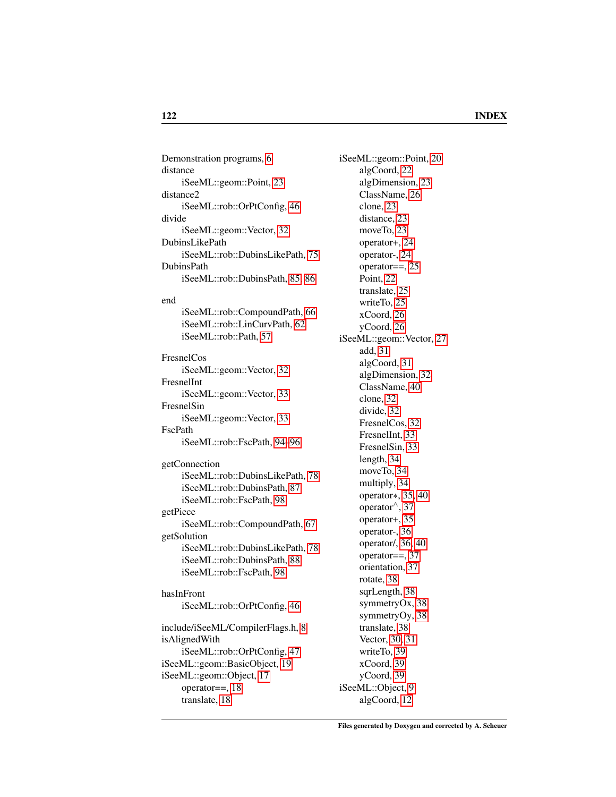Demonstration programs, [6](#page-12-0) distance iSeeML::geom::Point, [23](#page-29-0) distance2 iSeeML::rob::OrPtConfig, [46](#page-52-0) divide iSeeML::geom::Vector, [32](#page-38-0) DubinsLikePath iSeeML::rob::DubinsLikePath, [75](#page-81-0) DubinsPath iSeeML::rob::DubinsPath, [85,](#page-91-0) [86](#page-92-0) end iSeeML::rob::CompoundPath, [66](#page-72-1) iSeeML::rob::LinCurvPath, [62](#page-68-2) iSeeML::rob::Path, [57](#page-63-0) FresnelCos iSeeML::geom::Vector, [32](#page-38-0) FresnelInt iSeeML::geom::Vector, [33](#page-39-0) FresnelSin iSeeML::geom::Vector, [33](#page-39-0) FscPath iSeeML::rob::FscPath, [94](#page-100-0)[–96](#page-102-0) getConnection iSeeML::rob::DubinsLikePath, [78](#page-84-0) iSeeML::rob::DubinsPath, [87](#page-93-0) iSeeML::rob::FscPath, [98](#page-104-0) getPiece iSeeML::rob::CompoundPath, [67](#page-73-1) getSolution iSeeML::rob::DubinsLikePath, [78](#page-84-0) iSeeML::rob::DubinsPath, [88](#page-94-0) iSeeML::rob::FscPath, [98](#page-104-0) hasInFront iSeeML::rob::OrPtConfig, [46](#page-52-0) include/iSeeML/CompilerFlags.h, [8](#page-14-0) isAlignedWith iSeeML::rob::OrPtConfig, [47](#page-53-0) iSeeML::geom::BasicObject, [19](#page-25-1) iSeeML::geom::Object, [17](#page-23-0) operator==, [18](#page-24-0) translate, [18](#page-24-0)

iSeeML::geom::Point, [20](#page-26-0) algCoord, [22](#page-28-0) algDimension, [23](#page-29-0) ClassName, [26](#page-32-3) clone, [23](#page-29-0) distance, [23](#page-29-0) moveTo, [23](#page-29-0) operator+, [24](#page-30-0) operator-, [24](#page-30-0) operator==, [25](#page-31-0) Point, [22](#page-28-0) translate, [25](#page-31-0) writeTo, [25](#page-31-0) xCoord, [26](#page-32-3) yCoord, [26](#page-32-3) iSeeML::geom::Vector, [27](#page-33-0) add, [31](#page-37-0) algCoord, [31](#page-37-0) algDimension, [32](#page-38-0) ClassName, [40](#page-46-0) clone, [32](#page-38-0) divide, [32](#page-38-0) FresnelCos, [32](#page-38-0) FresnelInt, [33](#page-39-0) FresnelSin, [33](#page-39-0) length, [34](#page-40-0) moveTo, [34](#page-40-0) multiply, [34](#page-40-0) operator∗, [35,](#page-41-0) [40](#page-46-0) operator∧, [37](#page-43-0) operator+, [35](#page-41-0) operator-, [36](#page-42-0) operator/, [36,](#page-42-0) [40](#page-46-0) operator==, [37](#page-43-0) orientation, [37](#page-43-0) rotate, [38](#page-44-0) sqrLength, [38](#page-44-0) symmetryOx, [38](#page-44-0) symmetryOy, [38](#page-44-0) translate, [38](#page-44-0) Vector, [30,](#page-36-0) [31](#page-37-0) writeTo, [39](#page-45-0) xCoord, [39](#page-45-0) yCoord, [39](#page-45-0) iSeeML::Object, [9](#page-15-0) algCoord, [12](#page-18-0)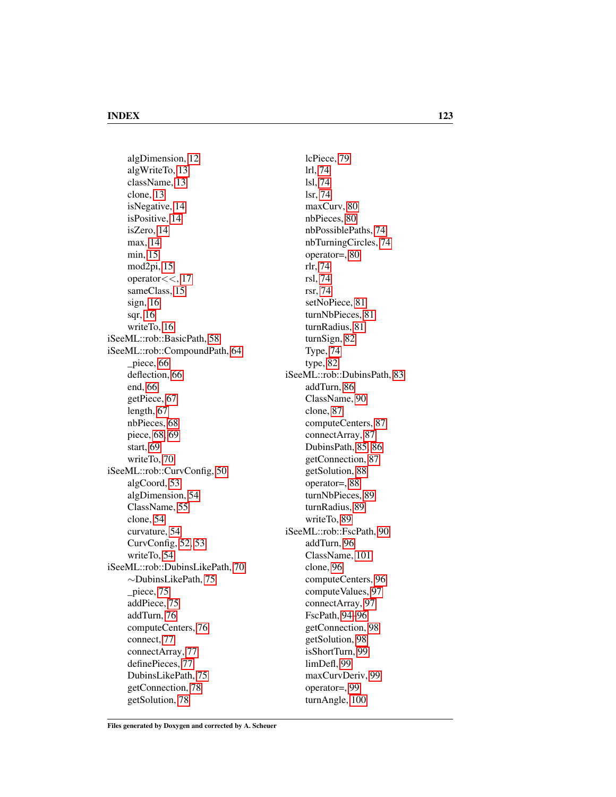algDimension, [12](#page-18-0) algWriteTo, [13](#page-19-0) className, [13](#page-19-0) clone, [13](#page-19-0) isNegative, [14](#page-20-1) isPositive, [14](#page-20-1) isZero, [14](#page-20-1) max, [14](#page-20-1) min, [15](#page-21-0) mod2pi, [15](#page-21-0) operator $<<$ , [17](#page-23-0) sameClass, [15](#page-21-0) sign, [16](#page-22-0) sqr, [16](#page-22-0) writeTo, [16](#page-22-0) iSeeML::rob::BasicPath, [58](#page-64-0) iSeeML::rob::CompoundPath, [64](#page-70-0) \_piece, [66](#page-72-1) deflection, [66](#page-72-1) end, [66](#page-72-1) getPiece, [67](#page-73-1) length, [67](#page-73-1) nbPieces, [68](#page-74-0) piece, [68,](#page-74-0) [69](#page-75-1) start, [69](#page-75-1) writeTo, [70](#page-76-1) iSeeML::rob::CurvConfig, [50](#page-56-0) algCoord, [53](#page-59-0) algDimension, [54](#page-60-1) ClassName, [55](#page-61-0) clone, [54](#page-60-1) curvature, [54](#page-60-1) CurvConfig, [52,](#page-58-0) [53](#page-59-0) writeTo, [54](#page-60-1) iSeeML::rob::DubinsLikePath, [70](#page-76-1) ∼DubinsLikePath, [75](#page-81-0) \_piece, [75](#page-81-0) addPiece, [75](#page-81-0) addTurn, [76](#page-82-1) computeCenters, [76](#page-82-1) connect, [77](#page-83-0) connectArray, [77](#page-83-0) definePieces, [77](#page-83-0) DubinsLikePath, [75](#page-81-0) getConnection, [78](#page-84-0) getSolution, [78](#page-84-0)

lcPiece, [79](#page-85-1) lrl, [74](#page-80-1) lsl, [74](#page-80-1) lsr, [74](#page-80-1) maxCurv, [80](#page-86-1) nbPieces, [80](#page-86-1) nbPossiblePaths, [74](#page-80-1) nbTurningCircles, [74](#page-80-1) operator=, [80](#page-86-1) rlr, [74](#page-80-1) rsl, [74](#page-80-1) rsr, [74](#page-80-1) setNoPiece, [81](#page-87-1) turnNbPieces, [81](#page-87-1) turnRadius, [81](#page-87-1) turnSign, [82](#page-88-1) Type, [74](#page-80-1) type, [82](#page-88-1) iSeeML::rob::DubinsPath, [83](#page-89-0) addTurn, [86](#page-92-0) ClassName, [90](#page-96-1) clone, [87](#page-93-0) computeCenters, [87](#page-93-0) connectArray, [87](#page-93-0) DubinsPath, [85,](#page-91-0) [86](#page-92-0) getConnection, [87](#page-93-0) getSolution, [88](#page-94-0) operator=, [88](#page-94-0) turnNbPieces, [89](#page-95-0) turnRadius, [89](#page-95-0) writeTo, [89](#page-95-0) iSeeML::rob::FscPath, [90](#page-96-1) addTurn, [96](#page-102-0) ClassName, [101](#page-107-0) clone, [96](#page-102-0) computeCenters, [96](#page-102-0) computeValues, [97](#page-103-1) connectArray, [97](#page-103-1) FscPath, [94–](#page-100-0)[96](#page-102-0) getConnection, [98](#page-104-0) getSolution, [98](#page-104-0) isShortTurn, [99](#page-105-0) limDefl, [99](#page-105-0) maxCurvDeriv, [99](#page-105-0) operator=, [99](#page-105-0) turnAngle, [100](#page-106-0)

Files generated by Doxygen and corrected by A. Scheuer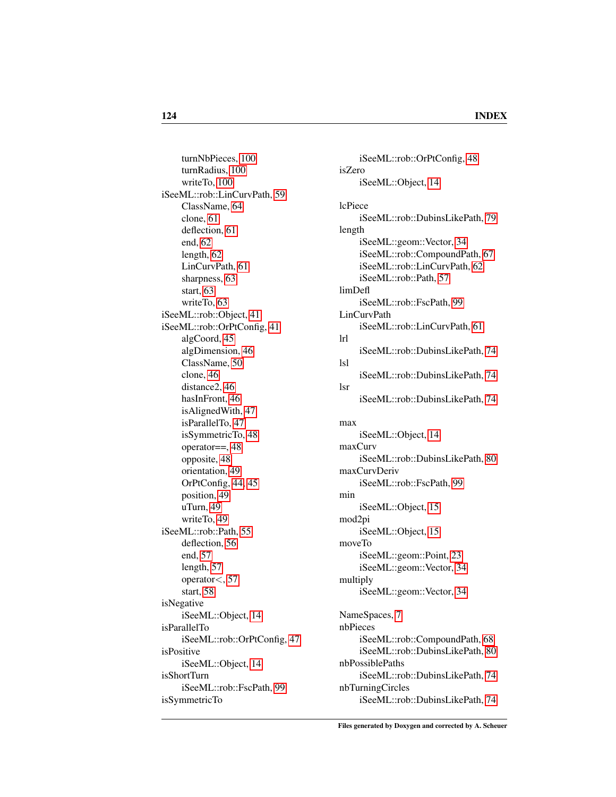turnNbPieces, [100](#page-106-0) turnRadius, [100](#page-106-0) writeTo, [100](#page-106-0) iSeeML::rob::LinCurvPath, [59](#page-65-1) ClassName, [64](#page-70-0) clone, [61](#page-67-0) deflection, [61](#page-67-0) end, [62](#page-68-2) length, [62](#page-68-2) LinCurvPath, [61](#page-67-0) sharpness, [63](#page-69-2) start, [63](#page-69-2) writeTo, [63](#page-69-2) iSeeML::rob::Object, [41](#page-47-1) iSeeML::rob::OrPtConfig, [41](#page-47-1) algCoord, [45](#page-51-0) algDimension, [46](#page-52-0) ClassName, [50](#page-56-0) clone, [46](#page-52-0) distance2, [46](#page-52-0) hasInFront, [46](#page-52-0) isAlignedWith, [47](#page-53-0) isParallelTo, [47](#page-53-0) isSymmetricTo, [48](#page-54-0) operator==, [48](#page-54-0) opposite, [48](#page-54-0) orientation, [49](#page-55-2) OrPtConfig, [44,](#page-50-0) [45](#page-51-0) position, [49](#page-55-2) uTurn, [49](#page-55-2) writeTo, [49](#page-55-2) iSeeML::rob::Path, [55](#page-61-0) deflection, [56](#page-62-0) end, [57](#page-63-0) length, [57](#page-63-0) operator<, [57](#page-63-0) start, [58](#page-64-0) isNegative iSeeML::Object, [14](#page-20-1) isParallelTo iSeeML::rob::OrPtConfig, [47](#page-53-0) isPositive iSeeML::Object, [14](#page-20-1) isShortTurn iSeeML::rob::FscPath, [99](#page-105-0) isSymmetricTo

iSeeML::rob::OrPtConfig, [48](#page-54-0) isZero iSeeML::Object, [14](#page-20-1) lcPiece iSeeML::rob::DubinsLikePath, [79](#page-85-1) length iSeeML::geom::Vector, [34](#page-40-0) iSeeML::rob::CompoundPath, [67](#page-73-1) iSeeML::rob::LinCurvPath, [62](#page-68-2) iSeeML::rob::Path, [57](#page-63-0) limDefl iSeeML::rob::FscPath, [99](#page-105-0) LinCurvPath iSeeML::rob::LinCurvPath, [61](#page-67-0) lrl iSeeML::rob::DubinsLikePath, [74](#page-80-1) lsl iSeeML::rob::DubinsLikePath, [74](#page-80-1) lsr iSeeML::rob::DubinsLikePath, [74](#page-80-1) max iSeeML::Object, [14](#page-20-1) maxCurv iSeeML::rob::DubinsLikePath, [80](#page-86-1) maxCurvDeriv iSeeML::rob::FscPath, [99](#page-105-0) min iSeeML::Object, [15](#page-21-0) mod2pi iSeeML::Object, [15](#page-21-0) moveTo iSeeML::geom::Point, [23](#page-29-0) iSeeML::geom::Vector, [34](#page-40-0) multiply iSeeML::geom::Vector, [34](#page-40-0) NameSpaces, [7](#page-13-0) nbPieces iSeeML::rob::CompoundPath, [68](#page-74-0) iSeeML::rob::DubinsLikePath, [80](#page-86-1) nbPossiblePaths iSeeML::rob::DubinsLikePath, [74](#page-80-1) nbTurningCircles iSeeML::rob::DubinsLikePath, [74](#page-80-1)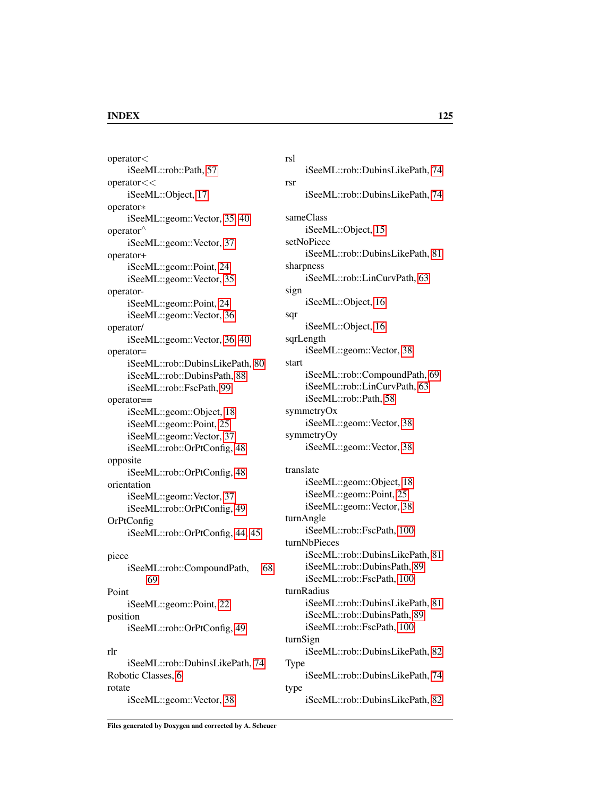### INDEX 125

operator< iSeeML::rob::Path, [57](#page-63-0) operator<< iSeeML::Object, [17](#page-23-0) operator∗ iSeeML::geom::Vector, [35,](#page-41-0) [40](#page-46-0) operator<sup>∧</sup> iSeeML::geom::Vector, [37](#page-43-0) operator+ iSeeML::geom::Point, [24](#page-30-0) iSeeML::geom::Vector, [35](#page-41-0) operatoriSeeML::geom::Point, [24](#page-30-0) iSeeML::geom::Vector, [36](#page-42-0) operator/ iSeeML::geom::Vector, [36,](#page-42-0) [40](#page-46-0) operator= iSeeML::rob::DubinsLikePath, [80](#page-86-1) iSeeML::rob::DubinsPath, [88](#page-94-0) iSeeML::rob::FscPath, [99](#page-105-0) operator== iSeeML::geom::Object, [18](#page-24-0) iSeeML::geom::Point, [25](#page-31-0) iSeeML::geom::Vector, [37](#page-43-0) iSeeML::rob::OrPtConfig, [48](#page-54-0) opposite iSeeML::rob::OrPtConfig, [48](#page-54-0) orientation iSeeML::geom::Vector, [37](#page-43-0) iSeeML::rob::OrPtConfig, [49](#page-55-2) OrPtConfig iSeeML::rob::OrPtConfig, [44,](#page-50-0) [45](#page-51-0) piece iSeeML::rob::CompoundPath, [68,](#page-74-0) [69](#page-75-1) Point iSeeML::geom::Point, [22](#page-28-0) position iSeeML::rob::OrPtConfig, [49](#page-55-2) rlr iSeeML::rob::DubinsLikePath, [74](#page-80-1) Robotic Classes, [6](#page-12-0) rotate rsl rsr sign sqr start Type type

iSeeML::rob::DubinsLikePath, [74](#page-80-1) iSeeML::rob::DubinsLikePath, [74](#page-80-1) sameClass iSeeML::Object, [15](#page-21-0) setNoPiece iSeeML::rob::DubinsLikePath, [81](#page-87-1) sharpness iSeeML::rob::LinCurvPath, [63](#page-69-2) iSeeML::Object, [16](#page-22-0) iSeeML::Object, [16](#page-22-0) sqrLength iSeeML::geom::Vector, [38](#page-44-0) iSeeML::rob::CompoundPath, [69](#page-75-1) iSeeML::rob::LinCurvPath, [63](#page-69-2) iSeeML::rob::Path, [58](#page-64-0) symmetryOx iSeeML::geom::Vector, [38](#page-44-0) symmetryOy iSeeML::geom::Vector, [38](#page-44-0) translate iSeeML::geom::Object, [18](#page-24-0) iSeeML::geom::Point, [25](#page-31-0) iSeeML::geom::Vector, [38](#page-44-0) turnAngle iSeeML::rob::FscPath, [100](#page-106-0) turnNbPieces iSeeML::rob::DubinsLikePath, [81](#page-87-1) iSeeML::rob::DubinsPath, [89](#page-95-0) iSeeML::rob::FscPath, [100](#page-106-0) turnRadius iSeeML::rob::DubinsLikePath, [81](#page-87-1) iSeeML::rob::DubinsPath, [89](#page-95-0) iSeeML::rob::FscPath, [100](#page-106-0) turnSign iSeeML::rob::DubinsLikePath, [82](#page-88-1) iSeeML::rob::DubinsLikePath, [74](#page-80-1) iSeeML::rob::DubinsLikePath, [82](#page-88-1)

Files generated by Doxygen and corrected by A. Scheuer

iSeeML::geom::Vector, [38](#page-44-0)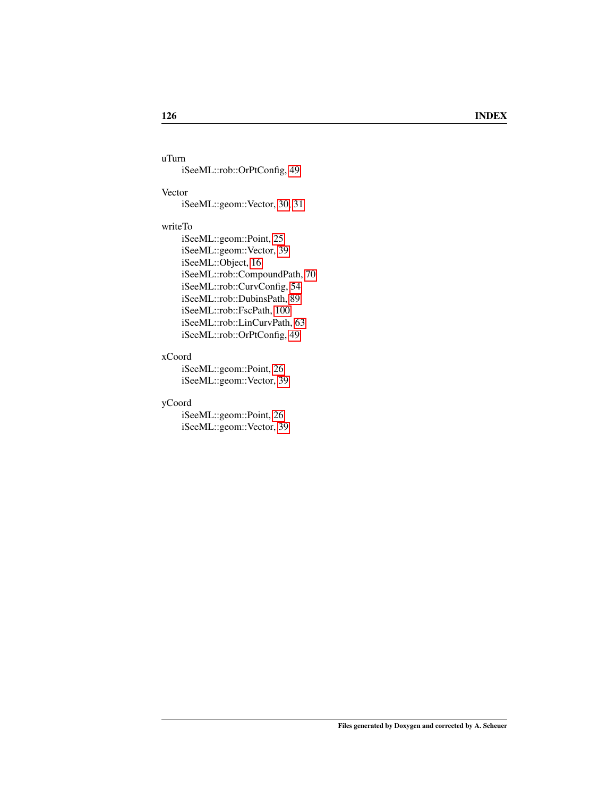uTurn iSeeML::rob::OrPtConfig, [49](#page-55-2)

### Vector

iSeeML::geom::Vector, [30,](#page-36-0) [31](#page-37-0)

### writeTo

iSeeML::geom::Point, [25](#page-31-0) iSeeML::geom::Vector, [39](#page-45-0) iSeeML::Object, [16](#page-22-0) iSeeML::rob::CompoundPath, [70](#page-76-1) iSeeML::rob::CurvConfig, [54](#page-60-1) iSeeML::rob::DubinsPath, [89](#page-95-0) iSeeML::rob::FscPath, [100](#page-106-0) iSeeML::rob::LinCurvPath, [63](#page-69-2) iSeeML::rob::OrPtConfig, [49](#page-55-2)

### xCoord

iSeeML::geom::Point, [26](#page-32-3) iSeeML::geom::Vector, [39](#page-45-0)

### yCoord

iSeeML::geom::Point, [26](#page-32-3) iSeeML::geom::Vector, [39](#page-45-0)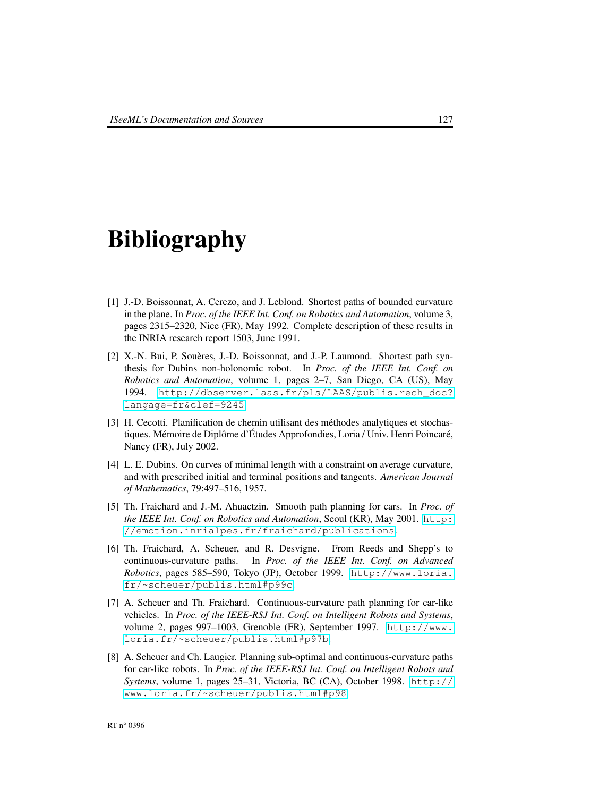# Bibliography

- [1] J.-D. Boissonnat, A. Cerezo, and J. Leblond. Shortest paths of bounded curvature in the plane. In *Proc. of the IEEE Int. Conf. on Robotics and Automation*, volume 3, pages 2315–2320, Nice (FR), May 1992. Complete description of these results in the INRIA research report 1503, June 1991.
- [2] X.-N. Bui, P. Souères, J.-D. Boissonnat, and J.-P. Laumond. Shortest path synthesis for Dubins non-holonomic robot. In *Proc. of the IEEE Int. Conf. on Robotics and Automation*, volume 1, pages 2–7, San Diego, CA (US), May 1994. [http://dbserver.laas.fr/pls/LAAS/publis.rech\\_doc?](http://dbserver.laas.fr/pls/LAAS/publis.rech_doc?langage=fr&clef=9245) [langage=fr&clef=9245](http://dbserver.laas.fr/pls/LAAS/publis.rech_doc?langage=fr&clef=9245).
- [3] H. Cecotti. Planification de chemin utilisant des méthodes analytiques et stochastiques. Mémoire de Diplôme d'Études Approfondies, Loria / Univ. Henri Poincaré, Nancy (FR), July 2002.
- [4] L. E. Dubins. On curves of minimal length with a constraint on average curvature, and with prescribed initial and terminal positions and tangents. *American Journal of Mathematics*, 79:497–516, 1957.
- [5] Th. Fraichard and J.-M. Ahuactzin. Smooth path planning for cars. In *Proc. of the IEEE Int. Conf. on Robotics and Automation*, Seoul (KR), May 2001. [http:](http://emotion.inrialpes.fr/fraichard/publications) [//emotion.inrialpes.fr/fraichard/publications](http://emotion.inrialpes.fr/fraichard/publications).
- [6] Th. Fraichard, A. Scheuer, and R. Desvigne. From Reeds and Shepp's to continuous-curvature paths. In *Proc. of the IEEE Int. Conf. on Advanced Robotics*, pages 585–590, Tokyo (JP), October 1999. [http://www.loria.](http://www.loria.fr/~scheuer/publis.html#p99c) [fr/~scheuer/publis.html#p99c](http://www.loria.fr/~scheuer/publis.html#p99c).
- [7] A. Scheuer and Th. Fraichard. Continuous-curvature path planning for car-like vehicles. In *Proc. of the IEEE-RSJ Int. Conf. on Intelligent Robots and Systems*, volume 2, pages 997–1003, Grenoble (FR), September 1997. [http://www.](http://www.loria.fr/~scheuer/publis.html#p97b) [loria.fr/~scheuer/publis.html#p97b](http://www.loria.fr/~scheuer/publis.html#p97b).
- [8] A. Scheuer and Ch. Laugier. Planning sub-optimal and continuous-curvature paths for car-like robots. In *Proc. of the IEEE-RSJ Int. Conf. on Intelligent Robots and Systems*, volume 1, pages 25–31, Victoria, BC (CA), October 1998. [http://](http://www.loria.fr/~scheuer/publis.html#p98) [www.loria.fr/~scheuer/publis.html#p98](http://www.loria.fr/~scheuer/publis.html#p98).